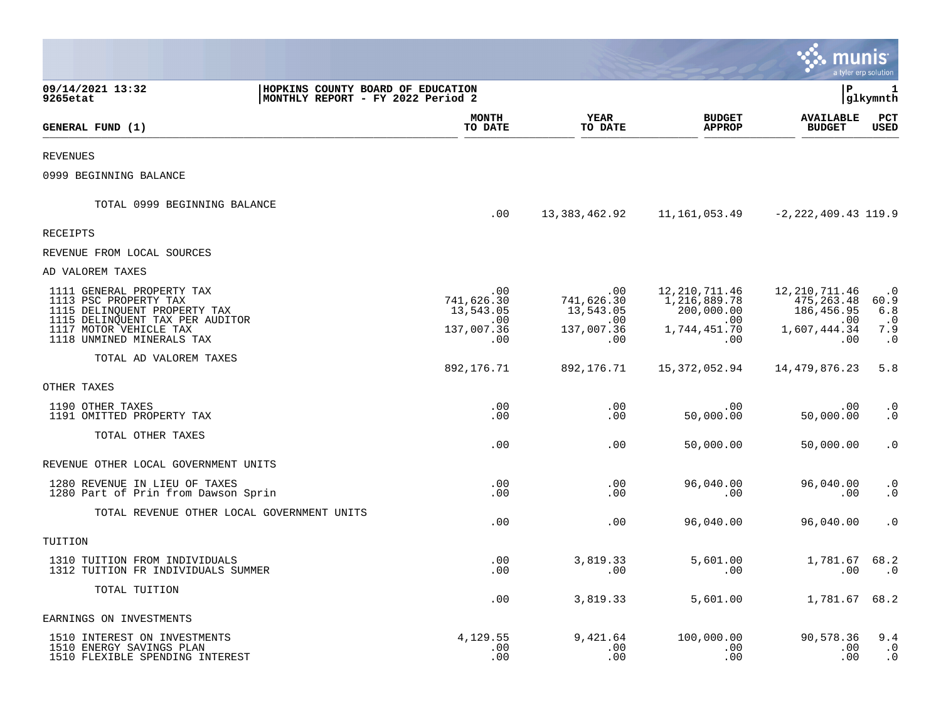|                                                                                                                       |                                                                        |                                                 |                                                    | munis                                             | a tyler erp solution                  |
|-----------------------------------------------------------------------------------------------------------------------|------------------------------------------------------------------------|-------------------------------------------------|----------------------------------------------------|---------------------------------------------------|---------------------------------------|
| 09/14/2021 13:32<br>9265etat                                                                                          | HOPKINS COUNTY BOARD OF EDUCATION<br>MONTHLY REPORT - FY 2022 Period 2 |                                                 |                                                    | lР                                                | 1<br> glkymnth                        |
| GENERAL FUND (1)                                                                                                      | <b>MONTH</b><br>TO DATE                                                | <b>YEAR</b><br>TO DATE                          | <b>BUDGET</b><br><b>APPROP</b>                     | <b>AVAILABLE</b><br><b>BUDGET</b>                 | PCT<br><b>USED</b>                    |
| <b>REVENUES</b>                                                                                                       |                                                                        |                                                 |                                                    |                                                   |                                       |
| 0999 BEGINNING BALANCE                                                                                                |                                                                        |                                                 |                                                    |                                                   |                                       |
| TOTAL 0999 BEGINNING BALANCE                                                                                          | .00                                                                    | 13,383,462.92                                   | 11,161,053.49                                      | $-2, 222, 409.43$ 119.9                           |                                       |
| RECEIPTS                                                                                                              |                                                                        |                                                 |                                                    |                                                   |                                       |
| REVENUE FROM LOCAL SOURCES                                                                                            |                                                                        |                                                 |                                                    |                                                   |                                       |
| AD VALOREM TAXES                                                                                                      |                                                                        |                                                 |                                                    |                                                   |                                       |
| 1111 GENERAL PROPERTY TAX<br>1113 PSC PROPERTY TAX<br>1115 DELINQUENT PROPERTY TAX<br>1115 DELINQUENT TAX PER AUDITOR | .00<br>741,626.30<br>13,543.05<br>.00                                  | $.00 \,$<br>741,626.30<br>13,543.05<br>$.00 \,$ | 12,210,711.46<br>1,216,889.78<br>200,000.00<br>.00 | 12,210,711.46<br>475, 263.48<br>186,456.95<br>.00 | $\cdot$ 0<br>60.9<br>6.8<br>$\cdot$ 0 |
| 1117 MOTOR VEHICLE TAX<br>1118 UNMINED MINERALS TAX                                                                   | 137,007.36<br>.00                                                      | 137,007.36<br>.00                               | 1,744,451.70<br>.00                                | 1,607,444.34<br>.00                               | 7.9<br>$\cdot$ 0                      |
| TOTAL AD VALOREM TAXES                                                                                                | 892,176.71                                                             | 892,176.71                                      | 15,372,052.94                                      | 14,479,876.23                                     | 5.8                                   |
| OTHER TAXES                                                                                                           |                                                                        |                                                 |                                                    |                                                   |                                       |
| 1190 OTHER TAXES<br>1191 OMITTED PROPERTY TAX                                                                         | .00<br>.00                                                             | .00<br>.00                                      | .00<br>50,000.00                                   | .00<br>50,000.00                                  | $\cdot$ 0<br>$\cdot$ 0                |
| TOTAL OTHER TAXES                                                                                                     | .00                                                                    | .00                                             | 50,000.00                                          | 50,000.00                                         | $\cdot$ 0                             |
| REVENUE OTHER LOCAL GOVERNMENT UNITS                                                                                  |                                                                        |                                                 |                                                    |                                                   |                                       |
| 1280 REVENUE IN LIEU OF TAXES<br>1280 Part of Prin from Dawson Sprin                                                  | .00<br>.00                                                             | .00<br>.00                                      | 96,040.00<br>.00                                   | 96,040.00<br>.00                                  | $\cdot$ 0<br>$\cdot$ 0                |
| TOTAL REVENUE OTHER LOCAL GOVERNMENT UNITS                                                                            | .00                                                                    | .00                                             | 96,040.00                                          | 96,040.00                                         | $\cdot$ 0                             |
| TUITION                                                                                                               |                                                                        |                                                 |                                                    |                                                   |                                       |
| 1310 TUITION FROM INDIVIDUALS<br>1312 TUITION FR INDIVIDUALS SUMMER                                                   | .00<br>.00                                                             | 3,819.33<br>.00                                 | 5,601.00<br>.00                                    | 1,781.67<br>.00                                   | 68.2<br>$\cdot$ 0                     |
| TOTAL TUITION                                                                                                         | .00                                                                    | 3,819.33                                        | 5,601.00                                           | 1,781.67                                          | 68.2                                  |
| EARNINGS ON INVESTMENTS                                                                                               |                                                                        |                                                 |                                                    |                                                   |                                       |
| 1510 INTEREST ON INVESTMENTS<br>1510 ENERGY SAVINGS PLAN<br>1510 FLEXIBLE SPENDING INTEREST                           | 4,129.55<br>.00<br>.00                                                 | 9,421.64<br>.00<br>.00                          | 100,000.00<br>.00<br>.00                           | 90,578.36<br>.00<br>.00                           | 9.4<br>$\cdot$ 0<br>$\cdot$ 0         |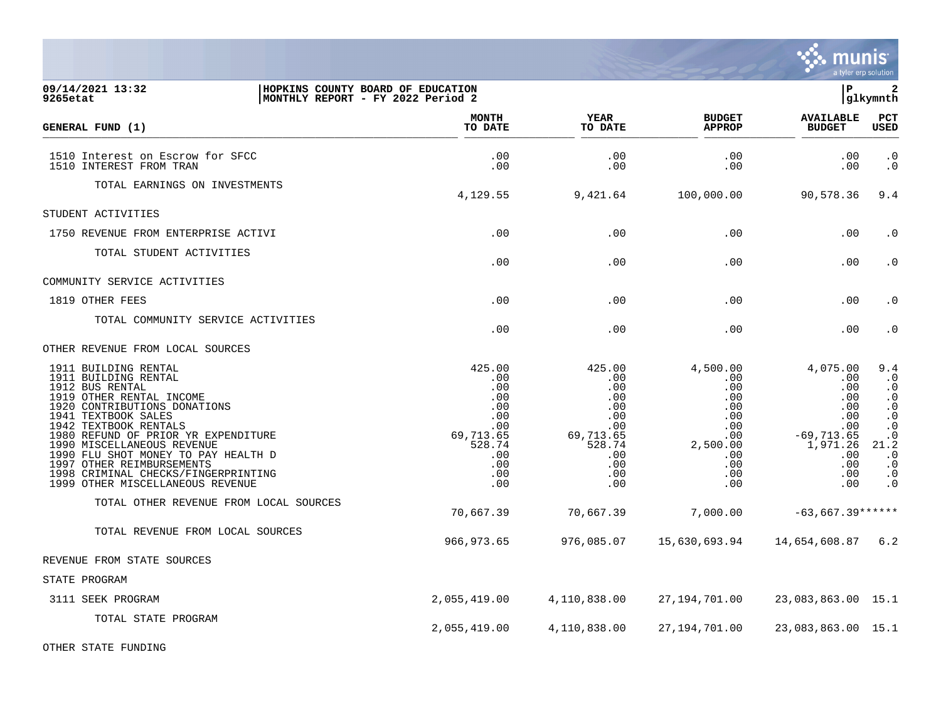

| 09/14/2021 13:32<br>9265etat                                                                                                                                                                                                                                                                                                                                                                    | HOPKINS COUNTY BOARD OF EDUCATION<br>MONTHLY REPORT - FY 2022 Period 2                                   |                                                                                                          |                                                                                                                  | $\mathbf{P}$                                                                                                    | $\overline{\mathbf{2}}$<br>glkymnth                                                                                                                                                   |
|-------------------------------------------------------------------------------------------------------------------------------------------------------------------------------------------------------------------------------------------------------------------------------------------------------------------------------------------------------------------------------------------------|----------------------------------------------------------------------------------------------------------|----------------------------------------------------------------------------------------------------------|------------------------------------------------------------------------------------------------------------------|-----------------------------------------------------------------------------------------------------------------|---------------------------------------------------------------------------------------------------------------------------------------------------------------------------------------|
| GENERAL FUND (1)                                                                                                                                                                                                                                                                                                                                                                                | <b>MONTH</b><br>TO DATE                                                                                  | YEAR<br>TO DATE                                                                                          | <b>BUDGET</b><br><b>APPROP</b>                                                                                   | <b>AVAILABLE</b><br><b>BUDGET</b>                                                                               | $_{\rm PCT}$<br><b>USED</b>                                                                                                                                                           |
| 1510 Interest on Escrow for SFCC<br>1510 INTEREST FROM TRAN                                                                                                                                                                                                                                                                                                                                     | .00<br>.00                                                                                               | .00<br>.00                                                                                               | .00<br>.00                                                                                                       | .00<br>.00                                                                                                      | $\cdot$ 0<br>$\cdot$ 0                                                                                                                                                                |
| TOTAL EARNINGS ON INVESTMENTS                                                                                                                                                                                                                                                                                                                                                                   | 4,129.55                                                                                                 | 9,421.64                                                                                                 | 100,000.00                                                                                                       | 90,578.36                                                                                                       | 9.4                                                                                                                                                                                   |
| STUDENT ACTIVITIES                                                                                                                                                                                                                                                                                                                                                                              |                                                                                                          |                                                                                                          |                                                                                                                  |                                                                                                                 |                                                                                                                                                                                       |
| 1750 REVENUE FROM ENTERPRISE ACTIVI                                                                                                                                                                                                                                                                                                                                                             | .00                                                                                                      | .00                                                                                                      | .00                                                                                                              | .00                                                                                                             | $\cdot$ 0                                                                                                                                                                             |
| TOTAL STUDENT ACTIVITIES                                                                                                                                                                                                                                                                                                                                                                        | .00                                                                                                      | .00                                                                                                      | .00                                                                                                              | .00                                                                                                             | $\cdot$ 0                                                                                                                                                                             |
| COMMUNITY SERVICE ACTIVITIES                                                                                                                                                                                                                                                                                                                                                                    |                                                                                                          |                                                                                                          |                                                                                                                  |                                                                                                                 |                                                                                                                                                                                       |
| 1819 OTHER FEES                                                                                                                                                                                                                                                                                                                                                                                 | .00                                                                                                      | .00                                                                                                      | .00                                                                                                              | .00                                                                                                             | $\cdot$ 0                                                                                                                                                                             |
| TOTAL COMMUNITY SERVICE ACTIVITIES                                                                                                                                                                                                                                                                                                                                                              | .00                                                                                                      | .00                                                                                                      | .00                                                                                                              | .00                                                                                                             | $\cdot$ 0                                                                                                                                                                             |
| OTHER REVENUE FROM LOCAL SOURCES                                                                                                                                                                                                                                                                                                                                                                |                                                                                                          |                                                                                                          |                                                                                                                  |                                                                                                                 |                                                                                                                                                                                       |
| 1911 BUILDING RENTAL<br>1911 BUILDING RENTAL<br>1912 BUS RENTAL<br>1919 OTHER RENTAL INCOME<br>1920 CONTRIBUTIONS DONATIONS<br>1941 TEXTBOOK SALES<br>1942 TEXTBOOK RENTALS<br>1980 REFUND OF PRIOR YR EXPENDITURE<br>1990 MISCELLANEOUS REVENUE<br>1990 FLU SHOT MONEY TO PAY HEALTH D<br>1997 OTHER REIMBURSEMENTS<br>1998 CRIMINAL CHECKS/FINGERPRINTING<br>1999 OTHER MISCELLANEOUS REVENUE | 425.00<br>.00<br>.00<br>.00<br>.00<br>.00<br>$.00 \,$<br>69,713.65<br>528.74<br>.00<br>.00<br>.00<br>.00 | 425.00<br>.00<br>.00<br>.00<br>.00<br>.00<br>$.00 \,$<br>69,713.65<br>528.74<br>.00<br>.00<br>.00<br>.00 | 4,500.00<br>$.00 \,$<br>.00<br>.00<br>.00<br>.00<br>$.00 \,$<br>$.00 \,$<br>2,500.00<br>.00<br>.00<br>.00<br>.00 | 4,075.00<br>.00<br>.00<br>$.00 \,$<br>.00<br>.00<br>.00<br>$-69,713.65$<br>1,971.26<br>.00<br>.00<br>.00<br>.00 | 9.4<br>$\cdot$ 0<br>$\cdot$ 0<br>$\cdot$ 0<br>$\ddot{\phantom{0}}$ .0<br>$\cdot$ 0<br>$\boldsymbol{\cdot}$ 0<br>$\cdot$ 0<br>21.2<br>$\cdot$ 0<br>$\cdot$ 0<br>$\cdot$ 0<br>$\cdot$ 0 |
| TOTAL OTHER REVENUE FROM LOCAL SOURCES                                                                                                                                                                                                                                                                                                                                                          | 70,667.39                                                                                                | 70,667.39                                                                                                | 7,000.00                                                                                                         | $-63,667.39******$                                                                                              |                                                                                                                                                                                       |
| TOTAL REVENUE FROM LOCAL SOURCES                                                                                                                                                                                                                                                                                                                                                                | 966,973.65                                                                                               | 976,085.07                                                                                               | 15,630,693.94                                                                                                    | 14,654,608.87 6.2                                                                                               |                                                                                                                                                                                       |
| REVENUE FROM STATE SOURCES                                                                                                                                                                                                                                                                                                                                                                      |                                                                                                          |                                                                                                          |                                                                                                                  |                                                                                                                 |                                                                                                                                                                                       |
| STATE PROGRAM                                                                                                                                                                                                                                                                                                                                                                                   |                                                                                                          |                                                                                                          |                                                                                                                  |                                                                                                                 |                                                                                                                                                                                       |
| 3111 SEEK PROGRAM                                                                                                                                                                                                                                                                                                                                                                               | 2,055,419.00                                                                                             | 4,110,838.00                                                                                             | 27,194,701.00                                                                                                    | 23,083,863.00 15.1                                                                                              |                                                                                                                                                                                       |
| TOTAL STATE PROGRAM                                                                                                                                                                                                                                                                                                                                                                             | 2,055,419.00                                                                                             | 4,110,838.00                                                                                             | 27, 194, 701.00                                                                                                  | 23,083,863.00 15.1                                                                                              |                                                                                                                                                                                       |

OTHER STATE FUNDING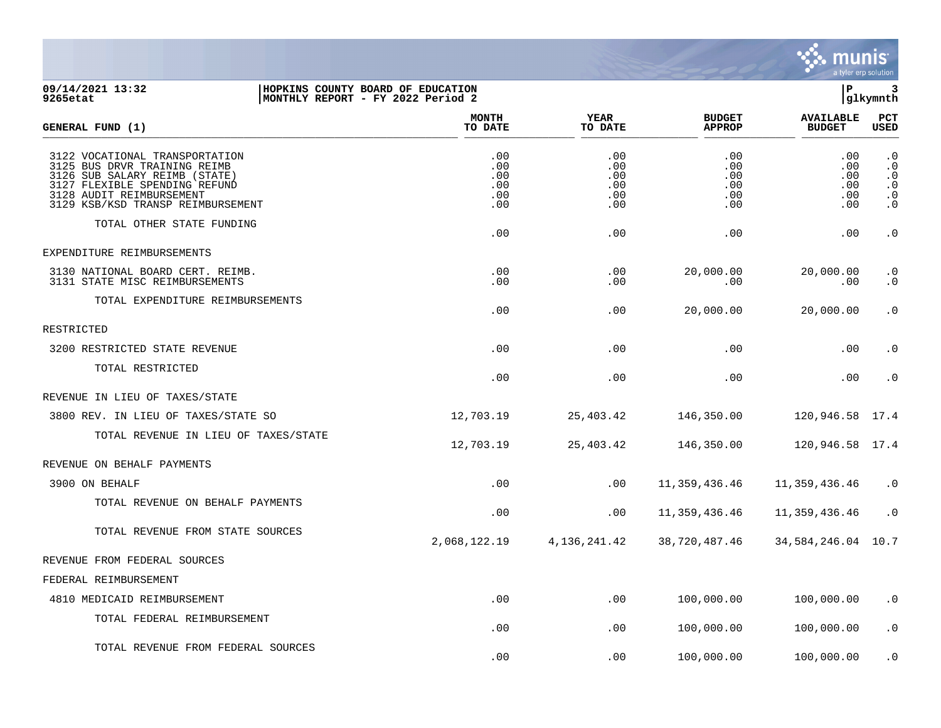

## **09/14/2021 13:32 |HOPKINS COUNTY BOARD OF EDUCATION |P 3 9265etat |MONTHLY REPORT - FY 2022 Period 2 |glkymnth**

| GENERAL FUND (1)                                                                                                                                                                                  | <b>MONTH</b><br>TO DATE                | <b>YEAR</b><br>TO DATE                 | <b>BUDGET</b><br><b>APPROP</b>         | <b>AVAILABLE</b><br><b>BUDGET</b>       | PCT<br>USED                                                                             |
|---------------------------------------------------------------------------------------------------------------------------------------------------------------------------------------------------|----------------------------------------|----------------------------------------|----------------------------------------|-----------------------------------------|-----------------------------------------------------------------------------------------|
| 3122 VOCATIONAL TRANSPORTATION<br>3125 BUS DRVR TRAINING REIMB<br>3126 SUB SALARY REIMB (STATE)<br>3127 FLEXIBLE SPENDING REFUND<br>3128 AUDIT REIMBURSEMENT<br>3129 KSB/KSD TRANSP REIMBURSEMENT | .00<br>.00<br>.00<br>.00<br>.00<br>.00 | .00<br>.00<br>.00<br>.00<br>.00<br>.00 | .00<br>.00<br>.00<br>.00<br>.00<br>.00 | .00<br>.00<br>.00<br>.00<br>.00<br>.00. | $\cdot$ 0<br>$\cdot$ 0<br>$\cdot$ 0<br>$\boldsymbol{\cdot}$ 0<br>$\cdot$ 0<br>$\cdot$ 0 |
| TOTAL OTHER STATE FUNDING                                                                                                                                                                         | .00                                    | .00                                    | .00                                    | .00                                     | $\cdot$ 0                                                                               |
| EXPENDITURE REIMBURSEMENTS                                                                                                                                                                        |                                        |                                        |                                        |                                         |                                                                                         |
| 3130 NATIONAL BOARD CERT. REIMB.<br>3131 STATE MISC REIMBURSEMENTS                                                                                                                                | .00<br>.00                             | .00<br>.00                             | 20,000.00<br>.00                       | 20,000.00<br>.00                        | $\cdot$ 0<br>$\cdot$ 0                                                                  |
| TOTAL EXPENDITURE REIMBURSEMENTS                                                                                                                                                                  | .00                                    | .00                                    | 20,000.00                              | 20,000.00                               | $\cdot$ 0                                                                               |
| RESTRICTED                                                                                                                                                                                        |                                        |                                        |                                        |                                         |                                                                                         |
| 3200 RESTRICTED STATE REVENUE                                                                                                                                                                     | .00                                    | .00                                    | .00                                    | .00                                     | $\cdot$ 0                                                                               |
| TOTAL RESTRICTED                                                                                                                                                                                  | .00                                    | .00                                    | .00                                    | .00                                     | $\cdot$ 0                                                                               |
| REVENUE IN LIEU OF TAXES/STATE                                                                                                                                                                    |                                        |                                        |                                        |                                         |                                                                                         |
| 3800 REV. IN LIEU OF TAXES/STATE SO                                                                                                                                                               | 12,703.19                              | 25,403.42                              | 146,350.00                             | 120,946.58 17.4                         |                                                                                         |
| TOTAL REVENUE IN LIEU OF TAXES/STATE                                                                                                                                                              | 12,703.19                              | 25,403.42                              | 146,350.00                             | 120,946.58 17.4                         |                                                                                         |
| REVENUE ON BEHALF PAYMENTS                                                                                                                                                                        |                                        |                                        |                                        |                                         |                                                                                         |
| 3900 ON BEHALF                                                                                                                                                                                    | .00                                    | .00                                    | 11,359,436.46                          | 11,359,436.46                           | $\cdot$ 0                                                                               |
| TOTAL REVENUE ON BEHALF PAYMENTS                                                                                                                                                                  | .00                                    | .00                                    | 11,359,436.46                          | 11,359,436.46                           | $\cdot$ 0                                                                               |
| TOTAL REVENUE FROM STATE SOURCES                                                                                                                                                                  | 2,068,122.19                           | 4, 136, 241.42                         | 38,720,487.46                          | 34, 584, 246.04 10.7                    |                                                                                         |
| REVENUE FROM FEDERAL SOURCES                                                                                                                                                                      |                                        |                                        |                                        |                                         |                                                                                         |
| FEDERAL REIMBURSEMENT                                                                                                                                                                             |                                        |                                        |                                        |                                         |                                                                                         |
| 4810 MEDICAID REIMBURSEMENT                                                                                                                                                                       | .00                                    | .00                                    | 100,000.00                             | 100,000.00                              | $\cdot$ 0                                                                               |
| TOTAL FEDERAL REIMBURSEMENT                                                                                                                                                                       | .00                                    | .00                                    | 100,000.00                             | 100,000.00                              | $\cdot$ 0                                                                               |
| TOTAL REVENUE FROM FEDERAL SOURCES                                                                                                                                                                | .00                                    | .00                                    | 100,000.00                             | 100,000.00                              | $\cdot$ 0                                                                               |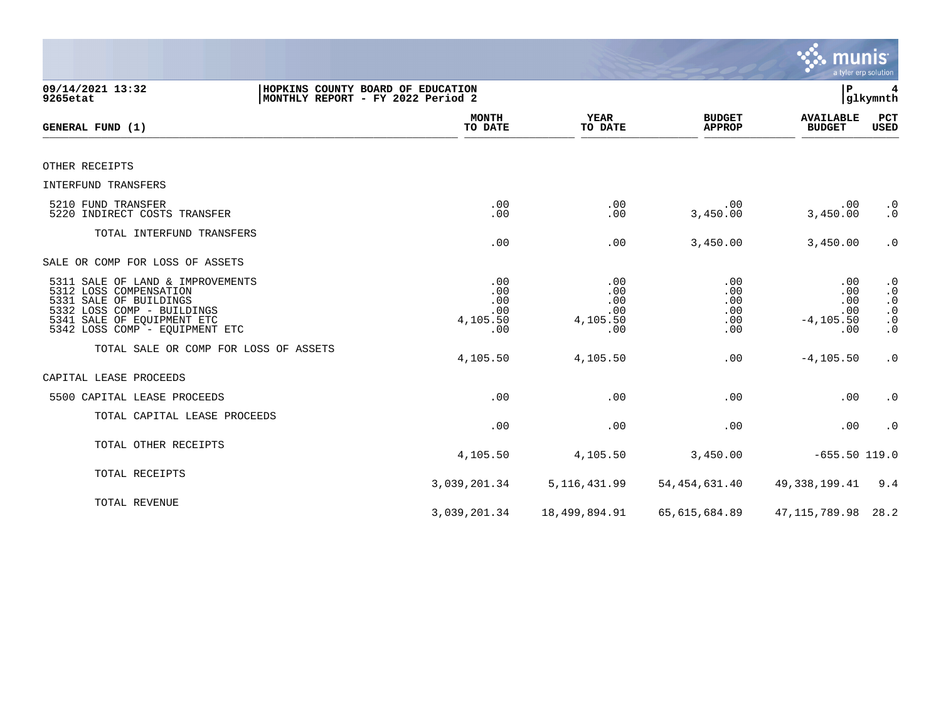|                                                                                                                                                                                    |                                                                        |                                             |                                        | munis                                           | a tyler erp solution                                                                    |
|------------------------------------------------------------------------------------------------------------------------------------------------------------------------------------|------------------------------------------------------------------------|---------------------------------------------|----------------------------------------|-------------------------------------------------|-----------------------------------------------------------------------------------------|
| 09/14/2021 13:32<br>9265etat                                                                                                                                                       | HOPKINS COUNTY BOARD OF EDUCATION<br>MONTHLY REPORT - FY 2022 Period 2 |                                             |                                        | ΙP                                              | glkymnth                                                                                |
| GENERAL FUND (1)                                                                                                                                                                   | <b>MONTH</b><br>TO DATE                                                | YEAR<br>TO DATE                             | <b>BUDGET</b><br><b>APPROP</b>         | <b>AVAILABLE</b><br><b>BUDGET</b>               | PCT<br><b>USED</b>                                                                      |
| OTHER RECEIPTS                                                                                                                                                                     |                                                                        |                                             |                                        |                                                 |                                                                                         |
| INTERFUND TRANSFERS                                                                                                                                                                |                                                                        |                                             |                                        |                                                 |                                                                                         |
| 5210 FUND TRANSFER<br>5220 INDIRECT COSTS TRANSFER                                                                                                                                 | .00<br>.00                                                             | .00<br>.00                                  | .00<br>3,450.00                        | .00<br>3,450.00                                 | $\cdot$ 0<br>$\cdot$ 0                                                                  |
| TOTAL INTERFUND TRANSFERS                                                                                                                                                          | .00                                                                    | .00                                         | 3,450.00                               | 3,450.00                                        | $\cdot$ 0                                                                               |
| SALE OR COMP FOR LOSS OF ASSETS                                                                                                                                                    |                                                                        |                                             |                                        |                                                 |                                                                                         |
| 5311 SALE OF LAND & IMPROVEMENTS<br>5312 LOSS COMPENSATION<br>5331 SALE OF BUILDINGS<br>5332 LOSS COMP - BUILDINGS<br>5341 SALE OF EQUIPMENT ETC<br>5342 LOSS COMP - EQUIPMENT ETC | .00<br>.00<br>.00<br>.00<br>4,105.50<br>.00                            | .00<br>.00<br>.00<br>.00<br>4,105.50<br>.00 | .00<br>.00<br>.00<br>.00<br>.00<br>.00 | .00<br>.00<br>.00<br>.00<br>$-4, 105.50$<br>.00 | $\cdot$ 0<br>$\cdot$ 0<br>$\cdot$ 0<br>$\boldsymbol{\cdot}$ 0<br>$\cdot$ 0<br>$\cdot$ 0 |
| TOTAL SALE OR COMP FOR LOSS OF ASSETS                                                                                                                                              | 4,105.50                                                               | 4,105.50                                    | .00                                    | $-4, 105.50$                                    | $\cdot$ 0                                                                               |
| CAPITAL LEASE PROCEEDS                                                                                                                                                             |                                                                        |                                             |                                        |                                                 |                                                                                         |
| 5500 CAPITAL LEASE PROCEEDS                                                                                                                                                        | .00                                                                    | .00                                         | .00                                    | .00                                             | $\boldsymbol{\cdot}$ 0                                                                  |
| TOTAL CAPITAL LEASE PROCEEDS                                                                                                                                                       | .00                                                                    | .00                                         | .00                                    | .00                                             | $\cdot$ 0                                                                               |
| TOTAL OTHER RECEIPTS                                                                                                                                                               | 4,105.50                                                               | 4,105.50                                    | 3,450.00                               | $-655.50$ 119.0                                 |                                                                                         |
| TOTAL RECEIPTS                                                                                                                                                                     | 3,039,201.34                                                           | 5, 116, 431.99                              | 54, 454, 631.40                        | 49, 338, 199.41                                 | 9.4                                                                                     |
| TOTAL REVENUE                                                                                                                                                                      | 3,039,201.34                                                           | 18,499,894.91                               | 65,615,684.89                          | 47, 115, 789.98                                 | 28.2                                                                                    |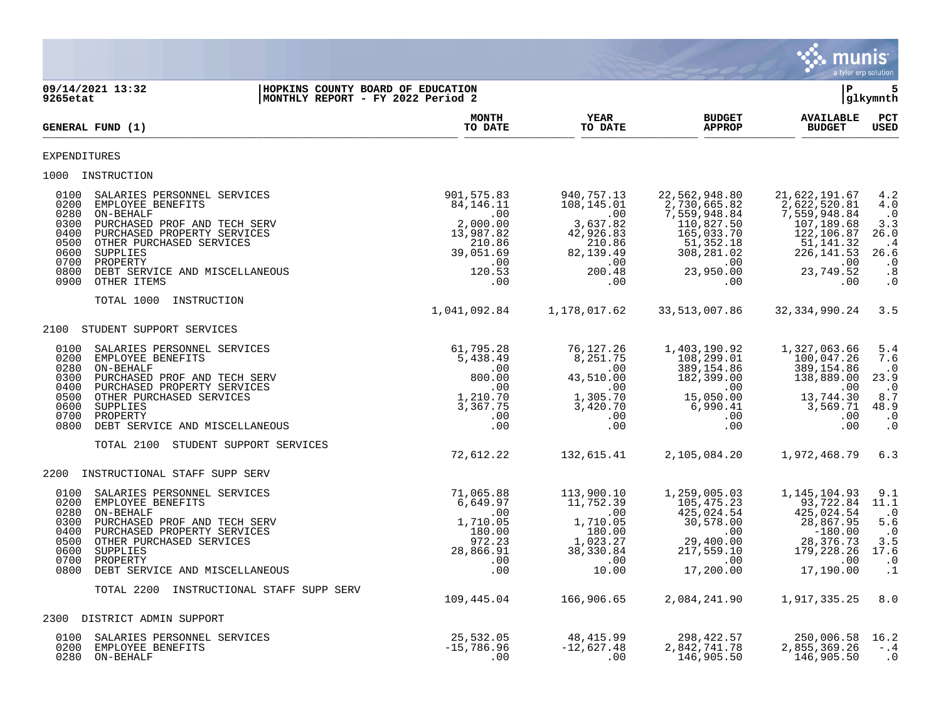

| 9265etat                                                                     | 09/14/2021 13:32<br>HOPKINS COUNTY BOARD OF EDUCATION<br>MONTHLY REPORT - FY 2022 Period 2                                                                                                                                        |                                                                                                          |                                                                                                         |                                                                                                                                 | l P                                                                                                                                | 5<br>glkymnth                                                                             |
|------------------------------------------------------------------------------|-----------------------------------------------------------------------------------------------------------------------------------------------------------------------------------------------------------------------------------|----------------------------------------------------------------------------------------------------------|---------------------------------------------------------------------------------------------------------|---------------------------------------------------------------------------------------------------------------------------------|------------------------------------------------------------------------------------------------------------------------------------|-------------------------------------------------------------------------------------------|
|                                                                              | GENERAL FUND (1)                                                                                                                                                                                                                  | <b>MONTH</b><br>TO DATE                                                                                  | <b>YEAR</b><br>TO DATE                                                                                  | <b>BUDGET</b><br><b>APPROP</b>                                                                                                  | <b>AVAILABLE</b><br><b>BUDGET</b>                                                                                                  | PCT<br><b>USED</b>                                                                        |
| <b>EXPENDITURES</b>                                                          |                                                                                                                                                                                                                                   |                                                                                                          |                                                                                                         |                                                                                                                                 |                                                                                                                                    |                                                                                           |
| 1000                                                                         | INSTRUCTION                                                                                                                                                                                                                       |                                                                                                          |                                                                                                         |                                                                                                                                 |                                                                                                                                    |                                                                                           |
| 0100<br>0200<br>0280<br>0300<br>0400<br>0500<br>0600<br>0700<br>0800<br>0900 | SALARIES PERSONNEL SERVICES<br>EMPLOYEE BENEFITS<br>ON-BEHALF<br>PURCHASED PROF AND TECH SERV<br>PURCHASED PROPERTY SERVICES<br>OTHER PURCHASED SERVICES<br>SUPPLIES<br>PROPERTY<br>DEBT SERVICE AND MISCELLANEOUS<br>OTHER ITEMS | 901,575.83<br>84, 146. 11<br>.00<br>2,000.00<br>13,987.82<br>210.86<br>39,051.69<br>.00<br>120.53<br>.00 | 940,757.13<br>108,145.01<br>.00<br>3,637.82<br>42,926.83<br>210.86<br>82,139.49<br>.00<br>200.48<br>.00 | 22,562,948.80<br>2,730,665.82<br>7,559,948.84<br>110,827.50<br>165,033.70<br>51,352.18<br>308,281.02<br>.00<br>23,950.00<br>.00 | 21,622,191.67<br>2,622,520.81<br>7,559,948.84<br>107,189.68<br>122,106.87<br>51, 141. 32<br>226, 141.53<br>.00<br>23,749.52<br>.00 | 4.2<br>4.0<br>$\cdot$ 0<br>3.3<br>26.0<br>. 4<br>26.6<br>$\cdot$ 0<br>.8<br>$\cdot$ 0     |
|                                                                              | TOTAL 1000<br>INSTRUCTION                                                                                                                                                                                                         | 1,041,092.84                                                                                             | 1,178,017.62                                                                                            | 33, 513, 007.86                                                                                                                 | 32, 334, 990. 24                                                                                                                   | 3.5                                                                                       |
| 2100                                                                         | STUDENT SUPPORT SERVICES                                                                                                                                                                                                          |                                                                                                          |                                                                                                         |                                                                                                                                 |                                                                                                                                    |                                                                                           |
| 0100<br>0200<br>0280<br>0300<br>0400<br>0500<br>0600<br>0700<br>0800         | SALARIES PERSONNEL SERVICES<br>EMPLOYEE BENEFITS<br>ON-BEHALF<br>PURCHASED PROF AND TECH SERV<br>PURCHASED PROPERTY SERVICES<br>OTHER PURCHASED SERVICES<br>SUPPLIES<br>PROPERTY<br>DEBT SERVICE AND MISCELLANEOUS                | 61,795.28<br>5,438.49<br>.00<br>800.00<br>.00<br>1,210.70<br>3,367.75<br>.00<br>.00                      | 76,127.26<br>8,251.75<br>.00<br>43,510.00<br>.00<br>1,305.70<br>3,420.70<br>.00<br>.00                  | 1,403,190.92<br>108,299.01<br>389,154.86<br>182,399.00<br>.00<br>15,050.00<br>6,990.41<br>.00<br>.00                            | 1,327,063.66<br>100,047.26<br>389,154.86<br>138,889.00<br>.00<br>13,744.30<br>3,569.71<br>.00<br>.00                               | 5.4<br>7.6<br>$\cdot$ 0<br>23.9<br>$\cdot$ 0<br>8.7<br>48.9<br>$\cdot$ 0<br>$\cdot$ 0     |
|                                                                              | TOTAL 2100<br>STUDENT SUPPORT SERVICES                                                                                                                                                                                            | 72,612.22                                                                                                | 132,615.41                                                                                              | 2,105,084.20                                                                                                                    | 1,972,468.79                                                                                                                       | 6.3                                                                                       |
| 2200                                                                         | INSTRUCTIONAL STAFF SUPP SERV                                                                                                                                                                                                     |                                                                                                          |                                                                                                         |                                                                                                                                 |                                                                                                                                    |                                                                                           |
| 0100<br>0200<br>0280<br>0300<br>0400<br>0500<br>0600<br>0700<br>0800         | SALARIES PERSONNEL SERVICES<br>EMPLOYEE BENEFITS<br>ON-BEHALF<br>PURCHASED PROF AND TECH SERV<br>PURCHASED PROPERTY SERVICES<br>OTHER PURCHASED SERVICES<br>SUPPLIES<br>PROPERTY<br>DEBT SERVICE AND MISCELLANEOUS                | 71,065.88<br>6,649.97<br>.00<br>1,710.05<br>180.00<br>972.23<br>28,866.91<br>.00<br>.00                  | 113,900.10<br>11,752.39<br>.00<br>1,710.05<br>180.00<br>1,023.27<br>38,330.84<br>.00<br>10.00           | 1,259,005.03<br>105, 475. 23<br>425,024.54<br>30,578.00<br>.00<br>29,400.00<br>217,559.10<br>.00<br>17,200.00                   | 1, 145, 104.93<br>93,722.84<br>425,024.54<br>28,867.95<br>$-180.00$<br>28, 376.73<br>179, 228. 26<br>.00<br>17,190.00              | 9.1<br>11.1<br>$\cdot$ . 0<br>5.6<br>$\cdot$ 0<br>$3.5$<br>17.6<br>$\cdot$ 0<br>$\cdot$ 1 |
|                                                                              | INSTRUCTIONAL STAFF SUPP SERV<br>TOTAL 2200                                                                                                                                                                                       | 109,445.04                                                                                               | 166,906.65                                                                                              | 2,084,241.90                                                                                                                    | 1,917,335.25                                                                                                                       | 8.0                                                                                       |
|                                                                              | 2300 DISTRICT ADMIN SUPPORT                                                                                                                                                                                                       |                                                                                                          |                                                                                                         |                                                                                                                                 |                                                                                                                                    |                                                                                           |
| 0100<br>0200<br>0280                                                         | SALARIES PERSONNEL SERVICES<br>EMPLOYEE BENEFITS<br>ON-BEHALF                                                                                                                                                                     | 25,532.05<br>$-15,786.96$<br>.00                                                                         | 48,415.99<br>$-12,627.48$<br>.00                                                                        | 298,422.57<br>2,842,741.78<br>146,905.50                                                                                        | 250,006.58<br>2,855,369.26<br>146,905.50                                                                                           | 16.2<br>$- .4$<br>$\cdot$ 0                                                               |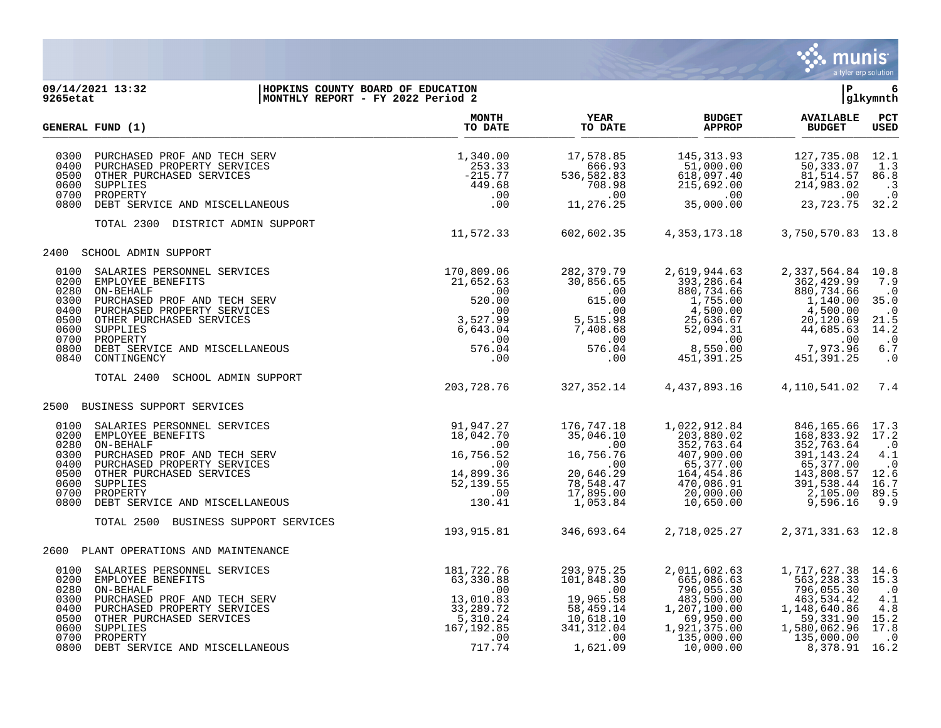

## **09/14/2021 13:32 |HOPKINS COUNTY BOARD OF EDUCATION |P 6 9265etat |MONTHLY REPORT - FY 2022 Period 2 |glkymnth**

|                                                                              | <b>GENERAL FUND (1)</b>                                                                                                                                                                                                           | <b>MONTH</b><br>TO DATE                                                                              | <b>YEAR</b><br>TO DATE                                                                                         | <b>BUDGET</b><br><b>APPROP</b>                                                                                                 | <b>AVAILABLE</b><br><b>BUDGET</b>                                                                                              | PCT<br><b>USED</b>                                                                                 |
|------------------------------------------------------------------------------|-----------------------------------------------------------------------------------------------------------------------------------------------------------------------------------------------------------------------------------|------------------------------------------------------------------------------------------------------|----------------------------------------------------------------------------------------------------------------|--------------------------------------------------------------------------------------------------------------------------------|--------------------------------------------------------------------------------------------------------------------------------|----------------------------------------------------------------------------------------------------|
| 0300<br>0400<br>0500<br>0600<br>0700<br>0800                                 | PURCHASED PROF AND TECH SERV<br>PURCHASED PROPERTY SERVICES<br>OTHER PURCHASED SERVICES<br>SUPPLIES<br>PROPERTY<br>DEBT SERVICE AND MISCELLANEOUS                                                                                 | 1,340.00<br>253.33<br>$-215.77$<br>449.68<br>.00<br>.00                                              | 17,578.85<br>666.93<br>536,582.83<br>708.98<br>.00<br>11,276.25                                                | 145, 313.93<br>51,000.00<br>618,097.40<br>215,692.00<br>.00<br>35,000.00                                                       | 127,735.08<br>50,333.07<br>81,514.57<br>214,983.02<br>.00<br>23,723.75                                                         | 12.1<br>1.3<br>86.8<br>$\cdot$ 3<br>$\cdot$ 0<br>32.2                                              |
|                                                                              | TOTAL 2300<br>DISTRICT ADMIN SUPPORT                                                                                                                                                                                              | 11,572.33                                                                                            | 602,602.35                                                                                                     | 4,353,173.18                                                                                                                   | 3,750,570.83 13.8                                                                                                              |                                                                                                    |
| 2400                                                                         | SCHOOL ADMIN SUPPORT                                                                                                                                                                                                              |                                                                                                      |                                                                                                                |                                                                                                                                |                                                                                                                                |                                                                                                    |
| 0100<br>0200<br>0280<br>0300<br>0400<br>0500<br>0600<br>0700<br>0800<br>0840 | SALARIES PERSONNEL SERVICES<br>EMPLOYEE BENEFITS<br>ON-BEHALF<br>PURCHASED PROF AND TECH SERV<br>PURCHASED PROPERTY SERVICES<br>OTHER PURCHASED SERVICES<br>SUPPLIES<br>PROPERTY<br>DEBT SERVICE AND MISCELLANEOUS<br>CONTINGENCY | 170,809.06<br>21,652.63<br>.00<br>520.00<br>.00<br>3,527.99<br>6,643.04<br>.00<br>576.04<br>.00      | 282, 379. 79<br>30,856.65<br>$\,.\,00$<br>615.00<br>.00<br>5,515.98<br>7,408.68<br>.00<br>576.04<br>.00        | 2,619,944.63<br>393, 286.64<br>880,734.66<br>1,755.00<br>4,500.00<br>25,636.67<br>52,094.31<br>.00<br>8,550.00<br>451,391.25   | 2,337,564.84<br>362,429.99<br>880,734.66<br>1,140.00<br>4,500.00<br>20,120.69<br>44,685.63<br>.00<br>7,973.96<br>451, 391.25   | 10.8<br>7.9<br>$\cdot$ 0<br>35.0<br>$\cdot$ 0<br>21.5<br>14.2<br>$\cdot$ . 0<br>$6.7$<br>$\cdot$ 0 |
|                                                                              | TOTAL 2400<br>SCHOOL ADMIN SUPPORT                                                                                                                                                                                                | 203,728.76                                                                                           | 327,352.14                                                                                                     | 4,437,893.16                                                                                                                   | 4,110,541.02                                                                                                                   | 7.4                                                                                                |
| 2500                                                                         | BUSINESS SUPPORT SERVICES                                                                                                                                                                                                         |                                                                                                      |                                                                                                                |                                                                                                                                |                                                                                                                                |                                                                                                    |
| 0100<br>0200<br>0280<br>0300<br>0400<br>0500<br>0600<br>0700<br>0800         | SALARIES PERSONNEL SERVICES<br>EMPLOYEE BENEFITS<br>ON-BEHALF<br>PURCHASED PROF AND TECH SERV<br>PURCHASED PROPERTY SERVICES<br>OTHER PURCHASED SERVICES<br>SUPPLIES<br>PROPERTY<br>DEBT SERVICE AND MISCELLANEOUS                | 91,947.27<br>18,042.70<br>.00<br>16,756.52<br>.00<br>14,899.36<br>52,139.55<br>.00<br>130.41         | 176,747.18<br>35,046.10<br>.00<br>16,756.76<br>.00<br>20,646.29<br>78,548.47<br>17,895.00<br>1,053.84          | 1,022,912.84<br>203,880.02<br>352,763.64<br>407,900.00<br>65,377.00<br>164,454.86<br>470,086.91<br>20,000.00<br>10,650.00      | 846,165.66<br>168,833.92<br>352,763.64<br>391, 143. 24<br>65,377.00<br>143,808.57<br>391,538.44<br>2,105.00<br>9,596.16        | 17.3<br>17.2<br>$\cdot$ 0<br>4.1<br>$\cdot$ 0<br>12.6<br>16.7<br>89.5<br>9.9                       |
|                                                                              | TOTAL 2500 BUSINESS SUPPORT SERVICES                                                                                                                                                                                              | 193,915.81                                                                                           | 346,693.64                                                                                                     | 2,718,025.27                                                                                                                   | 2, 371, 331.63 12.8                                                                                                            |                                                                                                    |
| 2600                                                                         | PLANT OPERATIONS AND MAINTENANCE                                                                                                                                                                                                  |                                                                                                      |                                                                                                                |                                                                                                                                |                                                                                                                                |                                                                                                    |
| 0100<br>0200<br>0280<br>0300<br>0400<br>0500<br>0600<br>0700<br>0800         | SALARIES PERSONNEL SERVICES<br>EMPLOYEE BENEFITS<br>ON-BEHALF<br>PURCHASED PROF AND TECH SERV<br>PURCHASED PROPERTY SERVICES<br>OTHER PURCHASED SERVICES<br>SUPPLIES<br>PROPERTY<br>DEBT SERVICE AND MISCELLANEOUS                | 181,722.76<br>63,330.88<br>.00<br>13,010.83<br>33,289.72<br>5,310.24<br>167, 192.85<br>.00<br>717.74 | 293,975.25<br>101,848.30<br>$\sim 00$<br>19,965.58<br>58,459.14<br>10,618.10<br>341, 312.04<br>.00<br>1,621.09 | 2,011,602.63<br>665,086.63<br>796,055.30<br>483,500.00<br>1,207,100.00<br>69,950.00<br>1,921,375.00<br>135,000.00<br>10,000.00 | 1,717,627.38<br>563, 238.33<br>796,055.30<br>463,534.42<br>1,148,640.86<br>59,331.90<br>1,580,062.96<br>135,000.00<br>8,378.91 | 14.6<br>15.3<br>$\cdot$ 0<br>4.1<br>4.8<br>15.2<br>17.8<br>$\cdot$ 0<br>16.2                       |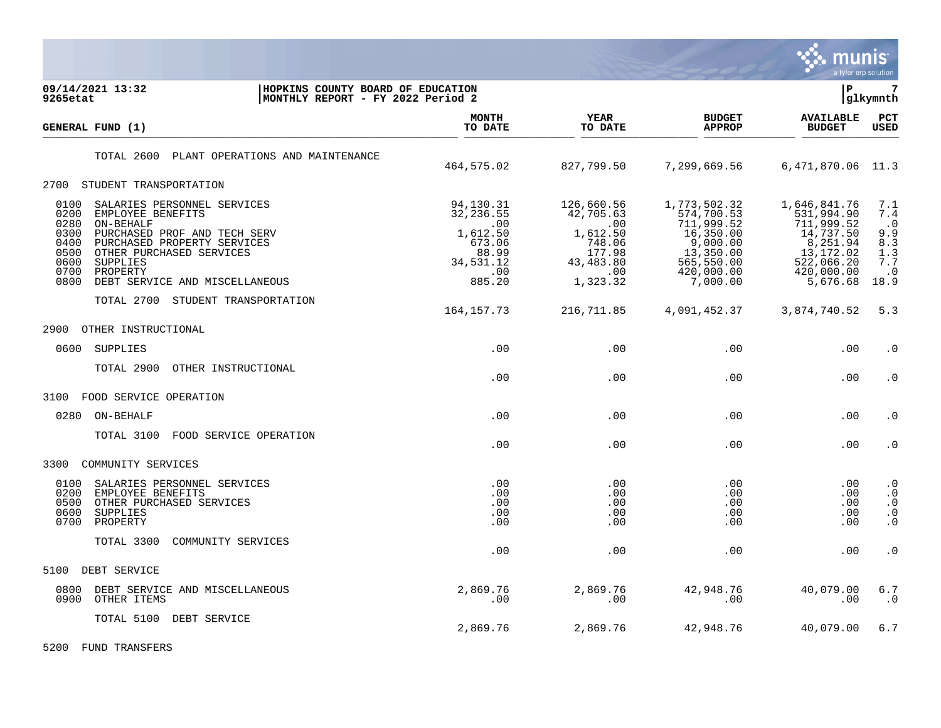

| 09/14/2021 13:32<br>HOPKINS COUNTY BOARD OF EDUCATION<br>MONTHLY REPORT - FY 2022 Period 2<br>9265etat                                                                                                                                                                                     |                                                                                             |                                                                                                |                                                                                                                        | l P                                                                                                                     | 7<br> glkymnth                                                           |
|--------------------------------------------------------------------------------------------------------------------------------------------------------------------------------------------------------------------------------------------------------------------------------------------|---------------------------------------------------------------------------------------------|------------------------------------------------------------------------------------------------|------------------------------------------------------------------------------------------------------------------------|-------------------------------------------------------------------------------------------------------------------------|--------------------------------------------------------------------------|
| GENERAL FUND (1)                                                                                                                                                                                                                                                                           | <b>MONTH</b><br>TO DATE                                                                     | <b>YEAR</b><br>TO DATE                                                                         | <b>BUDGET</b><br><b>APPROP</b>                                                                                         | <b>AVAILABLE</b><br><b>BUDGET</b>                                                                                       | $_{\rm PCT}$<br><b>USED</b>                                              |
| PLANT OPERATIONS AND MAINTENANCE<br>TOTAL 2600                                                                                                                                                                                                                                             | 464,575.02                                                                                  | 827,799.50                                                                                     | 7,299,669.56                                                                                                           | 6,471,870.06                                                                                                            | 11.3                                                                     |
| 2700 STUDENT TRANSPORTATION                                                                                                                                                                                                                                                                |                                                                                             |                                                                                                |                                                                                                                        |                                                                                                                         |                                                                          |
| 0100<br>SALARIES PERSONNEL SERVICES<br>0200<br>EMPLOYEE BENEFITS<br>0280<br>ON-BEHALF<br>0300<br>PURCHASED PROF AND TECH SERV<br>0400<br>PURCHASED PROPERTY SERVICES<br>0500<br>OTHER PURCHASED SERVICES<br>0600<br>SUPPLIES<br>0700<br>PROPERTY<br>0800<br>DEBT SERVICE AND MISCELLANEOUS | 94,130.31<br>32, 236.55<br>.00<br>1,612.50<br>673.06<br>88.99<br>34,531.12<br>.00<br>885.20 | 126,660.56<br>42,705.63<br>.00<br>1,612.50<br>748.06<br>177.98<br>43,483.80<br>.00<br>1,323.32 | 1,773,502.32<br>574,700.53<br>711,999.52<br>16,350.00<br>9,000.00<br>13,350.00<br>565,550.00<br>420,000.00<br>7,000.00 | 1,646,841.76<br>531,994.90<br>711,999.52<br>14,737.50<br>8,251.94<br>13, 172.02<br>522,066.20<br>420,000.00<br>5,676.68 | 7.1<br>7.4<br>$\cdot$ 0<br>9.9<br>8.3<br>1.3<br>7.7<br>$\cdot$ 0<br>18.9 |
| TOTAL 2700 STUDENT TRANSPORTATION                                                                                                                                                                                                                                                          | 164,157.73                                                                                  | 216,711.85                                                                                     | 4,091,452.37                                                                                                           | 3,874,740.52                                                                                                            | 5.3                                                                      |
| 2900<br>OTHER INSTRUCTIONAL                                                                                                                                                                                                                                                                |                                                                                             |                                                                                                |                                                                                                                        |                                                                                                                         |                                                                          |
| SUPPLIES<br>0600                                                                                                                                                                                                                                                                           | .00                                                                                         | .00                                                                                            | .00                                                                                                                    | .00                                                                                                                     | $\cdot$ 0                                                                |
| TOTAL 2900<br>OTHER INSTRUCTIONAL                                                                                                                                                                                                                                                          | .00                                                                                         | .00                                                                                            | .00                                                                                                                    | .00                                                                                                                     | $\cdot$ 0                                                                |
| 3100<br>FOOD SERVICE OPERATION                                                                                                                                                                                                                                                             |                                                                                             |                                                                                                |                                                                                                                        |                                                                                                                         |                                                                          |
| 0280<br>ON-BEHALF                                                                                                                                                                                                                                                                          | .00                                                                                         | .00.                                                                                           | .00                                                                                                                    | .00                                                                                                                     | $\cdot$ 0                                                                |
| TOTAL 3100<br>FOOD SERVICE OPERATION                                                                                                                                                                                                                                                       | .00                                                                                         | .00                                                                                            | .00                                                                                                                    | .00                                                                                                                     | $\cdot$ 0                                                                |
| COMMUNITY SERVICES<br>3300                                                                                                                                                                                                                                                                 |                                                                                             |                                                                                                |                                                                                                                        |                                                                                                                         |                                                                          |
| 0100<br>SALARIES PERSONNEL SERVICES<br>0200<br>EMPLOYEE BENEFITS<br>0500<br>OTHER PURCHASED SERVICES<br>0600<br>SUPPLIES<br>0700<br>PROPERTY                                                                                                                                               | .00<br>.00<br>.00<br>.00<br>.00                                                             | .00<br>.00<br>.00<br>.00<br>.00                                                                | $.00 \ \rm$<br>.00<br>$.00 \ \rm$<br>.00<br>.00                                                                        | .00<br>.00<br>.00<br>.00<br>.00                                                                                         | $\cdot$ 0<br>$\cdot$ 0<br>$\cdot$ 0<br>$\cdot$ 0<br>$\cdot$ 0            |
| TOTAL 3300<br>COMMUNITY SERVICES                                                                                                                                                                                                                                                           | .00                                                                                         | .00                                                                                            | .00                                                                                                                    | .00                                                                                                                     | . $\boldsymbol{0}$                                                       |
| 5100<br>DEBT SERVICE                                                                                                                                                                                                                                                                       |                                                                                             |                                                                                                |                                                                                                                        |                                                                                                                         |                                                                          |
| 0800<br>DEBT SERVICE AND MISCELLANEOUS<br>0900<br>OTHER ITEMS                                                                                                                                                                                                                              | 2,869.76<br>.00                                                                             | 2,869.76<br>.00                                                                                | 42,948.76<br>$.00 \,$                                                                                                  | 40,079.00<br>.00                                                                                                        | $6.7$<br>. 0                                                             |
| TOTAL 5100<br>DEBT SERVICE                                                                                                                                                                                                                                                                 | 2,869.76                                                                                    | 2,869.76                                                                                       | 42,948.76                                                                                                              | 40,079.00                                                                                                               | 6.7                                                                      |

5200 FUND TRANSFERS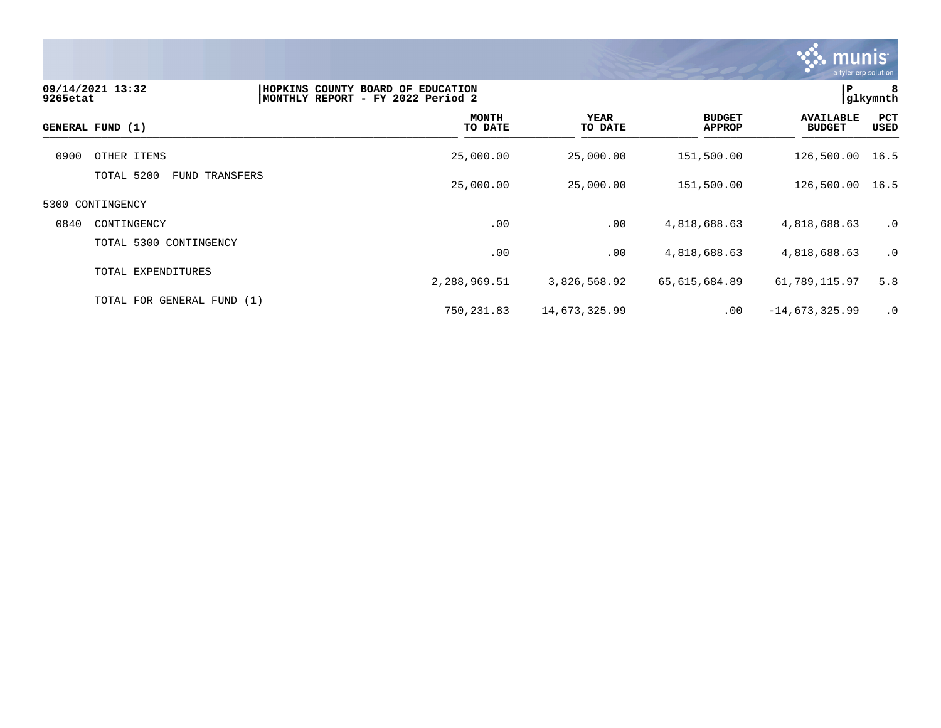

| 9265etat | 09/14/2021 13:32                | HOPKINS COUNTY BOARD OF EDUCATION<br> MONTHLY REPORT - FY 2022 Period 2 |                 |                                | P                                 | 8<br> glkymnth |
|----------|---------------------------------|-------------------------------------------------------------------------|-----------------|--------------------------------|-----------------------------------|----------------|
|          | GENERAL FUND (1)                | <b>MONTH</b><br>TO DATE                                                 | YEAR<br>TO DATE | <b>BUDGET</b><br><b>APPROP</b> | <b>AVAILABLE</b><br><b>BUDGET</b> | PCT<br>USED    |
| 0900     | OTHER ITEMS                     | 25,000.00                                                               | 25,000.00       | 151,500.00                     | 126,500.00 16.5                   |                |
|          | TOTAL 5200<br>TRANSFERS<br>FUND | 25,000.00                                                               | 25,000.00       | 151,500.00                     | 126,500.00                        | 16.5           |
|          | 5300 CONTINGENCY                |                                                                         |                 |                                |                                   |                |
| 0840     | CONTINGENCY                     | .00                                                                     | .00             | 4,818,688.63                   | 4,818,688.63                      | $\cdot$ 0      |
|          | TOTAL 5300 CONTINGENCY          | .00                                                                     | .00             | 4,818,688.63                   | 4,818,688.63                      | .0             |
|          | TOTAL EXPENDITURES              | 2,288,969.51                                                            | 3,826,568.92    | 65,615,684.89                  | 61,789,115.97                     | 5.8            |
|          | TOTAL FOR GENERAL FUND (1)      | 750,231.83                                                              | 14,673,325.99   | .00                            | $-14,673,325.99$                  | $\cdot$ 0      |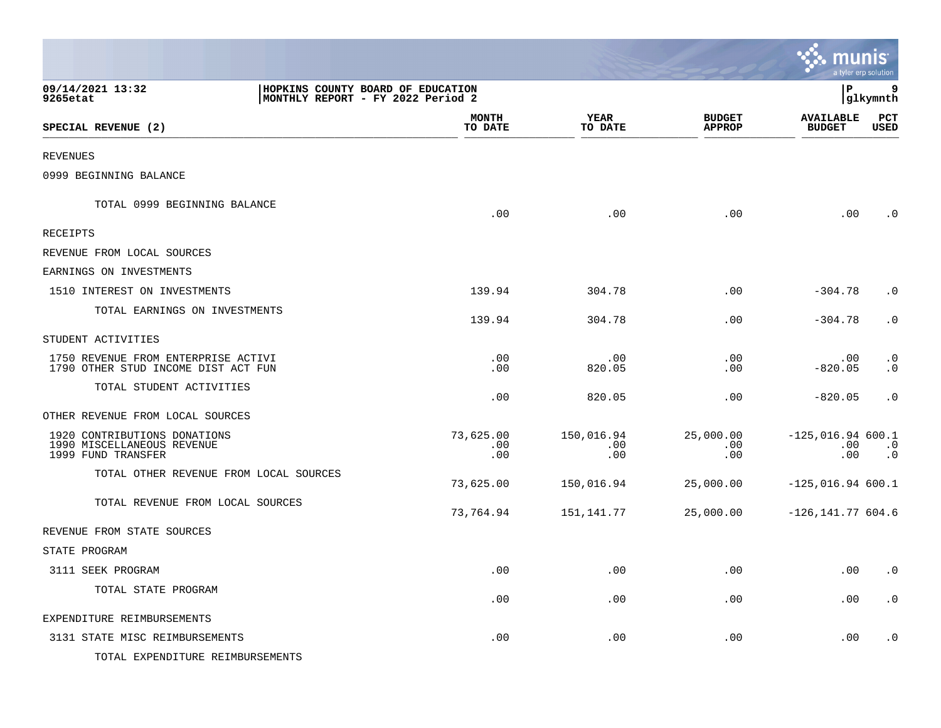|                                                                                                        |                         |                               |                                |                                        | munis <sup>.</sup><br>a tyler erp solution |
|--------------------------------------------------------------------------------------------------------|-------------------------|-------------------------------|--------------------------------|----------------------------------------|--------------------------------------------|
| 09/14/2021 13:32<br>HOPKINS COUNTY BOARD OF EDUCATION<br>MONTHLY REPORT - FY 2022 Period 2<br>9265etat |                         |                               |                                | ΙP                                     | 9<br>glkymnth                              |
| SPECIAL REVENUE (2)                                                                                    | <b>MONTH</b><br>TO DATE | <b>YEAR</b><br>TO DATE        | <b>BUDGET</b><br><b>APPROP</b> | <b>AVAILABLE</b><br><b>BUDGET</b>      | PCT<br>USED                                |
| <b>REVENUES</b>                                                                                        |                         |                               |                                |                                        |                                            |
| 0999 BEGINNING BALANCE                                                                                 |                         |                               |                                |                                        |                                            |
| TOTAL 0999 BEGINNING BALANCE                                                                           | .00                     | .00                           | .00                            | .00                                    | $\cdot$ 0                                  |
| RECEIPTS                                                                                               |                         |                               |                                |                                        |                                            |
| REVENUE FROM LOCAL SOURCES                                                                             |                         |                               |                                |                                        |                                            |
| EARNINGS ON INVESTMENTS                                                                                |                         |                               |                                |                                        |                                            |
| 1510 INTEREST ON INVESTMENTS                                                                           | 139.94                  | 304.78                        | $.00 \,$                       | $-304.78$                              | $\cdot$ 0                                  |
| TOTAL EARNINGS ON INVESTMENTS                                                                          | 139.94                  | 304.78                        | .00                            | $-304.78$                              | $\cdot$ 0                                  |
| STUDENT ACTIVITIES                                                                                     |                         |                               |                                |                                        |                                            |
| 1750 REVENUE FROM ENTERPRISE ACTIVI<br>1790 OTHER STUD INCOME DIST ACT FUN                             | .00<br>.00              | $.00 \,$<br>820.05            | $.00 \,$<br>$.00 \,$           | $.00 \,$<br>$-820.05$                  | $\cdot$ 0<br>$\cdot$ 0                     |
| TOTAL STUDENT ACTIVITIES                                                                               | .00                     | 820.05                        | .00                            | $-820.05$                              | $\cdot$ 0                                  |
| OTHER REVENUE FROM LOCAL SOURCES                                                                       |                         |                               |                                |                                        |                                            |
| 1920 CONTRIBUTIONS DONATIONS<br>1990 MISCELLANEOUS REVENUE<br>1999 FUND TRANSFER                       | 73,625.00<br>.00<br>.00 | 150,016.94<br>$.00 \,$<br>.00 | 25,000.00<br>.00<br>.00        | $-125,016.94$ 600.1<br>$.00 \,$<br>.00 | $\cdot$ 0<br>$\cdot$ 0                     |
| TOTAL OTHER REVENUE FROM LOCAL SOURCES                                                                 | 73,625.00               | 150,016.94                    | 25,000.00                      | $-125,016.94$ 600.1                    |                                            |
| TOTAL REVENUE FROM LOCAL SOURCES                                                                       | 73,764.94               | 151,141.77                    | 25,000.00                      | $-126, 141.77604.6$                    |                                            |
| REVENUE FROM STATE SOURCES                                                                             |                         |                               |                                |                                        |                                            |
| STATE PROGRAM                                                                                          |                         |                               |                                |                                        |                                            |
| 3111 SEEK PROGRAM                                                                                      | .00                     | .00                           | $.00\,$                        |                                        | $.00 \qquad .0$                            |
| TOTAL STATE PROGRAM                                                                                    | .00                     | .00                           | .00                            | .00                                    | $\boldsymbol{\cdot}$ 0                     |
| EXPENDITURE REIMBURSEMENTS                                                                             |                         |                               |                                |                                        |                                            |
| 3131 STATE MISC REIMBURSEMENTS                                                                         | .00                     | .00                           | .00                            | .00                                    | $\cdot$ 0                                  |
| TOTAL EXPENDITURE REIMBURSEMENTS                                                                       |                         |                               |                                |                                        |                                            |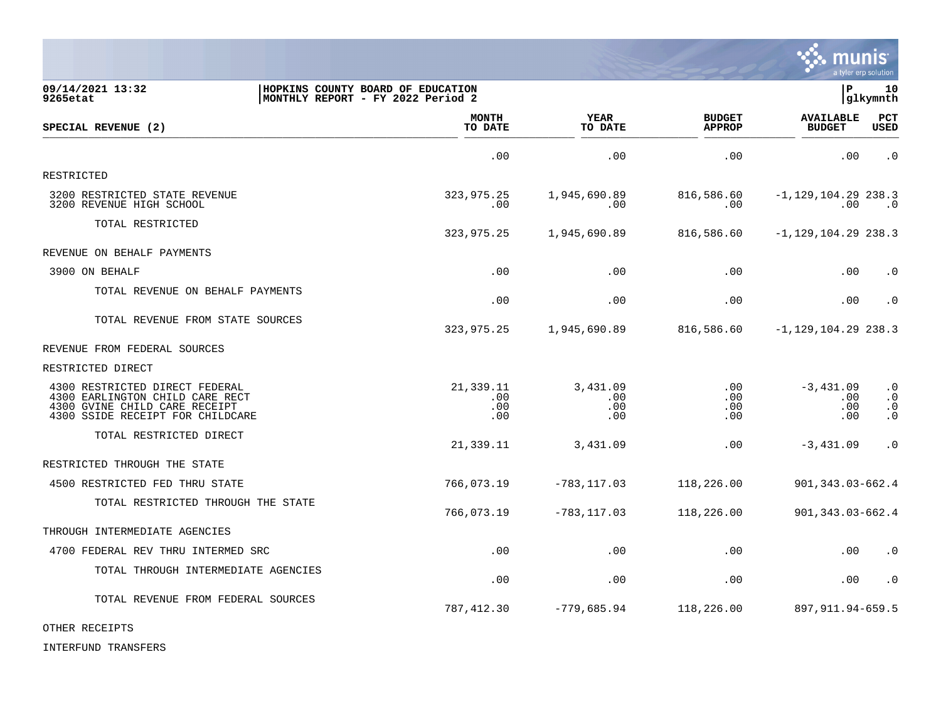

| 09/14/2021 13:32<br>9265etat                                                                                                           | HOPKINS COUNTY BOARD OF EDUCATION<br> MONTHLY REPORT - FY 2022 Period 2 |                               |                                    | P.                                         | 10<br>glkymnth                                                |
|----------------------------------------------------------------------------------------------------------------------------------------|-------------------------------------------------------------------------|-------------------------------|------------------------------------|--------------------------------------------|---------------------------------------------------------------|
| SPECIAL REVENUE (2)                                                                                                                    | <b>MONTH</b><br>TO DATE                                                 | YEAR<br>TO DATE               | <b>BUDGET</b><br><b>APPROP</b>     | <b>AVAILABLE</b><br><b>BUDGET</b>          | PCT<br><b>USED</b>                                            |
|                                                                                                                                        | .00                                                                     | .00                           | .00                                | .00                                        | $\cdot$ 0                                                     |
| RESTRICTED                                                                                                                             |                                                                         |                               |                                    |                                            |                                                               |
| 3200 RESTRICTED STATE REVENUE<br>3200 REVENUE HIGH SCHOOL                                                                              | 323,975.25<br>$.00 \,$                                                  | 1,945,690.89<br>.00           | 816,586.60<br>.00                  | $-1, 129, 104.29$ 238.3<br>$.00 \,$        | $\cdot$ 0                                                     |
| TOTAL RESTRICTED                                                                                                                       | 323,975.25                                                              | 1,945,690.89                  | 816,586.60                         | $-1, 129, 104.29$ 238.3                    |                                                               |
| REVENUE ON BEHALF PAYMENTS                                                                                                             |                                                                         |                               |                                    |                                            |                                                               |
| 3900 ON BEHALF                                                                                                                         | $.00 \,$                                                                | .00                           | .00                                | .00                                        | $\cdot$ 0                                                     |
| TOTAL REVENUE ON BEHALF PAYMENTS                                                                                                       | .00                                                                     | .00                           | .00                                | .00                                        | $\cdot$ 0                                                     |
| TOTAL REVENUE FROM STATE SOURCES                                                                                                       | 323,975.25                                                              | 1,945,690.89                  | 816,586.60                         | $-1, 129, 104.29$ 238.3                    |                                                               |
| REVENUE FROM FEDERAL SOURCES                                                                                                           |                                                                         |                               |                                    |                                            |                                                               |
| RESTRICTED DIRECT                                                                                                                      |                                                                         |                               |                                    |                                            |                                                               |
| 4300 RESTRICTED DIRECT FEDERAL<br>4300 EARLINGTON CHILD CARE RECT<br>4300 GVINE CHILD CARE RECEIPT<br>4300 SSIDE RECEIPT FOR CHILDCARE | 21,339.11<br>$.00 \,$<br>.00<br>.00                                     | 3,431.09<br>.00<br>.00<br>.00 | .00<br>$.00 \,$<br>$.00 \,$<br>.00 | $-3,431.09$<br>$.00 \,$<br>$.00 \,$<br>.00 | $\cdot$ 0<br>$\cdot$ 0<br>$\cdot$ 0<br>$\boldsymbol{\cdot}$ 0 |
| TOTAL RESTRICTED DIRECT                                                                                                                | 21,339.11                                                               | 3,431.09                      | .00                                | $-3,431.09$                                | $\cdot$ 0                                                     |
| RESTRICTED THROUGH THE STATE                                                                                                           |                                                                         |                               |                                    |                                            |                                                               |
| 4500 RESTRICTED FED THRU STATE                                                                                                         | 766,073.19                                                              | $-783, 117.03$                | 118,226.00                         | 901, 343.03-662.4                          |                                                               |
| TOTAL RESTRICTED THROUGH THE STATE                                                                                                     | 766,073.19                                                              | $-783, 117.03$                | 118,226.00                         | 901, 343.03-662.4                          |                                                               |
| THROUGH INTERMEDIATE AGENCIES                                                                                                          |                                                                         |                               |                                    |                                            |                                                               |
| 4700 FEDERAL REV THRU INTERMED SRC                                                                                                     | .00                                                                     | .00                           | .00                                | .00                                        | $\cdot$ 0                                                     |
| TOTAL THROUGH INTERMEDIATE AGENCIES                                                                                                    | .00                                                                     | .00                           | .00                                | $.00 \,$                                   | $\cdot$ 0                                                     |
| TOTAL REVENUE FROM FEDERAL SOURCES                                                                                                     | 787,412.30                                                              | $-779,685.94$                 | 118,226.00                         | 897, 911. 94 - 659. 5                      |                                                               |

OTHER RECEIPTS

INTERFUND TRANSFERS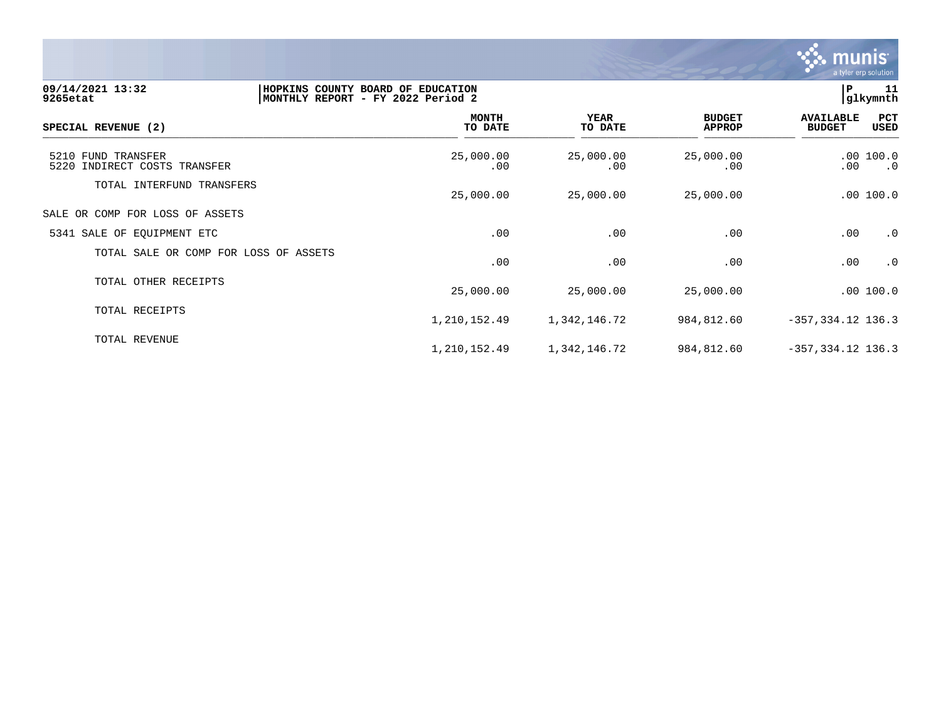

| 09/14/2021 13:32<br>9265etat                       | HOPKINS COUNTY BOARD OF EDUCATION<br>11<br>P<br>glkymnth<br>MONTHLY REPORT - FY 2022 Period 2 |                        |                                |                                   |                                          |  |  |
|----------------------------------------------------|-----------------------------------------------------------------------------------------------|------------------------|--------------------------------|-----------------------------------|------------------------------------------|--|--|
| SPECIAL REVENUE (2)                                | <b>MONTH</b><br>TO DATE                                                                       | <b>YEAR</b><br>TO DATE | <b>BUDGET</b><br><b>APPROP</b> | <b>AVAILABLE</b><br><b>BUDGET</b> | PCT<br>USED                              |  |  |
| 5210 FUND TRANSFER<br>5220 INDIRECT COSTS TRANSFER | 25,000.00<br>.00                                                                              | 25,000.00<br>.00       | 25,000.00<br>.00               | $.00 \ \,$                        | .00 100.0<br>$\overline{\phantom{0}}$ .0 |  |  |
| TOTAL INTERFUND TRANSFERS                          | 25,000.00                                                                                     | 25,000.00              | 25,000.00                      |                                   | .00 100.0                                |  |  |
| SALE OR COMP FOR LOSS OF ASSETS                    |                                                                                               |                        |                                |                                   |                                          |  |  |
| 5341 SALE OF EQUIPMENT ETC                         | .00                                                                                           | .00                    | .00                            | .00                               | $\cdot$ 0                                |  |  |
| TOTAL SALE OR COMP FOR LOSS OF ASSETS              | .00                                                                                           | .00                    | .00                            | .00                               | $\cdot$ 0                                |  |  |
| TOTAL OTHER RECEIPTS                               | 25,000.00                                                                                     | 25,000.00              | 25,000.00                      |                                   | .00 100.0                                |  |  |
| TOTAL RECEIPTS                                     | 1,210,152.49                                                                                  | 1,342,146.72           | 984,812.60                     | $-357, 334.12$ 136.3              |                                          |  |  |
| TOTAL REVENUE                                      | 1,210,152.49                                                                                  | 1,342,146.72           | 984,812.60                     | $-357, 334.12$ 136.3              |                                          |  |  |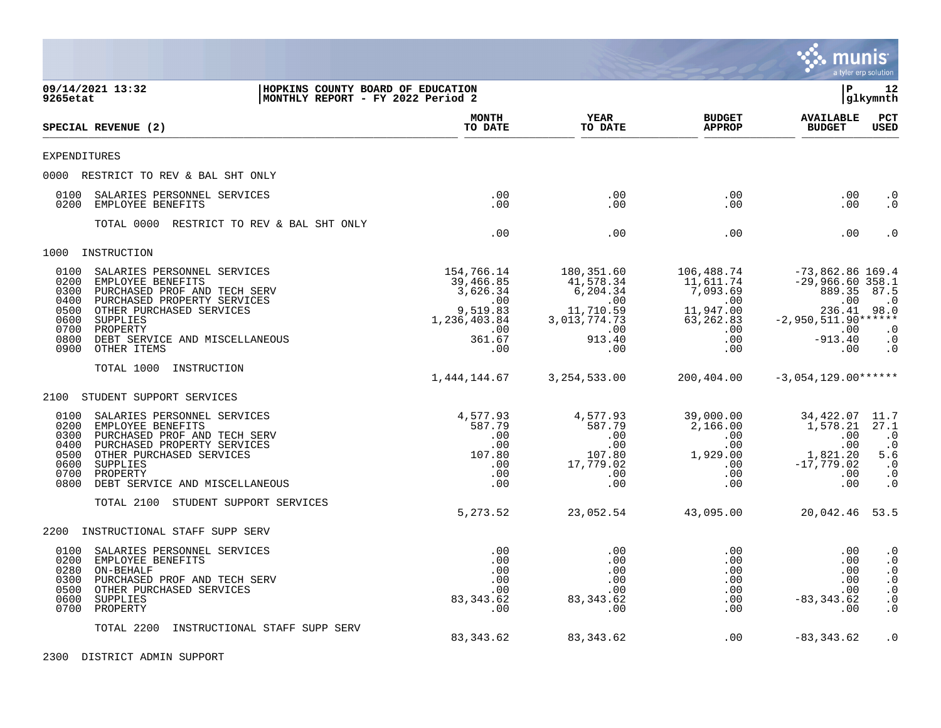

| 9265etat                                                     | 09/14/2021 13:32                                                                                                                                                                                      | HOPKINS COUNTY BOARD OF EDUCATION<br>MONTHLY REPORT - FY 2022 Period 2 |                                                                        |                                                                           |                                                                          | lР                                                                                                | 12<br> glkymnth                                                                         |
|--------------------------------------------------------------|-------------------------------------------------------------------------------------------------------------------------------------------------------------------------------------------------------|------------------------------------------------------------------------|------------------------------------------------------------------------|---------------------------------------------------------------------------|--------------------------------------------------------------------------|---------------------------------------------------------------------------------------------------|-----------------------------------------------------------------------------------------|
|                                                              | SPECIAL REVENUE (2)                                                                                                                                                                                   |                                                                        | <b>MONTH</b><br>TO DATE                                                | YEAR<br>TO DATE                                                           | <b>BUDGET</b><br><b>APPROP</b>                                           | <b>AVAILABLE</b><br><b>BUDGET</b>                                                                 | $_{\rm PCT}$<br><b>USED</b>                                                             |
| EXPENDITURES                                                 |                                                                                                                                                                                                       |                                                                        |                                                                        |                                                                           |                                                                          |                                                                                                   |                                                                                         |
|                                                              | 0000 RESTRICT TO REV & BAL SHT ONLY                                                                                                                                                                   |                                                                        |                                                                        |                                                                           |                                                                          |                                                                                                   |                                                                                         |
| 0100<br>0200                                                 | SALARIES PERSONNEL SERVICES<br>EMPLOYEE BENEFITS                                                                                                                                                      |                                                                        | .00<br>.00                                                             | .00<br>$.00 \,$                                                           | .00<br>.00                                                               | .00<br>.00                                                                                        | $\cdot$ 0<br>$\cdot$ 0                                                                  |
|                                                              | TOTAL 0000 RESTRICT TO REV & BAL SHT ONLY                                                                                                                                                             |                                                                        | .00                                                                    | .00                                                                       | .00                                                                      | .00                                                                                               | . 0                                                                                     |
| 1000                                                         | INSTRUCTION                                                                                                                                                                                           |                                                                        |                                                                        |                                                                           |                                                                          |                                                                                                   |                                                                                         |
| 0100<br>0200<br>0300<br>0400<br>0500<br>0600                 | SALARIES PERSONNEL SERVICES<br>EMPLOYEE BENEFITS<br>PURCHASED PROF AND TECH SERV<br>PURCHASED PROPERTY SERVICES<br>OTHER PURCHASED SERVICES<br>SUPPLIES                                               |                                                                        | 154,766.14<br>39,466.85<br>3,626.34<br>.00<br>9,519.83<br>1,236,403.84 | 180,351.60<br>41,578.34<br>6,204.34<br>.00<br>11,710.59<br>3,013,774.73   | 106,488.74<br>11,611.74<br>7,093.69<br>.00<br>11,947.00<br>63,262.83     | $-73,862.86$ 169.4<br>$-29,966.60$ 358.1<br>889.35 87.5<br>.00<br>236.41<br>$-2,950,511.90******$ | $\cdot$ .0<br>98.0                                                                      |
| 0700<br>0800<br>0900                                         | PROPERTY<br>DEBT SERVICE AND MISCELLANEOUS<br>OTHER ITEMS                                                                                                                                             |                                                                        | .00<br>361.67<br>.00                                                   | .00<br>913.40<br>.00                                                      | .00<br>.00<br>.00                                                        | .00<br>$-913.40$<br>.00                                                                           | $\cdot$ 0<br>$\cdot$ 0<br>$\cdot$ 0                                                     |
|                                                              | TOTAL 1000<br>INSTRUCTION                                                                                                                                                                             |                                                                        | 1,444,144.67                                                           | 3, 254, 533.00                                                            | 200,404.00                                                               | $-3,054,129.00******$                                                                             |                                                                                         |
| 2100                                                         | STUDENT SUPPORT SERVICES                                                                                                                                                                              |                                                                        |                                                                        |                                                                           |                                                                          |                                                                                                   |                                                                                         |
| 0100<br>0200<br>0300<br>0400<br>0500<br>0600<br>0700<br>0800 | SALARIES PERSONNEL SERVICES<br>EMPLOYEE BENEFITS<br>PURCHASED PROF AND TECH SERV<br>PURCHASED PROPERTY SERVICES<br>OTHER PURCHASED SERVICES<br>SUPPLIES<br>PROPERTY<br>DEBT SERVICE AND MISCELLANEOUS |                                                                        | 4,577.93<br>587.79<br>.00<br>.00<br>107.80<br>.00<br>.00<br>.00        | 4,577.93<br>587.79<br>.00<br>$.00\,$<br>107.80<br>17,779.02<br>.00<br>.00 | 39,000.00<br>2,166.00<br>.00<br>$.00\,$<br>1,929.00<br>.00<br>.00<br>.00 | 34,422.07<br>1,578.21<br>.00<br>.00<br>1,821.20<br>$-17,779.02$<br>.00<br>.00                     | 11.7<br>27.1<br>$\cdot$ 0<br>$\cdot$ 0<br>5.6<br>$\cdot$ 0<br>$\cdot$ 0<br>$\cdot$ 0    |
|                                                              | TOTAL 2100<br>STUDENT SUPPORT SERVICES                                                                                                                                                                |                                                                        | 5, 273.52                                                              | 23,052.54                                                                 | 43,095.00                                                                | 20,042.46 53.5                                                                                    |                                                                                         |
| 2200                                                         | INSTRUCTIONAL STAFF SUPP SERV                                                                                                                                                                         |                                                                        |                                                                        |                                                                           |                                                                          |                                                                                                   |                                                                                         |
| 0100<br>0200<br>0280<br>0300<br>0500<br>0600<br>0700         | SALARIES PERSONNEL SERVICES<br>EMPLOYEE BENEFITS<br>ON-BEHALF<br>PURCHASED PROF AND TECH SERV<br>OTHER PURCHASED SERVICES<br>SUPPLIES<br>PROPERTY                                                     |                                                                        | .00<br>.00<br>.00<br>.00<br>.00<br>83, 343.62<br>.00                   | .00<br>.00<br>.00<br>.00<br>.00<br>83,343.62<br>.00                       | .00<br>.00<br>.00<br>$.00 \,$<br>.00<br>.00<br>.00                       | .00<br>.00<br>.00<br>.00<br>.00<br>$-83, 343.62$<br>.00                                           | $\cdot$ 0<br>$\cdot$ 0<br>$\cdot$ 0<br>$\cdot$ 0<br>$\cdot$ 0<br>$\cdot$ 0<br>$\cdot$ 0 |
|                                                              | TOTAL 2200<br>INSTRUCTIONAL STAFF SUPP SERV                                                                                                                                                           |                                                                        | 83, 343.62                                                             | 83, 343.62                                                                | .00                                                                      | $-83, 343.62$                                                                                     | $\cdot$ 0                                                                               |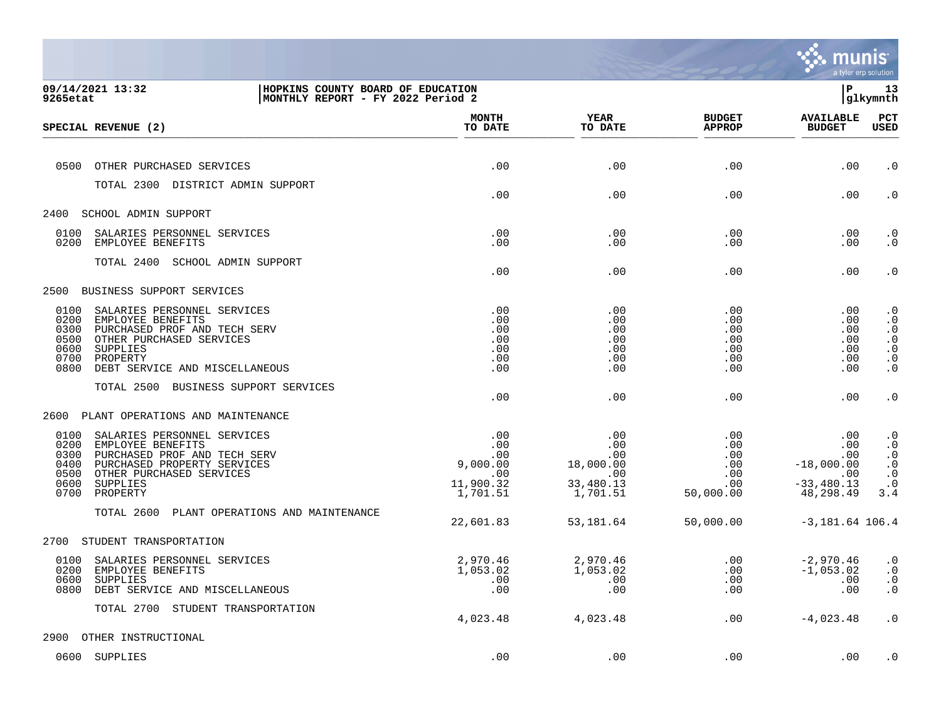

| 9265etat                                             | 09/14/2021 13:32<br>HOPKINS COUNTY BOARD OF EDUCATION<br>MONTHLY REPORT - FY 2022 Period 2                                                                             |                                                               |                                                                     |                                                          | ΙP                                                                                   | 13<br>glkymnth                                                                                              |
|------------------------------------------------------|------------------------------------------------------------------------------------------------------------------------------------------------------------------------|---------------------------------------------------------------|---------------------------------------------------------------------|----------------------------------------------------------|--------------------------------------------------------------------------------------|-------------------------------------------------------------------------------------------------------------|
|                                                      | SPECIAL REVENUE (2)                                                                                                                                                    | <b>MONTH</b><br>TO DATE                                       | <b>YEAR</b><br>TO DATE                                              | <b>BUDGET</b><br><b>APPROP</b>                           | <b>AVAILABLE</b><br><b>BUDGET</b>                                                    | PCT<br><b>USED</b>                                                                                          |
|                                                      |                                                                                                                                                                        |                                                               |                                                                     |                                                          |                                                                                      |                                                                                                             |
|                                                      | 0500 OTHER PURCHASED SERVICES                                                                                                                                          | .00                                                           | .00                                                                 | .00                                                      | .00                                                                                  | $\cdot$ 0                                                                                                   |
|                                                      | TOTAL 2300 DISTRICT ADMIN SUPPORT                                                                                                                                      | .00                                                           | .00                                                                 | .00                                                      | .00                                                                                  | $\cdot$ 0                                                                                                   |
|                                                      | 2400 SCHOOL ADMIN SUPPORT                                                                                                                                              |                                                               |                                                                     |                                                          |                                                                                      |                                                                                                             |
| 0100<br>0200                                         | SALARIES PERSONNEL SERVICES<br>EMPLOYEE BENEFITS                                                                                                                       | .00<br>.00                                                    | .00<br>.00                                                          | .00<br>.00                                               | .00<br>$.00 \,$                                                                      | $\cdot$ 0<br>$\cdot$ 0                                                                                      |
|                                                      | TOTAL 2400 SCHOOL ADMIN SUPPORT                                                                                                                                        | .00                                                           | .00                                                                 | .00                                                      | .00                                                                                  | $\cdot$ 0                                                                                                   |
| 2500                                                 | BUSINESS SUPPORT SERVICES                                                                                                                                              |                                                               |                                                                     |                                                          |                                                                                      |                                                                                                             |
| 0100<br>0200<br>0300<br>0500<br>0600<br>0700<br>0800 | SALARIES PERSONNEL SERVICES<br>EMPLOYEE BENEFITS<br>PURCHASED PROF AND TECH SERV<br>OTHER PURCHASED SERVICES<br>SUPPLIES<br>PROPERTY<br>DEBT SERVICE AND MISCELLANEOUS | .00<br>.00<br>.00<br>.00<br>.00<br>.00<br>.00                 | .00<br>.00<br>.00<br>.00<br>.00<br>.00<br>.00                       | .00<br>.00<br>.00<br>.00<br>.00<br>.00<br>.00            | $.00 \,$<br>$.00 \,$<br>$.00 \,$<br>$.00 \,$<br>$.00 \,$<br>.00<br>.00               | $\cdot$ 0<br>$\cdot$ 0<br>$\ddot{0}$<br>$\cdot$ 0<br>$\ddot{\theta}$<br>$\boldsymbol{\cdot}$ 0<br>$\cdot$ 0 |
|                                                      | TOTAL 2500 BUSINESS SUPPORT SERVICES                                                                                                                                   | .00                                                           | .00                                                                 | .00                                                      | .00                                                                                  | $\cdot$ 0                                                                                                   |
| 2600                                                 | PLANT OPERATIONS AND MAINTENANCE                                                                                                                                       |                                                               |                                                                     |                                                          |                                                                                      |                                                                                                             |
| 0100<br>0200<br>0300<br>0400<br>0500<br>0600<br>0700 | SALARIES PERSONNEL SERVICES<br>EMPLOYEE BENEFITS<br>PURCHASED PROF AND TECH SERV<br>PURCHASED PROPERTY SERVICES<br>OTHER PURCHASED SERVICES<br>SUPPLIES<br>PROPERTY    | .00<br>.00<br>.00<br>9,000.00<br>.00<br>11,900.32<br>1,701.51 | .00<br>$.00 \,$<br>.00<br>18,000.00<br>.00<br>33,480.13<br>1,701.51 | .00<br>$.00 \,$<br>.00<br>.00<br>.00<br>.00<br>50,000.00 | $.00 \,$<br>$.00 \,$<br>$.00 \,$<br>$-18,000.00$<br>.00<br>$-33,480.13$<br>48,298.49 | $\cdot$ 0<br>$\cdot$ 0<br>$\ddot{0}$<br>$\begin{array}{c} . & 0 \\ . & 0 \end{array}$<br>$\cdot$ 0<br>3.4   |
|                                                      | TOTAL 2600<br>PLANT OPERATIONS AND MAINTENANCE                                                                                                                         | 22,601.83                                                     | 53,181.64                                                           | 50,000.00                                                | $-3,181.64$ 106.4                                                                    |                                                                                                             |
|                                                      | 2700 STUDENT TRANSPORTATION                                                                                                                                            |                                                               |                                                                     |                                                          |                                                                                      |                                                                                                             |
| 0100<br>0200<br>0600<br>0800                         | SALARIES PERSONNEL SERVICES<br>EMPLOYEE BENEFITS<br>SUPPLIES<br>DEBT SERVICE AND MISCELLANEOUS                                                                         | 2,970.46<br>1,053.02<br>.00<br>.00                            | 2,970.46<br>1,053.02<br>.00<br>.00                                  | .00<br>.00<br>.00<br>.00                                 | $-2,970.46$<br>$-1,053.02$<br>$.00 \,$<br>.00                                        | $\cdot$ 0<br>$\cdot$ 0<br>$\boldsymbol{\cdot}$ 0<br>$\boldsymbol{\cdot}$ 0                                  |
|                                                      | TOTAL 2700 STUDENT TRANSPORTATION                                                                                                                                      | 4,023.48                                                      | 4,023.48                                                            | .00                                                      | $-4,023.48$                                                                          | $\cdot$ 0                                                                                                   |
| 2900                                                 | OTHER INSTRUCTIONAL                                                                                                                                                    |                                                               |                                                                     |                                                          |                                                                                      |                                                                                                             |
|                                                      | 0600 SUPPLIES                                                                                                                                                          | .00                                                           | .00                                                                 | .00                                                      | .00                                                                                  | $\cdot$ 0                                                                                                   |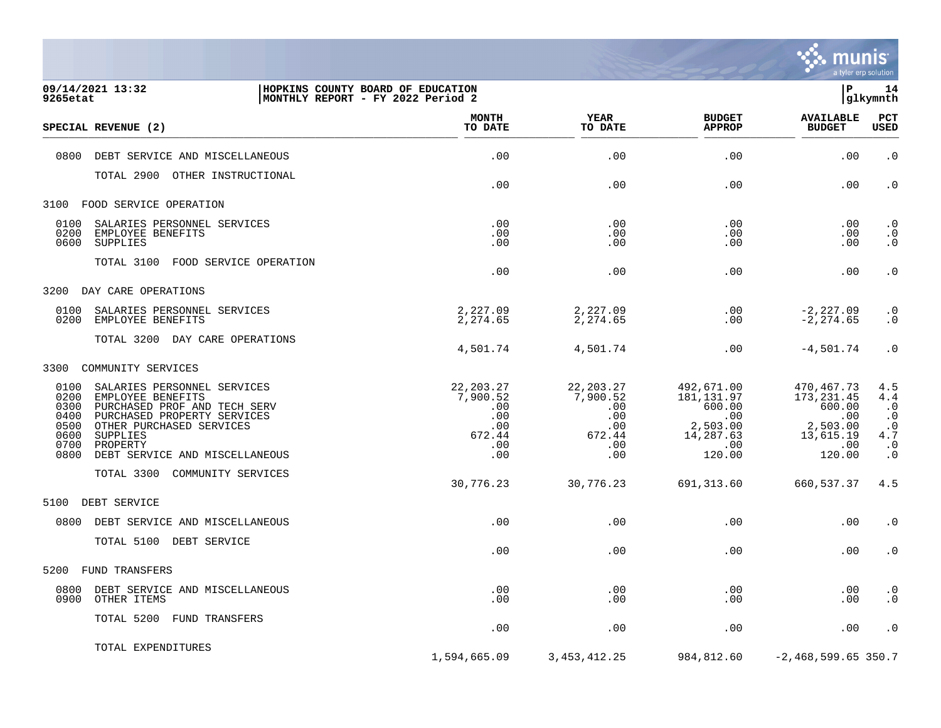

| 9265etat     | 09/14/2021 13:32<br>HOPKINS COUNTY BOARD OF EDUCATION<br> MONTHLY REPORT - FY 2022 Period 2 |                         |                        |                                | l P                               | 14<br>glkymnth         |
|--------------|---------------------------------------------------------------------------------------------|-------------------------|------------------------|--------------------------------|-----------------------------------|------------------------|
|              | SPECIAL REVENUE (2)                                                                         | <b>MONTH</b><br>TO DATE | <b>YEAR</b><br>TO DATE | <b>BUDGET</b><br><b>APPROP</b> | <b>AVAILABLE</b><br><b>BUDGET</b> | PCT<br><b>USED</b>     |
| 0800         | DEBT SERVICE AND MISCELLANEOUS                                                              | .00                     | .00                    | .00                            | .00                               | $\cdot$ 0              |
|              | TOTAL 2900 OTHER INSTRUCTIONAL                                                              |                         |                        |                                |                                   |                        |
|              |                                                                                             | .00                     | .00                    | .00                            | .00                               | $\cdot$ 0              |
|              | 3100 FOOD SERVICE OPERATION                                                                 |                         |                        |                                |                                   |                        |
| 0100         | SALARIES PERSONNEL SERVICES                                                                 | .00                     | .00                    | .00                            | .00                               | $\cdot$ 0              |
| 0200<br>0600 | EMPLOYEE BENEFITS<br>SUPPLIES                                                               | .00<br>.00              | .00<br>.00             | .00<br>.00                     | $.00 \,$<br>.00                   | $\cdot$ 0<br>$\cdot$ 0 |
|              |                                                                                             |                         |                        |                                |                                   |                        |
|              | TOTAL 3100 FOOD SERVICE OPERATION                                                           |                         |                        |                                |                                   |                        |
|              |                                                                                             | .00                     | .00                    | .00                            | .00                               | $\cdot$ 0              |
|              | 3200 DAY CARE OPERATIONS                                                                    |                         |                        |                                |                                   |                        |
| 0100         | SALARIES PERSONNEL SERVICES                                                                 | 2,227.09                | 2,227.09               | .00                            | $-2, 227.09$                      | $\cdot$ 0              |
| 0200         | EMPLOYEE BENEFITS                                                                           | 2,274.65                | 2,274.65               | .00                            | $-2, 274.65$                      | $\cdot$ 0              |
|              |                                                                                             |                         |                        |                                |                                   |                        |
|              | TOTAL 3200 DAY CARE OPERATIONS                                                              | 4,501.74                | 4,501.74               | .00                            | $-4,501.74$                       | $\cdot$ 0              |
|              |                                                                                             |                         |                        |                                |                                   |                        |
| 3300         | COMMUNITY SERVICES                                                                          |                         |                        |                                |                                   |                        |
| 0100         | SALARIES PERSONNEL SERVICES                                                                 | 22, 203. 27             | 22, 203. 27            | 492,671.00                     | 470,467.73                        | 4.5                    |
| 0200         | EMPLOYEE BENEFITS                                                                           | 7,900.52                | 7,900.52               | 181, 131.97                    | 173, 231.45                       | 4.4                    |
| 0300         | PURCHASED PROF AND TECH SERV                                                                | .00                     | .00                    | 600.00                         | 600.00                            | $\cdot$ 0              |
| 0400<br>0500 | PURCHASED PROPERTY SERVICES<br>OTHER PURCHASED SERVICES                                     | .00<br>.00              | .00<br>.00             | .00<br>2,503.00                | .00<br>2,503.00                   | $\cdot$ 0<br>$\cdot$ 0 |
| 0600         | SUPPLIES                                                                                    | 672.44                  | 672.44                 | 14,287.63                      | 13,615.19                         | $4\,.7$                |
| 0700         | PROPERTY                                                                                    | .00                     | .00                    | .00                            | .00                               | $\cdot$ 0              |
| 0800         | DEBT SERVICE AND MISCELLANEOUS                                                              | .00                     | .00                    | 120.00                         | 120.00                            | $\overline{0}$         |
|              | TOTAL 3300 COMMUNITY SERVICES                                                               |                         |                        |                                |                                   |                        |
|              |                                                                                             | 30,776.23               | 30,776.23              | 691,313.60                     | 660,537.37                        | 4.5                    |
| 5100         | DEBT SERVICE                                                                                |                         |                        |                                |                                   |                        |
|              | 0800 DEBT SERVICE AND MISCELLANEOUS                                                         | .00                     | .00                    | .00                            | .00                               | $\cdot$ 0              |
|              | TOTAL 5100 DEBT SERVICE                                                                     |                         |                        |                                |                                   |                        |
|              |                                                                                             | .00                     | .00                    | .00                            | .00                               | $\cdot$ 0              |
| 5200         | FUND TRANSFERS                                                                              |                         |                        |                                |                                   |                        |
| 0800         | DEBT SERVICE AND MISCELLANEOUS                                                              | .00                     | .00                    | .00                            | .00                               | $\cdot$ 0              |
| 0900         | OTHER ITEMS                                                                                 | .00                     | .00                    | .00                            | .00                               | $\cdot$ 0              |
|              | TOTAL 5200<br>FUND TRANSFERS                                                                |                         |                        |                                |                                   |                        |
|              |                                                                                             | .00                     | .00                    | .00                            | .00                               | $\cdot$ 0              |
|              | TOTAL EXPENDITURES                                                                          |                         |                        |                                |                                   |                        |
|              |                                                                                             | 1,594,665.09            | 3, 453, 412. 25        | 984,812.60                     | $-2,468,599.65$ 350.7             |                        |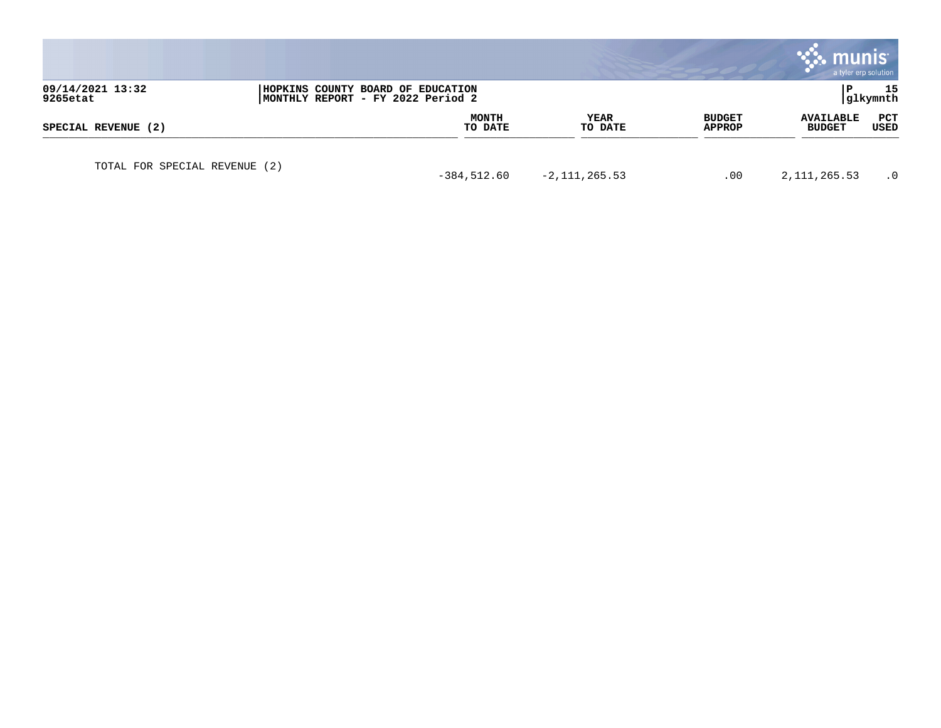|                               |                                                                        |                         |                        |                         | munis<br>a tyler erp solution     |                 |
|-------------------------------|------------------------------------------------------------------------|-------------------------|------------------------|-------------------------|-----------------------------------|-----------------|
| 09/14/2021 13:32<br>9265etat  | HOPKINS COUNTY BOARD OF EDUCATION<br>MONTHLY REPORT - FY 2022 Period 2 |                         |                        |                         | P                                 | 15<br> glkymnth |
| SPECIAL REVENUE (2)           |                                                                        | <b>MONTH</b><br>TO DATE | <b>YEAR</b><br>TO DATE | <b>BUDGET</b><br>APPROP | <b>AVAILABLE</b><br><b>BUDGET</b> | PCT<br>USED     |
| TOTAL FOR SPECIAL REVENUE (2) |                                                                        | $-384,512.60$           | $-2, 111, 265.53$      | .00                     | 2, 111, 265.53                    | $\cdot$ 0       |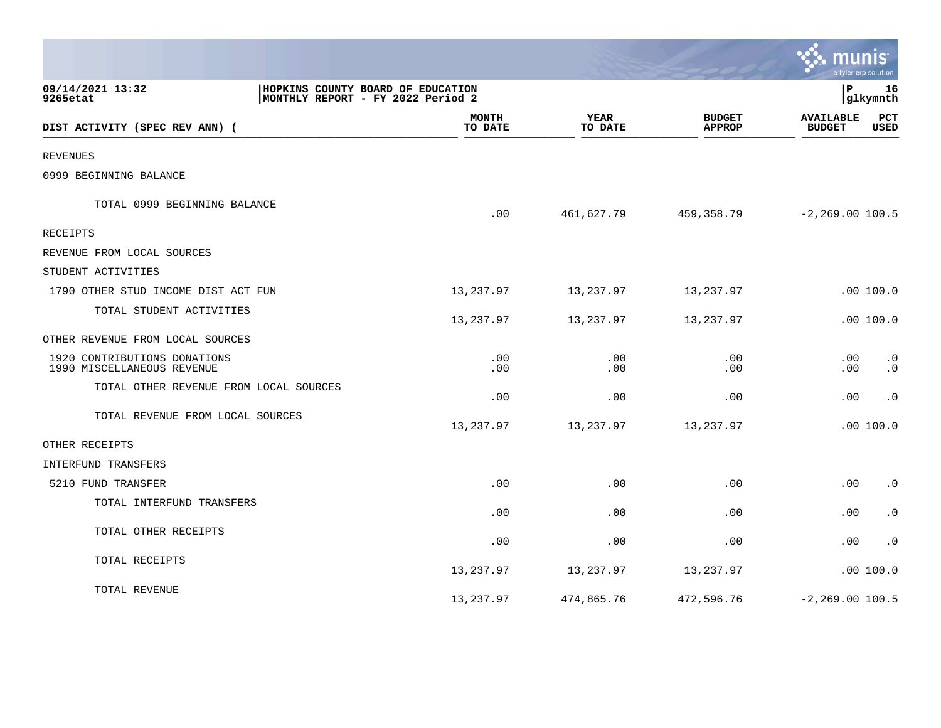|                                                            |                                                                        |                        |                                | munis                             | a tyler erp solution   |
|------------------------------------------------------------|------------------------------------------------------------------------|------------------------|--------------------------------|-----------------------------------|------------------------|
| 09/14/2021 13:32<br>9265etat                               | HOPKINS COUNTY BOARD OF EDUCATION<br>MONTHLY REPORT - FY 2022 Period 2 |                        |                                |                                   | 16<br>glkymnth         |
| DIST ACTIVITY (SPEC REV ANN) (                             | <b>MONTH</b><br>TO DATE                                                | <b>YEAR</b><br>TO DATE | <b>BUDGET</b><br><b>APPROP</b> | <b>AVAILABLE</b><br><b>BUDGET</b> | PCT<br>USED            |
| <b>REVENUES</b>                                            |                                                                        |                        |                                |                                   |                        |
| 0999 BEGINNING BALANCE                                     |                                                                        |                        |                                |                                   |                        |
| TOTAL 0999 BEGINNING BALANCE                               | .00                                                                    | 461,627.79             | 459,358.79                     | $-2, 269.00 100.5$                |                        |
| RECEIPTS                                                   |                                                                        |                        |                                |                                   |                        |
| REVENUE FROM LOCAL SOURCES                                 |                                                                        |                        |                                |                                   |                        |
| STUDENT ACTIVITIES                                         |                                                                        |                        |                                |                                   |                        |
| 1790 OTHER STUD INCOME DIST ACT FUN                        | 13,237.97                                                              | 13,237.97              | 13,237.97                      |                                   | .00 100.0              |
| TOTAL STUDENT ACTIVITIES                                   | 13,237.97                                                              | 13,237.97              | 13,237.97                      |                                   | .00 100.0              |
| OTHER REVENUE FROM LOCAL SOURCES                           |                                                                        |                        |                                |                                   |                        |
| 1920 CONTRIBUTIONS DONATIONS<br>1990 MISCELLANEOUS REVENUE | .00<br>.00                                                             | .00<br>.00             | .00<br>.00                     | .00<br>.00                        | $\cdot$ 0<br>$\cdot$ 0 |
| TOTAL OTHER REVENUE FROM LOCAL SOURCES                     | .00                                                                    | .00                    | .00                            | .00                               | $\cdot$ 0              |
| TOTAL REVENUE FROM LOCAL SOURCES                           | 13,237.97                                                              | 13,237.97              | 13,237.97                      |                                   | .00100.0               |
| OTHER RECEIPTS                                             |                                                                        |                        |                                |                                   |                        |
| INTERFUND TRANSFERS                                        |                                                                        |                        |                                |                                   |                        |
| 5210 FUND TRANSFER                                         | .00                                                                    | .00                    | .00                            | .00                               | $\cdot$ 0              |
| TOTAL INTERFUND TRANSFERS                                  | .00                                                                    | .00                    | .00                            | .00                               | $\cdot$ 0              |
| TOTAL OTHER RECEIPTS                                       | .00                                                                    | .00                    | .00                            | .00                               | $\cdot$ 0              |
| TOTAL RECEIPTS                                             | 13,237.97                                                              | 13,237.97              | 13,237.97                      |                                   | .00100.0               |
| TOTAL REVENUE                                              | 13,237.97                                                              | 474,865.76             | 472,596.76                     | $-2, 269.00 100.5$                |                        |

 $\mathcal{L}^{\text{max}}$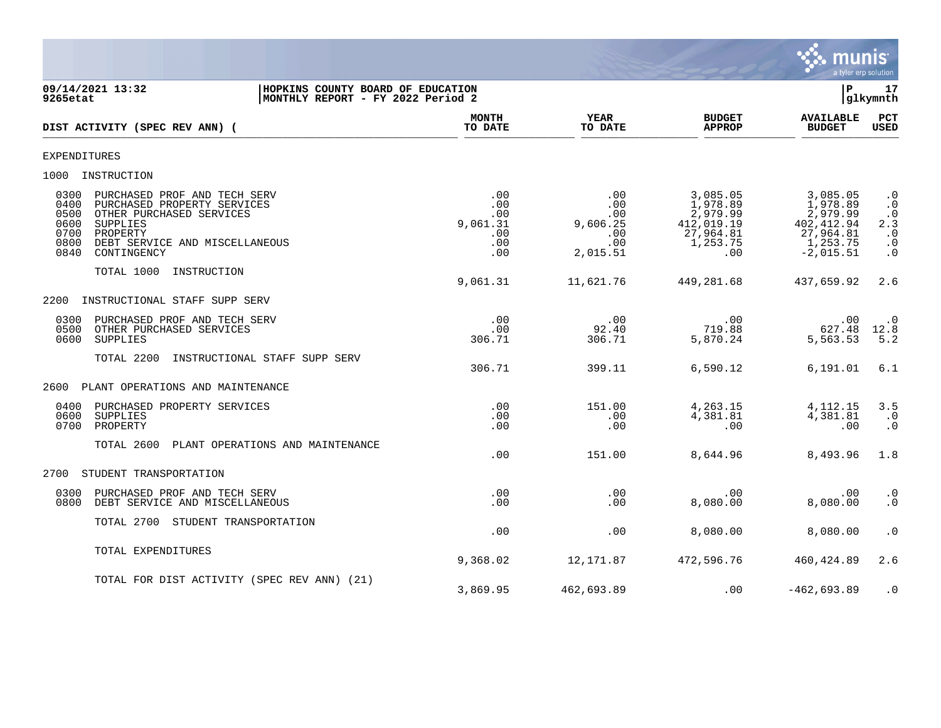

**09/14/2021 13:32 |HOPKINS COUNTY BOARD OF EDUCATION |P 17 MONTHLY REPORT - FY 2022 Period 2 MONTH YEAR BUDGET AVAILABLE PCT**<br>TO DATE TO DATE APPROP BUDGET USED **DIST ACTIVITY (SPEC REV ANN) (**  $\frac{10 \text{ Bhe}}{10 \text{ Bhe}}$   $\frac{10 \text{ Bhe}}{10 \text{ Bhe}}$   $\frac{10 \text{ Bhe}}{10 \text{ Bhe}}$   $\frac{10 \text{ Bhe}}{10 \text{ Bhe}}$   $\frac{10 \text{ Bhe}}{10 \text{ Bhe}}$   $\frac{10 \text{ Bhe}}{10 \text{ Bhe}}$   $\frac{10 \text{ Bhe}}{10 \text{ Bhe}}$ EXPENDITURES 1000 INSTRUCTION 0300 PURCHASED PROF AND TECH SERV .00 .00 3,085.05 3,085.05 .0 0400 PURCHASED PROPERTY SERVICES .00 .00 1,978.89 1,978.89 .0 0500 OTHER PURCHASED SERVICES .00 .00 2,979.99 2,979.99 .0 0600 SUPPLIES 9,061.31 9,606.25 412,019.19 402,412.94 2.3 0700 PROPERTY .00 .00 27,964.81 27,964.81 .0 0800 DEBT SERVICE AND MISCELLANEOUS .00 .00 1,253.75 1,253.75 .0 0840 CONTINGENCY .00 2,015.51 .00 -2,015.51 .0 TOTAL 1000 INSTRUCTION 9,061.31 11,621.76 449,281.68 437,659.92 2.6 2200 INSTRUCTIONAL STAFF SUPP SERV 0300 PURCHASED PROF AND TECH SERV .00 .00 .00 .00 .0 0500 OTHER PURCHASED SERVICES ... وَالْكَلَّاثَ بِيَا وَالْكَلَّاثَ بِيَا وَالْكَلَّابِيَّةِ وَالْكَلَّابِيَّةِ وَالْكَلَّابِيَّةِ وَالْكَلَّابِيَّةِ وَالْكَلَّابِيَّةِ وَالْكَلَّابِيَّةِ وَالْكَلَّابِيَّةِ وَالْكَلَّابِيَ 0600 SUPPLIES 306.71 306.71 5,870.24 5,563.53 5.2 TOTAL 2200 INSTRUCTIONAL STAFF SUPP SERV 306.71 399.11 6,590.12 6,191.01 6.1 2600 PLANT OPERATIONS AND MAINTENANCE 0400 PURCHASED PROPERTY SERVICES .00 151.00 4,263.15 4,112.15 3.5 0600 SUPPLIES .00 .00 4,381.81 4,381.81 .0 0700 PROPERTY .00 .00 .00 .00 .0 TOTAL 2600 PLANT OPERATIONS AND MAINTENANCE .00 151.00 8,644.96 8,493.96 1.8 2700 STUDENT TRANSPORTATION 0300 PURCHASED PROF AND TECH SERV .00 .00 .00 .00 .0 0800 DEBT SERVICE AND MISCELLANEOUS TOTAL 2700 STUDENT TRANSPORTATION  $.00$   $.00$   $.00$   $.00$   $.00$   $.00$   $.00$   $.00$   $.00$   $.00$   $.00$   $.00$   $.00$   $.00$   $.00$   $.00$   $.00$   $.00$   $.00$   $.00$   $.00$   $.00$   $.00$   $.00$   $.00$   $.00$   $.00$   $.00$   $.00$   $.00$   $.00$   $.00$   $.00$   $.00$   $.00$   $.00$   $.00$ TOTAL EXPENDITURES 9,368.02 12,171.87 472,596.76 460,424.89 2.6 TOTAL FOR DIST ACTIVITY (SPEC REV ANN) (21) 3,869.95 462,693.89 .00 -462,693.89 .0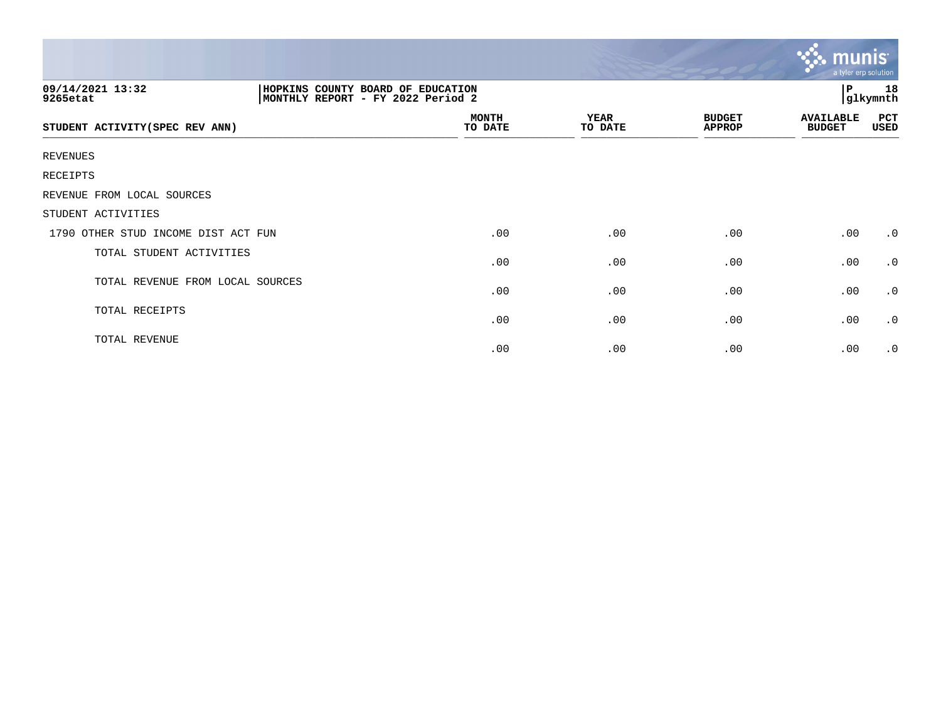|                                     |                                                                        |                 |                                | $\sim$ munis<br>a tyler erp solution |                |
|-------------------------------------|------------------------------------------------------------------------|-----------------|--------------------------------|--------------------------------------|----------------|
| 09/14/2021 13:32<br>9265etat        | HOPKINS COUNTY BOARD OF EDUCATION<br>MONTHLY REPORT - FY 2022 Period 2 |                 |                                | Р                                    | 18<br>glkymnth |
| STUDENT ACTIVITY (SPEC REV ANN)     | <b>MONTH</b><br>TO DATE                                                | YEAR<br>TO DATE | <b>BUDGET</b><br><b>APPROP</b> | <b>AVAILABLE</b><br><b>BUDGET</b>    | PCT<br>USED    |
| REVENUES                            |                                                                        |                 |                                |                                      |                |
| RECEIPTS                            |                                                                        |                 |                                |                                      |                |
| REVENUE FROM LOCAL SOURCES          |                                                                        |                 |                                |                                      |                |
| STUDENT ACTIVITIES                  |                                                                        |                 |                                |                                      |                |
| 1790 OTHER STUD INCOME DIST ACT FUN | .00                                                                    | .00             | .00                            | .00                                  | $\cdot$ 0      |
| TOTAL STUDENT ACTIVITIES            | .00                                                                    | .00             | .00                            | .00                                  | $\cdot$ 0      |
| TOTAL REVENUE FROM LOCAL SOURCES    | .00                                                                    | .00             | .00                            | .00                                  | $\cdot$ 0      |
| TOTAL RECEIPTS                      | .00                                                                    | .00             | .00                            | .00                                  | $\cdot$ 0      |
| TOTAL REVENUE                       | .00                                                                    | .00             | .00                            | .00                                  | $\cdot$ 0      |

 $\sim$   $\sim$   $\sim$   $\sim$   $\sim$   $\sim$   $\sim$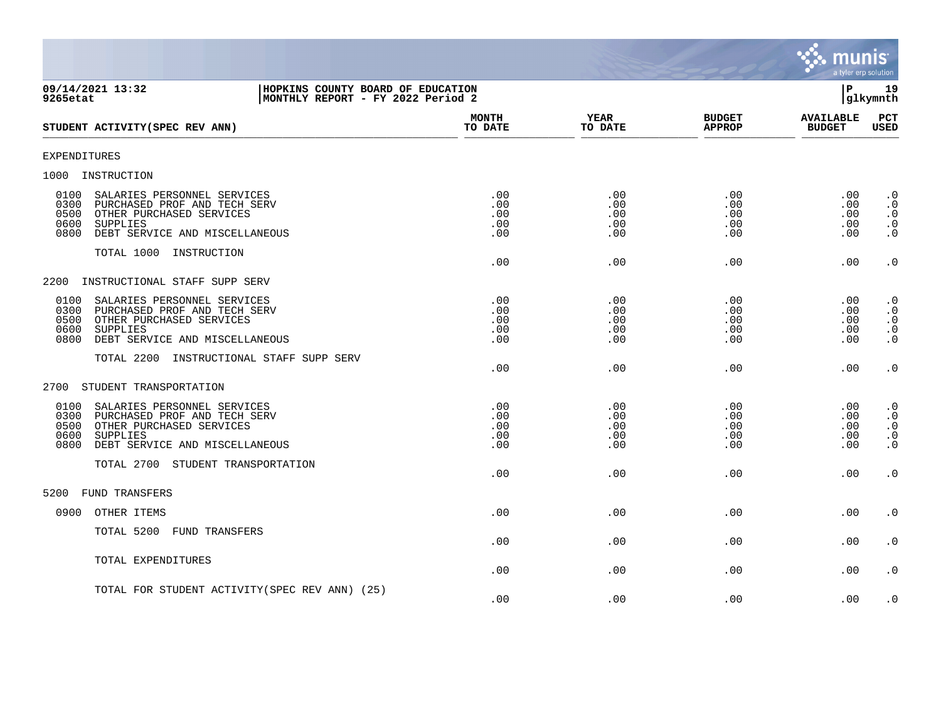

| 09/14/2021 13:32<br>HOPKINS COUNTY BOARD OF EDUCATION<br>MONTHLY REPORT - FY 2022 Period 2<br>9265etat                                                                        |                                 |                                      |                                      | l P                                  | 19<br> glkymnth                                               |
|-------------------------------------------------------------------------------------------------------------------------------------------------------------------------------|---------------------------------|--------------------------------------|--------------------------------------|--------------------------------------|---------------------------------------------------------------|
| STUDENT ACTIVITY (SPEC REV ANN)                                                                                                                                               | <b>MONTH</b><br>TO DATE         | YEAR<br>TO DATE                      | <b>BUDGET</b><br><b>APPROP</b>       | <b>AVAILABLE</b><br><b>BUDGET</b>    | PCT<br><b>USED</b>                                            |
| <b>EXPENDITURES</b>                                                                                                                                                           |                                 |                                      |                                      |                                      |                                                               |
| 1000 INSTRUCTION                                                                                                                                                              |                                 |                                      |                                      |                                      |                                                               |
| SALARIES PERSONNEL SERVICES<br>0100<br>0300<br>PURCHASED PROF AND TECH SERV<br>0500<br>OTHER PURCHASED SERVICES<br>0600<br>SUPPLIES<br>DEBT SERVICE AND MISCELLANEOUS<br>0800 | .00<br>.00<br>.00<br>.00<br>.00 | .00<br>$.00 \,$<br>.00<br>.00<br>.00 | .00<br>$.00 \,$<br>.00<br>.00<br>.00 | .00<br>.00<br>.00<br>.00<br>.00      | $\cdot$ 0<br>$\cdot$ 0<br>$\cdot$ 0<br>$\cdot$ 0<br>$\cdot$ 0 |
| TOTAL 1000 INSTRUCTION                                                                                                                                                        | .00                             | .00                                  | .00                                  | .00                                  | $\boldsymbol{\cdot}$ 0                                        |
| INSTRUCTIONAL STAFF SUPP SERV<br>2200                                                                                                                                         |                                 |                                      |                                      |                                      |                                                               |
| 0100<br>SALARIES PERSONNEL SERVICES<br>0300<br>PURCHASED PROF AND TECH SERV<br>0500<br>OTHER PURCHASED SERVICES<br>0600<br>SUPPLIES<br>0800<br>DEBT SERVICE AND MISCELLANEOUS | .00<br>.00<br>.00<br>.00<br>.00 | .00<br>.00<br>.00<br>.00<br>.00      | .00<br>.00<br>.00<br>.00<br>.00      | .00<br>.00<br>.00<br>.00<br>.00      | $\cdot$ 0<br>$\cdot$ 0<br>$\cdot$ 0<br>$\cdot$ 0<br>$\cdot$ 0 |
| TOTAL 2200 INSTRUCTIONAL STAFF SUPP SERV                                                                                                                                      | .00                             | .00                                  | .00                                  | .00                                  | $\cdot$ 0                                                     |
| 2700<br>STUDENT TRANSPORTATION                                                                                                                                                |                                 |                                      |                                      |                                      |                                                               |
| 0100<br>SALARIES PERSONNEL SERVICES<br>0300<br>PURCHASED PROF AND TECH SERV<br>0500<br>OTHER PURCHASED SERVICES<br>0600<br>SUPPLIES<br>DEBT SERVICE AND MISCELLANEOUS<br>0800 | .00<br>.00<br>.00<br>.00<br>.00 | .00<br>.00<br>.00<br>.00<br>.00      | .00<br>.00<br>.00<br>.00<br>.00      | $.00 \,$<br>.00<br>.00<br>.00<br>.00 | $\cdot$ 0<br>$\cdot$ 0<br>$\cdot$ 0<br>$\cdot$ 0<br>$\cdot$ 0 |
| TOTAL 2700 STUDENT TRANSPORTATION                                                                                                                                             | .00                             | .00                                  | .00                                  | .00                                  | $\cdot$ 0                                                     |
| 5200<br>FUND TRANSFERS                                                                                                                                                        |                                 |                                      |                                      |                                      |                                                               |
| 0900<br>OTHER ITEMS                                                                                                                                                           | .00                             | .00                                  | .00                                  | .00                                  | $\cdot$ 0                                                     |
| TOTAL 5200 FUND TRANSFERS                                                                                                                                                     | .00                             | .00                                  | .00                                  | .00                                  | $\cdot$ 0                                                     |
| TOTAL EXPENDITURES                                                                                                                                                            | .00                             | .00                                  | .00                                  | .00                                  | $\cdot$ 0                                                     |
| TOTAL FOR STUDENT ACTIVITY (SPEC REV ANN) (25)                                                                                                                                | .00                             | .00                                  | .00                                  | .00                                  | $\cdot$ 0                                                     |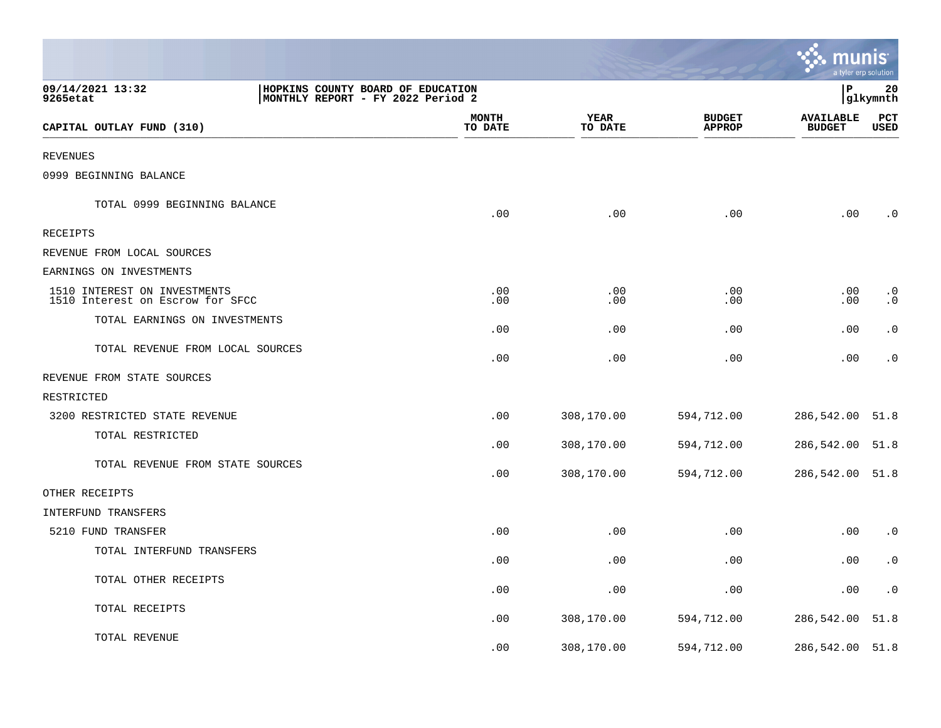|                                                                  |                                                                        |                         |                 |                                | munis<br>a tyler erp solution     |                        |
|------------------------------------------------------------------|------------------------------------------------------------------------|-------------------------|-----------------|--------------------------------|-----------------------------------|------------------------|
| 09/14/2021 13:32<br>9265etat                                     | HOPKINS COUNTY BOARD OF EDUCATION<br>MONTHLY REPORT - FY 2022 Period 2 |                         |                 |                                | ΙP                                | 20<br> glkymnth        |
| CAPITAL OUTLAY FUND (310)                                        |                                                                        | <b>MONTH</b><br>TO DATE | YEAR<br>TO DATE | <b>BUDGET</b><br><b>APPROP</b> | <b>AVAILABLE</b><br><b>BUDGET</b> | PCT<br><b>USED</b>     |
| <b>REVENUES</b>                                                  |                                                                        |                         |                 |                                |                                   |                        |
| 0999 BEGINNING BALANCE                                           |                                                                        |                         |                 |                                |                                   |                        |
| TOTAL 0999 BEGINNING BALANCE                                     |                                                                        | .00                     | .00             | .00                            | .00                               | $\cdot$ 0              |
| RECEIPTS                                                         |                                                                        |                         |                 |                                |                                   |                        |
| REVENUE FROM LOCAL SOURCES                                       |                                                                        |                         |                 |                                |                                   |                        |
| EARNINGS ON INVESTMENTS                                          |                                                                        |                         |                 |                                |                                   |                        |
| 1510 INTEREST ON INVESTMENTS<br>1510 Interest on Escrow for SFCC |                                                                        | .00<br>.00              | .00<br>.00      | .00<br>.00                     | .00<br>$.00 \,$                   | $\cdot$ 0<br>$\cdot$ 0 |
| TOTAL EARNINGS ON INVESTMENTS                                    |                                                                        | .00                     | .00             | .00                            | .00                               | $\cdot$ 0              |
| TOTAL REVENUE FROM LOCAL SOURCES                                 |                                                                        | .00                     | .00             | .00                            | .00                               | $\cdot$ 0              |
| REVENUE FROM STATE SOURCES                                       |                                                                        |                         |                 |                                |                                   |                        |
| RESTRICTED                                                       |                                                                        |                         |                 |                                |                                   |                        |
| 3200 RESTRICTED STATE REVENUE                                    |                                                                        | .00                     | 308,170.00      | 594,712.00                     | 286,542.00                        | 51.8                   |
| TOTAL RESTRICTED                                                 |                                                                        | .00                     | 308,170.00      | 594,712.00                     | 286,542.00                        | 51.8                   |
| TOTAL REVENUE FROM STATE SOURCES                                 |                                                                        | .00                     | 308,170.00      | 594,712.00                     | 286,542.00 51.8                   |                        |
| OTHER RECEIPTS                                                   |                                                                        |                         |                 |                                |                                   |                        |
| INTERFUND TRANSFERS                                              |                                                                        |                         |                 |                                |                                   |                        |
| 5210 FUND TRANSFER                                               |                                                                        | .00                     | .00             | .00                            | .00                               | $\cdot$ 0              |
| TOTAL INTERFUND TRANSFERS                                        |                                                                        | .00                     | .00             | .00                            | .00                               | $\cdot$ 0              |
| TOTAL OTHER RECEIPTS                                             |                                                                        | .00                     | .00             | .00                            | $.00 \,$                          | $\cdot$ 0              |
| TOTAL RECEIPTS                                                   |                                                                        | .00                     | 308,170.00      | 594,712.00                     | 286,542.00                        | 51.8                   |
| TOTAL REVENUE                                                    |                                                                        | .00                     | 308,170.00      | 594,712.00                     | 286,542.00 51.8                   |                        |

**The State**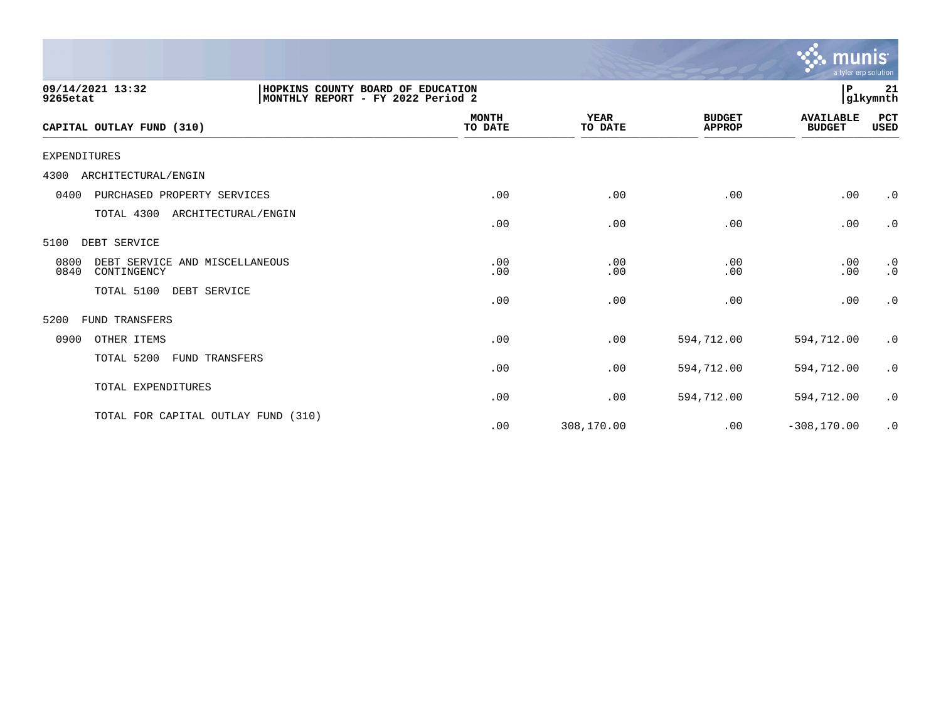|                                                                                                        |                         |                        |                                | n<br>a tyler erp solution         |                        |
|--------------------------------------------------------------------------------------------------------|-------------------------|------------------------|--------------------------------|-----------------------------------|------------------------|
| 09/14/2021 13:32<br>HOPKINS COUNTY BOARD OF EDUCATION<br>MONTHLY REPORT - FY 2022 Period 2<br>9265etat |                         |                        |                                | ΙP                                | 21<br>glkymnth         |
| CAPITAL OUTLAY FUND (310)                                                                              | <b>MONTH</b><br>TO DATE | <b>YEAR</b><br>TO DATE | <b>BUDGET</b><br><b>APPROP</b> | <b>AVAILABLE</b><br><b>BUDGET</b> | PCT<br>USED            |
| <b>EXPENDITURES</b>                                                                                    |                         |                        |                                |                                   |                        |
| ARCHITECTURAL/ENGIN<br>4300                                                                            |                         |                        |                                |                                   |                        |
| PURCHASED PROPERTY SERVICES<br>0400                                                                    | .00                     | .00                    | .00                            | .00                               | $\cdot$ 0              |
| TOTAL 4300<br>ARCHITECTURAL/ENGIN                                                                      | .00                     | .00                    | .00                            | .00                               | $\cdot$ 0              |
| 5100<br>DEBT SERVICE                                                                                   |                         |                        |                                |                                   |                        |
| 0800<br>DEBT SERVICE AND MISCELLANEOUS<br>0840<br>CONTINGENCY                                          | .00<br>.00              | .00<br>.00             | .00<br>.00                     | .00<br>.00                        | $\cdot$ 0<br>$\cdot$ 0 |
| TOTAL 5100<br>DEBT SERVICE                                                                             | .00                     | .00                    | .00                            | .00                               | $\cdot$ 0              |
| 5200<br><b>FUND TRANSFERS</b>                                                                          |                         |                        |                                |                                   |                        |
| 0900<br>OTHER ITEMS                                                                                    | .00                     | .00                    | 594,712.00                     | 594,712.00                        | $\cdot$ 0              |
| TOTAL 5200<br>FUND TRANSFERS                                                                           | .00                     | .00                    | 594,712.00                     | 594,712.00                        | $\cdot$ 0              |
| TOTAL EXPENDITURES                                                                                     | .00                     | .00                    | 594,712.00                     | 594,712.00                        | $\cdot$ 0              |
| TOTAL FOR CAPITAL OUTLAY FUND (310)                                                                    | .00                     | 308,170.00             | .00                            | $-308, 170.00$                    | $\cdot$ 0              |

 $\ddot{\mathbf{u}}$  munis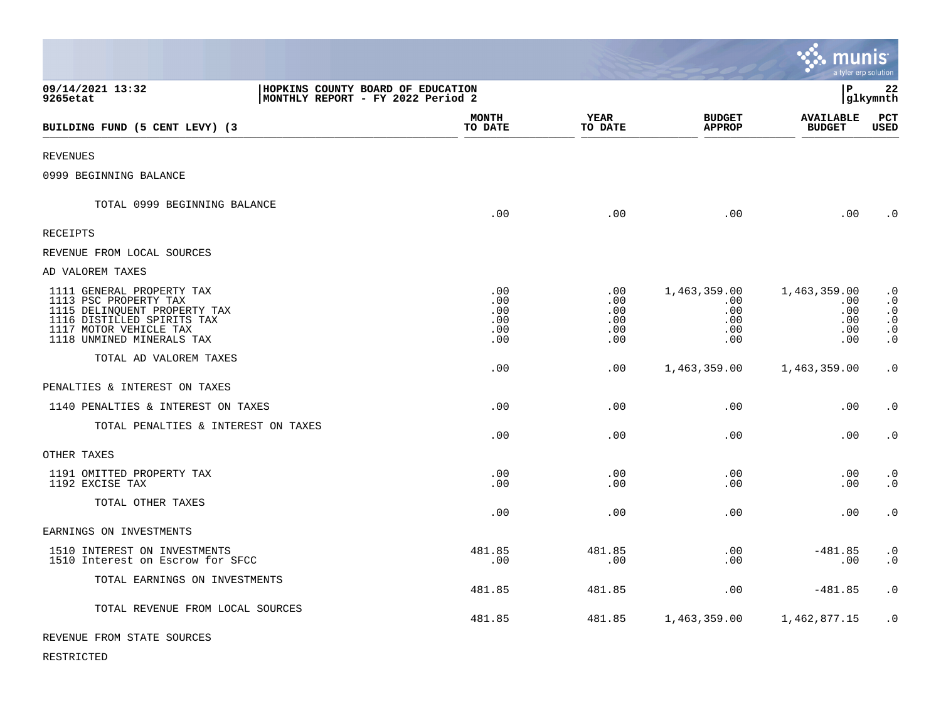|                                                                                                                                                                         |                                        |                                                  |                                                 | munis                                           | a tyler erp solution                                                       |
|-------------------------------------------------------------------------------------------------------------------------------------------------------------------------|----------------------------------------|--------------------------------------------------|-------------------------------------------------|-------------------------------------------------|----------------------------------------------------------------------------|
| 09/14/2021 13:32<br>HOPKINS COUNTY BOARD OF EDUCATION<br>9265etat<br>MONTHLY REPORT - FY 2022 Period 2                                                                  |                                        |                                                  |                                                 | l P                                             | 22<br> glkymnth                                                            |
| BUILDING FUND (5 CENT LEVY) (3                                                                                                                                          | <b>MONTH</b><br>TO DATE                | <b>YEAR</b><br>TO DATE                           | <b>BUDGET</b><br><b>APPROP</b>                  | <b>AVAILABLE</b><br><b>BUDGET</b>               | PCT<br><b>USED</b>                                                         |
| <b>REVENUES</b>                                                                                                                                                         |                                        |                                                  |                                                 |                                                 |                                                                            |
| 0999 BEGINNING BALANCE                                                                                                                                                  |                                        |                                                  |                                                 |                                                 |                                                                            |
| TOTAL 0999 BEGINNING BALANCE                                                                                                                                            | .00                                    | .00                                              | .00                                             | .00                                             | $\cdot$ 0                                                                  |
| RECEIPTS                                                                                                                                                                |                                        |                                                  |                                                 |                                                 |                                                                            |
| REVENUE FROM LOCAL SOURCES                                                                                                                                              |                                        |                                                  |                                                 |                                                 |                                                                            |
| AD VALOREM TAXES                                                                                                                                                        |                                        |                                                  |                                                 |                                                 |                                                                            |
| 1111 GENERAL PROPERTY TAX<br>1113 PSC PROPERTY TAX<br>1115 DELINQUENT PROPERTY TAX<br>1116 DISTILLED SPIRITS TAX<br>1117 MOTOR VEHICLE TAX<br>1118 UNMINED MINERALS TAX | .00<br>.00<br>.00<br>.00<br>.00<br>.00 | $.00 \,$<br>.00<br>.00<br>.00<br>$.00 \,$<br>.00 | 1,463,359.00<br>.00<br>.00<br>.00<br>.00<br>.00 | 1,463,359.00<br>.00<br>.00<br>.00<br>.00<br>.00 | $\cdot$ 0<br>$\cdot$ 0<br>$\cdot$ 0<br>$\cdot$ 0<br>$\cdot$ 0<br>$\cdot$ 0 |
| TOTAL AD VALOREM TAXES                                                                                                                                                  | .00                                    | .00                                              | 1,463,359.00                                    | 1,463,359.00                                    | $\cdot$ 0                                                                  |
| PENALTIES & INTEREST ON TAXES                                                                                                                                           |                                        |                                                  |                                                 |                                                 |                                                                            |
| 1140 PENALTIES & INTEREST ON TAXES                                                                                                                                      | .00                                    | .00                                              | .00                                             | .00                                             | $\cdot$ 0                                                                  |
| TOTAL PENALTIES & INTEREST ON TAXES                                                                                                                                     | .00                                    | $.00 \,$                                         | .00                                             | .00                                             | $\cdot$ 0                                                                  |
| OTHER TAXES                                                                                                                                                             |                                        |                                                  |                                                 |                                                 |                                                                            |
| 1191 OMITTED PROPERTY TAX<br>1192 EXCISE TAX                                                                                                                            | .00<br>.00                             | .00<br>.00                                       | .00<br>.00                                      | .00<br>.00                                      | $\cdot$ 0<br>$\cdot$ 0                                                     |
| TOTAL OTHER TAXES                                                                                                                                                       | .00                                    | .00                                              | .00                                             | .00                                             | $\cdot$ 0                                                                  |
| EARNINGS ON INVESTMENTS                                                                                                                                                 |                                        |                                                  |                                                 |                                                 |                                                                            |
| 1510 INTEREST ON INVESTMENTS<br>1510 Interest on Escrow for SFCC                                                                                                        | 481.85<br>.00                          | 481.85<br>.00                                    | .00<br>.00                                      | $-481.85$<br>.00                                | $\cdot$ 0<br>$\cdot$ 0                                                     |
| TOTAL EARNINGS ON INVESTMENTS                                                                                                                                           | 481.85                                 | 481.85                                           | .00                                             | $-481.85$                                       | $\cdot$ 0                                                                  |
| TOTAL REVENUE FROM LOCAL SOURCES                                                                                                                                        | 481.85                                 | 481.85                                           | 1,463,359.00                                    | 1,462,877.15                                    | $\cdot$ 0                                                                  |
| REVENUE FROM STATE SOURCES                                                                                                                                              |                                        |                                                  |                                                 |                                                 |                                                                            |

**COL** 

RESTRICTED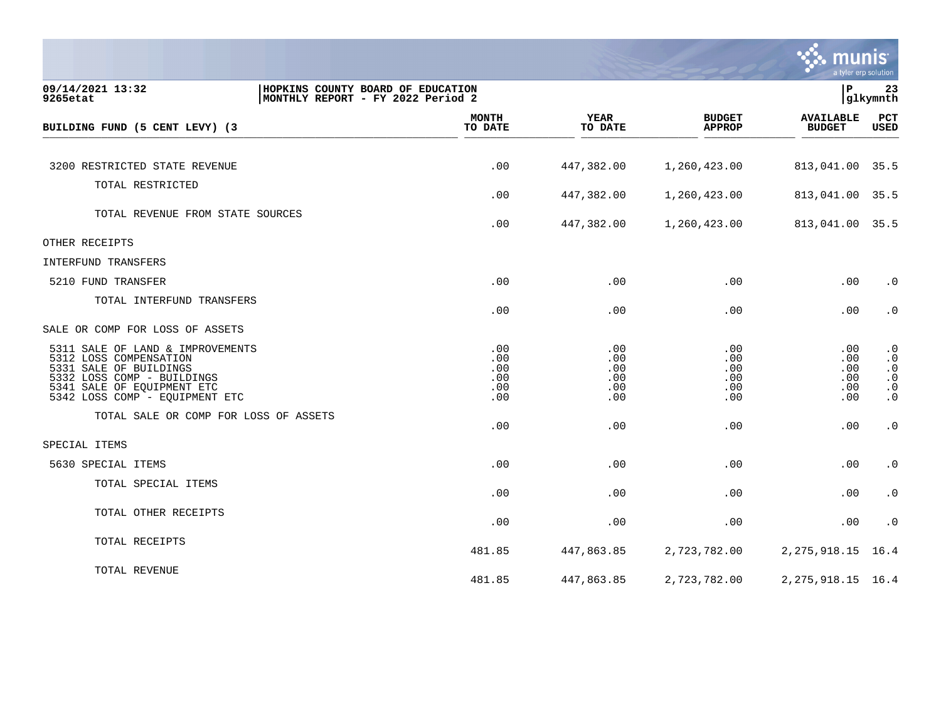

| 09/14/2021 13:32<br>9265etat                                                                                                                                                       | P)<br>HOPKINS COUNTY BOARD OF EDUCATION<br>23<br>glkymnth<br>MONTHLY REPORT - FY 2022 Period 2 |                                        |                                        |                                        |                                                                            |  |
|------------------------------------------------------------------------------------------------------------------------------------------------------------------------------------|------------------------------------------------------------------------------------------------|----------------------------------------|----------------------------------------|----------------------------------------|----------------------------------------------------------------------------|--|
| BUILDING FUND (5 CENT LEVY) (3                                                                                                                                                     | <b>MONTH</b><br>TO DATE                                                                        | <b>YEAR</b><br>TO DATE                 | <b>BUDGET</b><br><b>APPROP</b>         | <b>AVAILABLE</b><br><b>BUDGET</b>      | PCT<br><b>USED</b>                                                         |  |
| 3200 RESTRICTED STATE REVENUE                                                                                                                                                      | .00                                                                                            | 447,382.00                             | 1,260,423.00                           | 813,041.00                             | 35.5                                                                       |  |
| TOTAL RESTRICTED                                                                                                                                                                   |                                                                                                |                                        |                                        |                                        |                                                                            |  |
|                                                                                                                                                                                    | .00                                                                                            | 447,382.00                             | 1,260,423.00                           | 813,041.00                             | 35.5                                                                       |  |
| TOTAL REVENUE FROM STATE SOURCES                                                                                                                                                   | .00                                                                                            | 447,382.00                             | 1,260,423.00                           | 813,041.00 35.5                        |                                                                            |  |
| OTHER RECEIPTS                                                                                                                                                                     |                                                                                                |                                        |                                        |                                        |                                                                            |  |
| INTERFUND TRANSFERS                                                                                                                                                                |                                                                                                |                                        |                                        |                                        |                                                                            |  |
| 5210 FUND TRANSFER                                                                                                                                                                 | .00                                                                                            | .00                                    | .00                                    | .00                                    | $\cdot$ 0                                                                  |  |
| TOTAL INTERFUND TRANSFERS                                                                                                                                                          | .00                                                                                            | .00                                    | .00                                    | .00                                    | $\cdot$ 0                                                                  |  |
| SALE OR COMP FOR LOSS OF ASSETS                                                                                                                                                    |                                                                                                |                                        |                                        |                                        |                                                                            |  |
| 5311 SALE OF LAND & IMPROVEMENTS<br>5312 LOSS COMPENSATION<br>5331 SALE OF BUILDINGS<br>5332 LOSS COMP - BUILDINGS<br>5341 SALE OF EQUIPMENT ETC<br>5342 LOSS COMP - EQUIPMENT ETC | .00<br>.00<br>.00<br>.00<br>.00<br>.00                                                         | .00<br>.00<br>.00<br>.00<br>.00<br>.00 | .00<br>.00<br>.00<br>.00<br>.00<br>.00 | .00<br>.00<br>.00<br>.00<br>.00<br>.00 | $\cdot$ 0<br>$\cdot$ 0<br>$\cdot$ 0<br>$\cdot$ 0<br>$\cdot$ 0<br>$\cdot$ 0 |  |
| TOTAL SALE OR COMP FOR LOSS OF ASSETS                                                                                                                                              | .00                                                                                            | .00                                    | .00                                    | .00                                    | $\cdot$ 0                                                                  |  |
| SPECIAL ITEMS                                                                                                                                                                      |                                                                                                |                                        |                                        |                                        |                                                                            |  |
| 5630 SPECIAL ITEMS                                                                                                                                                                 | .00                                                                                            | .00                                    | .00                                    | .00                                    | $\cdot$ 0                                                                  |  |
| TOTAL SPECIAL ITEMS                                                                                                                                                                | .00                                                                                            | .00                                    | .00                                    | .00                                    | $\cdot$ 0                                                                  |  |
| TOTAL OTHER RECEIPTS                                                                                                                                                               | .00                                                                                            | .00                                    | .00                                    | .00                                    | $\boldsymbol{\cdot}$ 0                                                     |  |
| TOTAL RECEIPTS                                                                                                                                                                     | 481.85                                                                                         | 447,863.85                             | 2,723,782.00                           | 2, 275, 918.15                         | 16.4                                                                       |  |
| TOTAL REVENUE                                                                                                                                                                      | 481.85                                                                                         | 447,863.85                             | 2,723,782.00                           | 2, 275, 918.15 16.4                    |                                                                            |  |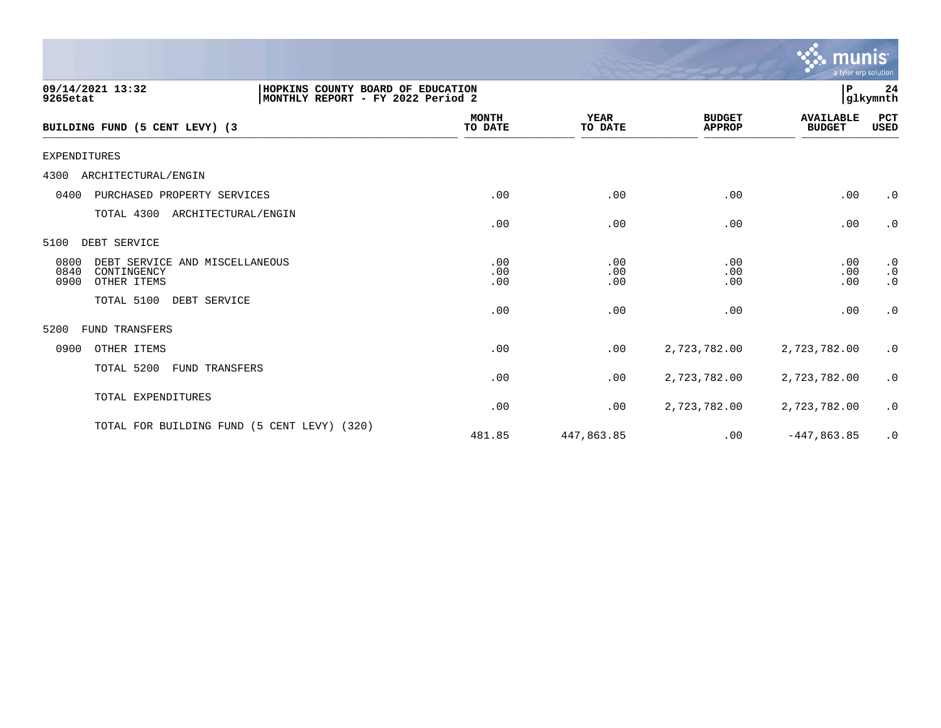|                                                                                                        |                         |                        |                                | munis<br>a tyler erp solution     |                                     |
|--------------------------------------------------------------------------------------------------------|-------------------------|------------------------|--------------------------------|-----------------------------------|-------------------------------------|
| 09/14/2021 13:32<br>HOPKINS COUNTY BOARD OF EDUCATION<br>9265etat<br>MONTHLY REPORT - FY 2022 Period 2 |                         |                        |                                | P                                 | 24<br> glkymnth                     |
| BUILDING FUND (5 CENT LEVY) (3                                                                         | <b>MONTH</b><br>TO DATE | <b>YEAR</b><br>TO DATE | <b>BUDGET</b><br><b>APPROP</b> | <b>AVAILABLE</b><br><b>BUDGET</b> | PCT<br>USED                         |
| <b>EXPENDITURES</b>                                                                                    |                         |                        |                                |                                   |                                     |
| 4300<br>ARCHITECTURAL/ENGIN                                                                            |                         |                        |                                |                                   |                                     |
| 0400<br>PURCHASED PROPERTY SERVICES                                                                    | .00                     | .00                    | .00                            | .00                               | $\cdot$ 0                           |
| TOTAL 4300<br>ARCHITECTURAL/ENGIN                                                                      | .00                     | .00                    | .00                            | .00                               | $\cdot$ 0                           |
| DEBT SERVICE<br>5100                                                                                   |                         |                        |                                |                                   |                                     |
| 0800<br>DEBT SERVICE AND MISCELLANEOUS<br>0840<br>CONTINGENCY<br>0900<br>OTHER ITEMS                   | .00<br>.00<br>.00       | .00<br>.00<br>.00      | .00<br>.00<br>.00              | .00<br>.00<br>.00                 | $\cdot$ 0<br>$\cdot$ 0<br>$\cdot$ 0 |
| TOTAL 5100<br>DEBT SERVICE                                                                             | .00                     | .00                    | .00                            | .00                               | $\cdot$ 0                           |
| <b>FUND TRANSFERS</b><br>5200                                                                          |                         |                        |                                |                                   |                                     |
| 0900<br>OTHER ITEMS                                                                                    | .00                     | .00                    | 2,723,782.00                   | 2,723,782.00                      | $\cdot$ 0                           |
| TOTAL 5200<br><b>FUND TRANSFERS</b>                                                                    | .00                     | .00                    | 2,723,782.00                   | 2,723,782.00                      | $\cdot$ 0                           |
| TOTAL EXPENDITURES                                                                                     | .00                     | .00                    | 2,723,782.00                   | 2,723,782.00                      | $\cdot$ 0                           |
| TOTAL FOR BUILDING FUND (5 CENT LEVY) (320)                                                            | 481.85                  | 447,863.85             | .00                            | $-447,863.85$                     | $\cdot$ 0                           |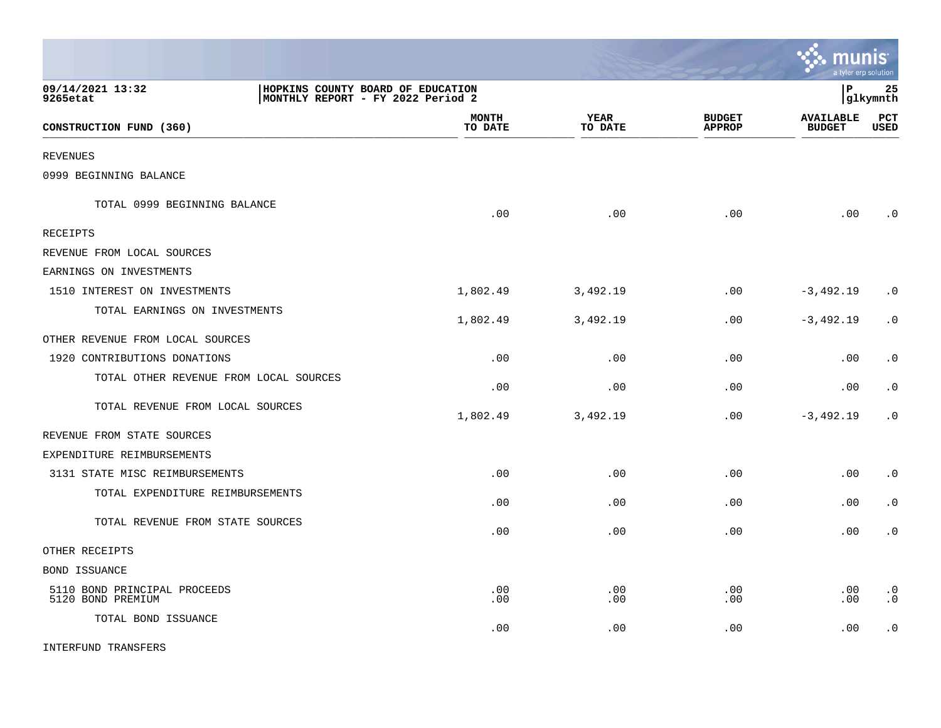|                                                   |                                                                        |                         |                 |                                | <u>ः munis</u>                    | a tyler erp solution        |
|---------------------------------------------------|------------------------------------------------------------------------|-------------------------|-----------------|--------------------------------|-----------------------------------|-----------------------------|
| 09/14/2021 13:32<br>9265etat                      | HOPKINS COUNTY BOARD OF EDUCATION<br>MONTHLY REPORT - FY 2022 Period 2 |                         |                 |                                | l P                               | 25<br> glkymnth             |
| CONSTRUCTION FUND (360)                           |                                                                        | <b>MONTH</b><br>TO DATE | YEAR<br>TO DATE | <b>BUDGET</b><br><b>APPROP</b> | <b>AVAILABLE</b><br><b>BUDGET</b> | $_{\rm PCT}$<br><b>USED</b> |
| <b>REVENUES</b>                                   |                                                                        |                         |                 |                                |                                   |                             |
| 0999 BEGINNING BALANCE                            |                                                                        |                         |                 |                                |                                   |                             |
| TOTAL 0999 BEGINNING BALANCE                      |                                                                        | .00                     | .00             | .00                            | .00                               | $\cdot$ 0                   |
| <b>RECEIPTS</b>                                   |                                                                        |                         |                 |                                |                                   |                             |
| REVENUE FROM LOCAL SOURCES                        |                                                                        |                         |                 |                                |                                   |                             |
| EARNINGS ON INVESTMENTS                           |                                                                        |                         |                 |                                |                                   |                             |
| 1510 INTEREST ON INVESTMENTS                      |                                                                        | 1,802.49                | 3,492.19        | .00                            | $-3,492.19$                       | $\cdot$ 0                   |
| TOTAL EARNINGS ON INVESTMENTS                     |                                                                        | 1,802.49                | 3,492.19        | .00                            | $-3,492.19$                       | $\cdot$ 0                   |
| OTHER REVENUE FROM LOCAL SOURCES                  |                                                                        |                         |                 |                                |                                   |                             |
| 1920 CONTRIBUTIONS DONATIONS                      |                                                                        | .00                     | .00             | .00                            | .00                               | $\cdot$ 0                   |
| TOTAL OTHER REVENUE FROM LOCAL SOURCES            |                                                                        | .00                     | .00             | .00                            | .00                               | $\cdot$ 0                   |
| TOTAL REVENUE FROM LOCAL SOURCES                  |                                                                        | 1,802.49                | 3,492.19        | .00                            | $-3,492.19$                       | $\cdot$ 0                   |
| REVENUE FROM STATE SOURCES                        |                                                                        |                         |                 |                                |                                   |                             |
| EXPENDITURE REIMBURSEMENTS                        |                                                                        |                         |                 |                                |                                   |                             |
| 3131 STATE MISC REIMBURSEMENTS                    |                                                                        | .00                     | .00             | .00                            | $.00 \,$                          | $\cdot$ 0                   |
| TOTAL EXPENDITURE REIMBURSEMENTS                  |                                                                        | .00                     | .00             | .00                            | .00                               | $\cdot$ 0                   |
| TOTAL REVENUE FROM STATE SOURCES                  |                                                                        | .00                     | .00             | .00                            | .00                               | $\cdot$ 0                   |
| OTHER RECEIPTS                                    |                                                                        |                         |                 |                                |                                   |                             |
| <b>BOND ISSUANCE</b>                              |                                                                        |                         |                 |                                |                                   |                             |
| 5110 BOND PRINCIPAL PROCEEDS<br>5120 BOND PREMIUM |                                                                        | .00<br>.00              | .00<br>.00      | .00<br>.00                     | .00<br>.00                        | $\cdot$ 0<br>$\cdot$ 0      |
| TOTAL BOND ISSUANCE                               |                                                                        | .00                     | .00             | .00                            | .00                               | $\cdot$ 0                   |
| INTERFUND TRANSFERS                               |                                                                        |                         |                 |                                |                                   |                             |

 $\mathcal{L}$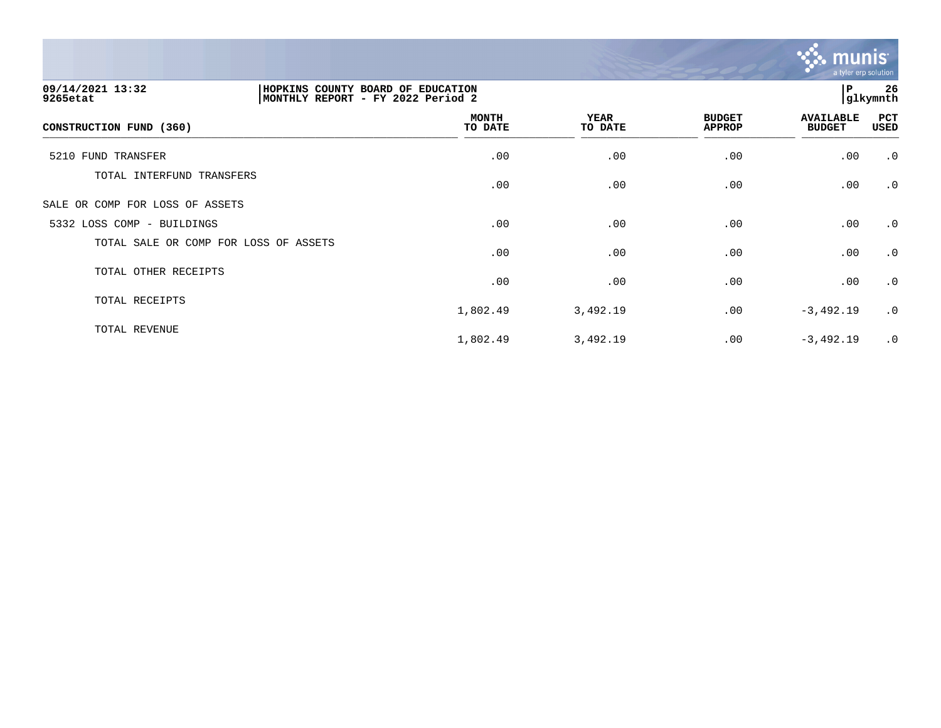

| 09/14/2021 13:32<br>9265etat          | HOPKINS COUNTY BOARD OF EDUCATION<br>MONTHLY REPORT - FY 2022 Period 2 | l P<br>glkymnth         |                        |                                |                                   |             |  |
|---------------------------------------|------------------------------------------------------------------------|-------------------------|------------------------|--------------------------------|-----------------------------------|-------------|--|
| CONSTRUCTION FUND (360)               |                                                                        | <b>MONTH</b><br>TO DATE | <b>YEAR</b><br>TO DATE | <b>BUDGET</b><br><b>APPROP</b> | <b>AVAILABLE</b><br><b>BUDGET</b> | PCT<br>USED |  |
| 5210 FUND TRANSFER                    |                                                                        | .00                     | .00                    | .00                            | .00                               | .0          |  |
| TOTAL INTERFUND TRANSFERS             |                                                                        | .00                     | .00                    | .00                            | .00                               | .0          |  |
| SALE OR COMP FOR LOSS OF ASSETS       |                                                                        |                         |                        |                                |                                   |             |  |
| 5332 LOSS COMP - BUILDINGS            |                                                                        | .00                     | .00                    | .00                            | .00                               | .0          |  |
| TOTAL SALE OR COMP FOR LOSS OF ASSETS |                                                                        | .00                     | .00                    | .00                            | .00                               | $\cdot$ 0   |  |
| TOTAL OTHER RECEIPTS                  |                                                                        | .00                     | .00                    | .00                            | .00                               | $\cdot$ 0   |  |
| TOTAL RECEIPTS                        |                                                                        | 1,802.49                | 3,492.19               | .00                            | $-3,492.19$                       | $\cdot$ 0   |  |
| TOTAL REVENUE                         |                                                                        | 1,802.49                | 3,492.19               | .00                            | $-3,492.19$                       | .0          |  |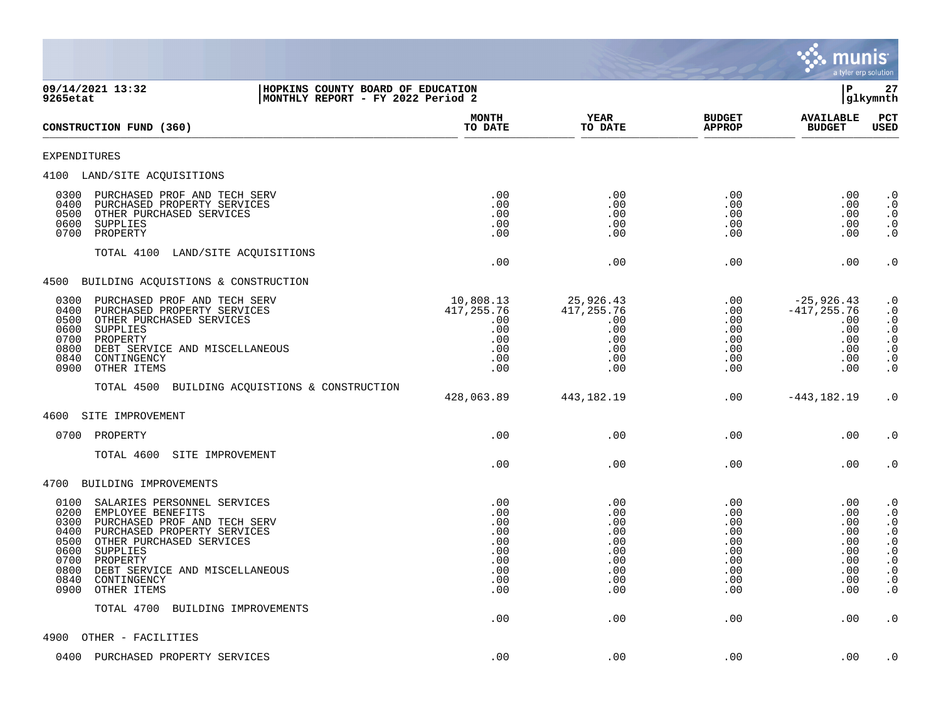

| 09/14/2021 13:32<br>HOPKINS COUNTY BOARD OF EDUCATION<br>MONTHLY REPORT - FY 2022 Period 2<br>9265etat                                                                                                                                                                                                              |                                                                    |                                                                    |                                                                    | ΙP                                                                       | 27<br> glkymnth                                                                                                                                                                                     |  |
|---------------------------------------------------------------------------------------------------------------------------------------------------------------------------------------------------------------------------------------------------------------------------------------------------------------------|--------------------------------------------------------------------|--------------------------------------------------------------------|--------------------------------------------------------------------|--------------------------------------------------------------------------|-----------------------------------------------------------------------------------------------------------------------------------------------------------------------------------------------------|--|
| CONSTRUCTION FUND (360)                                                                                                                                                                                                                                                                                             | <b>MONTH</b><br>TO DATE                                            | <b>YEAR</b><br>TO DATE                                             | <b>BUDGET</b><br><b>APPROP</b>                                     | <b>AVAILABLE</b><br><b>BUDGET</b>                                        | PCT<br><b>USED</b>                                                                                                                                                                                  |  |
| <b>EXPENDITURES</b>                                                                                                                                                                                                                                                                                                 |                                                                    |                                                                    |                                                                    |                                                                          |                                                                                                                                                                                                     |  |
| 4100 LAND/SITE ACQUISITIONS                                                                                                                                                                                                                                                                                         |                                                                    |                                                                    |                                                                    |                                                                          |                                                                                                                                                                                                     |  |
| 0300<br>PURCHASED PROF AND TECH SERV<br>0400<br>PURCHASED PROPERTY SERVICES<br>0500<br>OTHER PURCHASED SERVICES<br>0600<br>SUPPLIES<br>0700<br>PROPERTY                                                                                                                                                             | .00<br>.00<br>.00<br>.00<br>.00                                    | .00<br>.00<br>.00<br>.00<br>.00                                    | .00<br>.00<br>.00<br>.00<br>.00                                    | $.00 \,$<br>.00<br>$.00 \,$<br>.00<br>.00                                | $\cdot$ 0<br>$\cdot$ 0<br>$\cdot$ 0<br>$\begin{smallmatrix} 0.1 \\ 0.1 \end{smallmatrix}$                                                                                                           |  |
| TOTAL 4100<br>LAND/SITE ACQUISITIONS                                                                                                                                                                                                                                                                                | .00                                                                | .00                                                                | .00                                                                | .00                                                                      | $\cdot$ 0                                                                                                                                                                                           |  |
| 4500 BUILDING ACQUISTIONS & CONSTRUCTION                                                                                                                                                                                                                                                                            |                                                                    |                                                                    |                                                                    |                                                                          |                                                                                                                                                                                                     |  |
| PURCHASED PROF AND TECH SERV<br>0300<br>0400<br>PURCHASED PROPERTY SERVICES<br>0500<br>OTHER PURCHASED SERVICES<br>0600<br>SUPPLIES<br>0700<br>PROPERTY<br>0800<br>DEBT SERVICE AND MISCELLANEOUS<br>0840<br>CONTINGENCY<br>0900<br>OTHER ITEMS                                                                     | 10,808.13<br>417,255.76<br>.00<br>.00<br>.00<br>.00<br>.00<br>.00  | 25,926.43<br>417, 255.76<br>.00<br>.00<br>.00<br>.00<br>.00<br>.00 | .00<br>.00<br>.00<br>.00<br>.00<br>.00<br>.00<br>.00               | $-25,926.43$<br>$-417, 255.76$<br>.00<br>.00<br>.00<br>.00<br>.00<br>.00 | $\cdot$ 0<br>$\cdot$ 0<br>$\frac{0}{0}$<br>$\begin{smallmatrix} 0.1 \\ 0.1 \end{smallmatrix}$<br>$\boldsymbol{\cdot}$ 0<br>$\cdot$ 0                                                                |  |
| TOTAL 4500 BUILDING ACQUISTIONS & CONSTRUCTION                                                                                                                                                                                                                                                                      | 428,063.89                                                         | 443, 182. 19                                                       | .00                                                                | $-443, 182.19$                                                           | $\cdot$ 0                                                                                                                                                                                           |  |
| 4600<br>SITE IMPROVEMENT                                                                                                                                                                                                                                                                                            |                                                                    |                                                                    |                                                                    |                                                                          |                                                                                                                                                                                                     |  |
| 0700<br>PROPERTY                                                                                                                                                                                                                                                                                                    | .00                                                                | .00                                                                | .00                                                                | .00                                                                      | $\cdot$ 0                                                                                                                                                                                           |  |
| TOTAL 4600<br>SITE IMPROVEMENT                                                                                                                                                                                                                                                                                      | .00                                                                | .00                                                                | .00                                                                | .00                                                                      | $\cdot$ 0                                                                                                                                                                                           |  |
| 4700<br>BUILDING IMPROVEMENTS                                                                                                                                                                                                                                                                                       |                                                                    |                                                                    |                                                                    |                                                                          |                                                                                                                                                                                                     |  |
| 0100<br>SALARIES PERSONNEL SERVICES<br>0200<br>EMPLOYEE BENEFITS<br>0300<br>PURCHASED PROF AND TECH SERV<br>0400<br>PURCHASED PROPERTY SERVICES<br>0500<br>OTHER PURCHASED SERVICES<br>0600<br>SUPPLIES<br>0700<br>PROPERTY<br>0800<br>DEBT SERVICE AND MISCELLANEOUS<br>0840<br>CONTINGENCY<br>0900<br>OTHER ITEMS | .00<br>.00<br>.00<br>.00<br>.00<br>.00<br>.00<br>.00<br>.00<br>.00 | .00<br>.00<br>.00<br>.00<br>.00<br>.00<br>.00<br>.00<br>.00<br>.00 | .00<br>.00<br>.00<br>.00<br>.00<br>.00<br>.00<br>.00<br>.00<br>.00 | .00<br>.00<br>.00<br>.00<br>.00<br>.00<br>.00<br>.00<br>.00<br>.00       | $\cdot$ 0<br>$\begin{matrix} . & 0 \\ . & 0 \end{matrix}$<br>$\begin{smallmatrix} 0.1 \\ 0.1 \end{smallmatrix}$<br>$\begin{array}{c} 0.0 \\ 0.0 \end{array}$<br>$\cdot$ 0<br>$\cdot$ 0<br>$\cdot$ 0 |  |
| TOTAL 4700<br>BUILDING IMPROVEMENTS                                                                                                                                                                                                                                                                                 | .00                                                                | .00                                                                | .00                                                                | .00                                                                      | $\cdot$ 0                                                                                                                                                                                           |  |
| 4900<br>OTHER - FACILITIES                                                                                                                                                                                                                                                                                          |                                                                    |                                                                    |                                                                    |                                                                          |                                                                                                                                                                                                     |  |
| 0400<br>PURCHASED PROPERTY SERVICES                                                                                                                                                                                                                                                                                 | .00                                                                | .00                                                                | .00                                                                | .00                                                                      | $\cdot$ 0                                                                                                                                                                                           |  |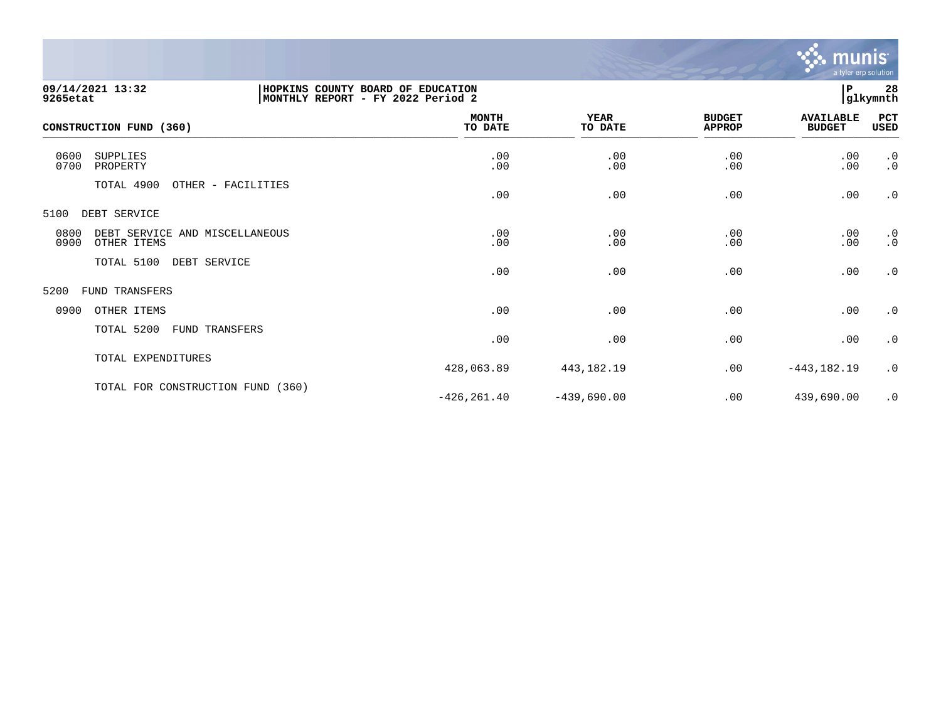

| 09/14/2021 13:32<br>9265etat                |                                   | HOPKINS COUNTY BOARD OF EDUCATION<br>MONTHLY REPORT - FY 2022 Period 2 |                        |                                |                                   |                        |
|---------------------------------------------|-----------------------------------|------------------------------------------------------------------------|------------------------|--------------------------------|-----------------------------------|------------------------|
| CONSTRUCTION FUND (360)                     |                                   | <b>MONTH</b><br>TO DATE                                                | <b>YEAR</b><br>TO DATE | <b>BUDGET</b><br><b>APPROP</b> | <b>AVAILABLE</b><br><b>BUDGET</b> | PCT<br>USED            |
| 0600<br><b>SUPPLIES</b><br>0700<br>PROPERTY |                                   | .00<br>.00                                                             | .00<br>.00             | .00<br>.00                     | .00<br>.00                        | .0<br>$\cdot$ 0        |
| TOTAL 4900                                  | OTHER - FACILITIES                | .00                                                                    | .00                    | .00                            | .00                               | $\cdot$ 0              |
| 5100<br>DEBT SERVICE                        |                                   |                                                                        |                        |                                |                                   |                        |
| 0800<br>DEBT SERVICE<br>0900<br>OTHER ITEMS | AND MISCELLANEOUS                 | .00<br>.00                                                             | .00<br>.00             | .00<br>.00                     | .00<br>.00                        | $\cdot$ 0<br>$\cdot$ 0 |
| TOTAL 5100                                  | DEBT SERVICE                      | .00                                                                    | .00                    | .00                            | .00                               | $\cdot$ 0              |
| 5200<br><b>FUND TRANSFERS</b>               |                                   |                                                                        |                        |                                |                                   |                        |
| 0900<br>OTHER ITEMS                         |                                   | .00                                                                    | .00                    | .00                            | .00                               | $\cdot$ 0              |
| TOTAL 5200                                  | FUND TRANSFERS                    | .00                                                                    | .00                    | .00                            | .00                               | $\cdot$ 0              |
| TOTAL EXPENDITURES                          |                                   | 428,063.89                                                             | 443,182.19             | .00                            | $-443, 182.19$                    | .0                     |
|                                             | TOTAL FOR CONSTRUCTION FUND (360) | $-426, 261.40$                                                         | $-439,690.00$          | .00                            | 439,690.00                        | $\cdot$ 0              |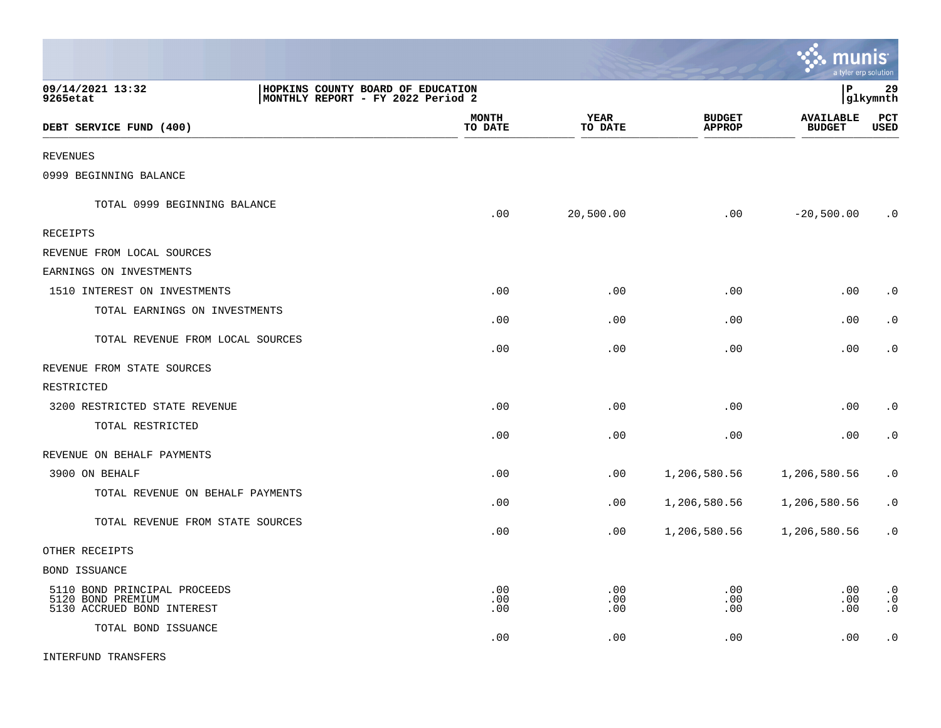|                                                                                                        |                         |                        |                                | munis                             | a tyler erp solution                |
|--------------------------------------------------------------------------------------------------------|-------------------------|------------------------|--------------------------------|-----------------------------------|-------------------------------------|
| 09/14/2021 13:32<br>HOPKINS COUNTY BOARD OF EDUCATION<br>MONTHLY REPORT - FY 2022 Period 2<br>9265etat |                         |                        |                                | l P                               | 29<br> glkymnth                     |
| DEBT SERVICE FUND (400)                                                                                | <b>MONTH</b><br>TO DATE | <b>YEAR</b><br>TO DATE | <b>BUDGET</b><br><b>APPROP</b> | <b>AVAILABLE</b><br><b>BUDGET</b> | PCT<br><b>USED</b>                  |
| <b>REVENUES</b>                                                                                        |                         |                        |                                |                                   |                                     |
| 0999 BEGINNING BALANCE                                                                                 |                         |                        |                                |                                   |                                     |
| TOTAL 0999 BEGINNING BALANCE                                                                           | .00                     | 20,500.00              | .00                            | $-20,500.00$                      | $\cdot$ 0                           |
| <b>RECEIPTS</b>                                                                                        |                         |                        |                                |                                   |                                     |
| REVENUE FROM LOCAL SOURCES                                                                             |                         |                        |                                |                                   |                                     |
| EARNINGS ON INVESTMENTS                                                                                |                         |                        |                                |                                   |                                     |
| 1510 INTEREST ON INVESTMENTS                                                                           | .00                     | .00                    | .00                            | .00                               | $\cdot$ 0                           |
| TOTAL EARNINGS ON INVESTMENTS                                                                          | .00                     | .00                    | .00                            | .00                               | $\cdot$ 0                           |
| TOTAL REVENUE FROM LOCAL SOURCES                                                                       | .00                     | .00                    | .00                            | .00                               | $\cdot$ 0                           |
| REVENUE FROM STATE SOURCES                                                                             |                         |                        |                                |                                   |                                     |
| RESTRICTED                                                                                             |                         |                        |                                |                                   |                                     |
| 3200 RESTRICTED STATE REVENUE                                                                          | .00                     | .00                    | .00                            | .00                               | $\cdot$ 0                           |
| TOTAL RESTRICTED                                                                                       | .00                     | .00                    | .00                            | .00                               | $\cdot$ 0                           |
| REVENUE ON BEHALF PAYMENTS                                                                             |                         |                        |                                |                                   |                                     |
| 3900 ON BEHALF                                                                                         | .00                     | .00                    | 1,206,580.56                   | 1,206,580.56                      | $\cdot$ 0                           |
| TOTAL REVENUE ON BEHALF PAYMENTS                                                                       | .00                     | .00                    | 1,206,580.56                   | 1,206,580.56                      | $\cdot$ 0                           |
| TOTAL REVENUE FROM STATE SOURCES                                                                       | .00                     | .00                    | 1,206,580.56                   | 1,206,580.56                      | $\cdot$ 0                           |
| OTHER RECEIPTS                                                                                         |                         |                        |                                |                                   |                                     |
| <b>BOND ISSUANCE</b>                                                                                   |                         |                        |                                |                                   |                                     |
| 5110 BOND PRINCIPAL PROCEEDS<br>5120 BOND PREMIUM<br>5130 ACCRUED BOND INTEREST                        | .00<br>.00<br>.00       | .00<br>.00<br>.00      | .00<br>.00<br>.00              | .00<br>.00<br>.00                 | $\cdot$ 0<br>$\cdot$ 0<br>$\cdot$ 0 |
| TOTAL BOND ISSUANCE                                                                                    | .00                     | .00                    | .00                            | .00                               | $\cdot$ 0                           |

 $\mathcal{L}$ 

INTERFUND TRANSFERS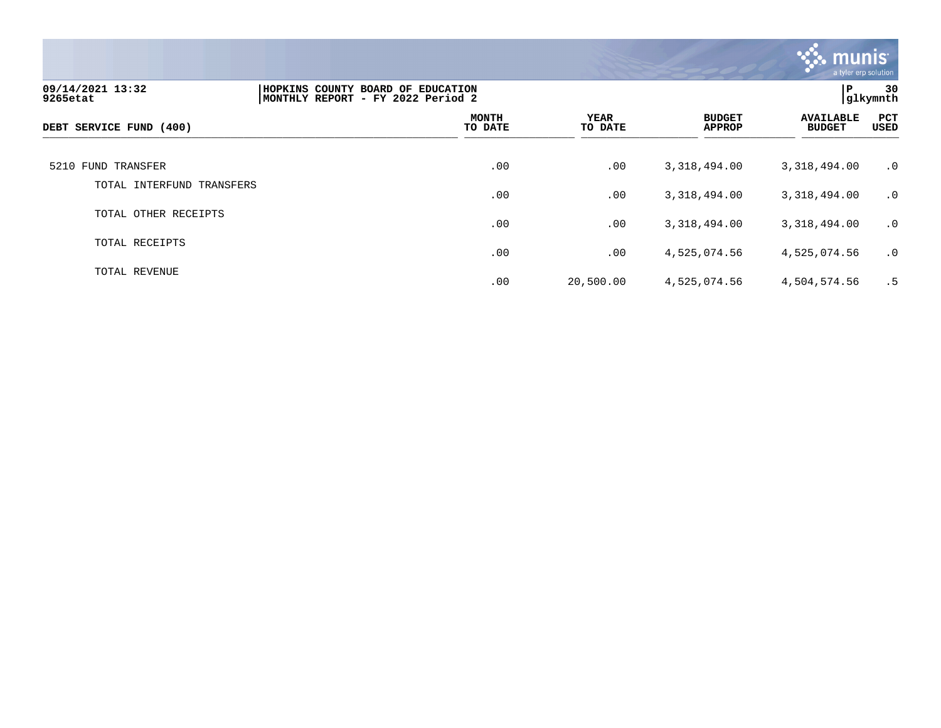

| 09/14/2021 13:32<br>9265etat | HOPKINS COUNTY BOARD OF EDUCATION<br>MONTHLY REPORT - FY 2022 Period 2 |                         |                 |                                | P                                 | 30<br> glkymnth |
|------------------------------|------------------------------------------------------------------------|-------------------------|-----------------|--------------------------------|-----------------------------------|-----------------|
| DEBT SERVICE FUND (400)      |                                                                        | <b>MONTH</b><br>TO DATE | YEAR<br>TO DATE | <b>BUDGET</b><br><b>APPROP</b> | <b>AVAILABLE</b><br><b>BUDGET</b> | PCT<br>USED     |
| 5210 FUND TRANSFER           |                                                                        | .00                     | .00             | 3,318,494.00                   | 3,318,494.00                      | $\cdot$ 0       |
| TOTAL INTERFUND<br>TRANSFERS |                                                                        | .00                     | .00             | 3,318,494.00                   | 3,318,494.00                      | $\cdot$ 0       |
| TOTAL OTHER RECEIPTS         |                                                                        | .00                     | .00             | 3,318,494.00                   | 3,318,494.00                      | $\cdot$ 0       |
| TOTAL RECEIPTS               |                                                                        | .00                     | .00             | 4,525,074.56                   | 4,525,074.56                      | $\cdot$ 0       |
| TOTAL REVENUE                |                                                                        | .00                     | 20,500.00       | 4,525,074.56                   | 4,504,574.56                      | . 5             |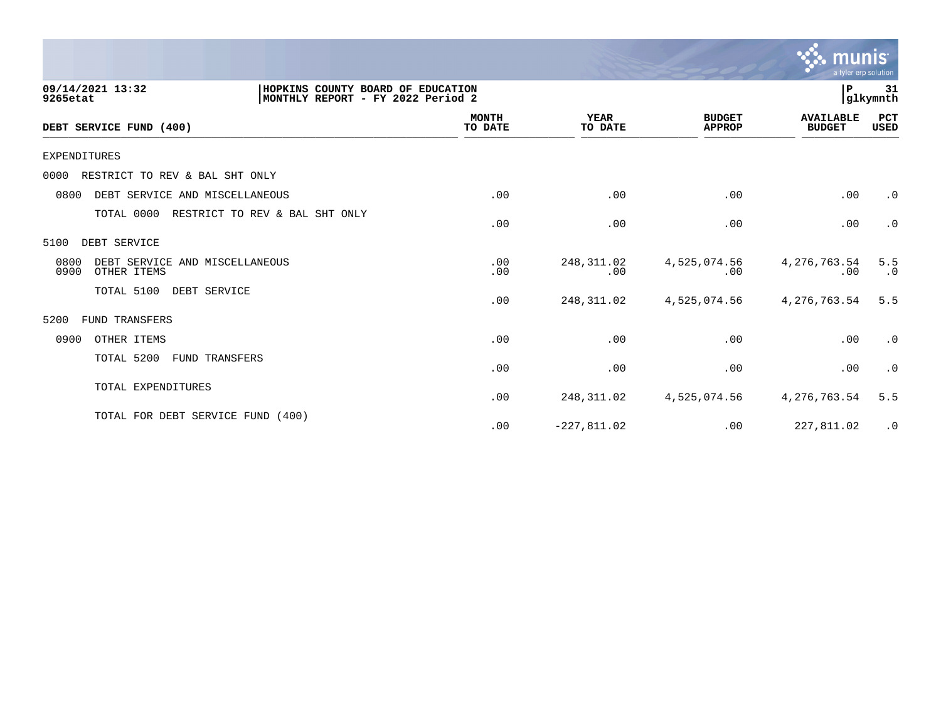|                                                                                                        |                         |                        |                                | n<br>a tyler erp solution         |                  |
|--------------------------------------------------------------------------------------------------------|-------------------------|------------------------|--------------------------------|-----------------------------------|------------------|
| 09/14/2021 13:32<br>HOPKINS COUNTY BOARD OF EDUCATION<br>MONTHLY REPORT - FY 2022 Period 2<br>9265etat |                         |                        |                                | P.                                | 31<br> glkymnth  |
| DEBT SERVICE FUND (400)                                                                                | <b>MONTH</b><br>TO DATE | <b>YEAR</b><br>TO DATE | <b>BUDGET</b><br><b>APPROP</b> | <b>AVAILABLE</b><br><b>BUDGET</b> | PCT<br>USED      |
| <b>EXPENDITURES</b>                                                                                    |                         |                        |                                |                                   |                  |
| 0000<br>RESTRICT TO REV & BAL SHT ONLY                                                                 |                         |                        |                                |                                   |                  |
| DEBT SERVICE AND MISCELLANEOUS<br>0800                                                                 | .00                     | .00                    | .00                            | .00                               | $\cdot$ 0        |
| TOTAL 0000<br>RESTRICT TO REV & BAL SHT ONLY                                                           | .00                     | .00                    | .00                            | .00                               | $\cdot$ 0        |
| DEBT SERVICE<br>5100                                                                                   |                         |                        |                                |                                   |                  |
| 0800<br>DEBT SERVICE AND MISCELLANEOUS<br>0900<br>OTHER ITEMS                                          | .00<br>.00              | 248, 311.02<br>.00     | 4,525,074.56<br>.00            | 4, 276, 763.54<br>.00             | 5.5<br>$\cdot$ 0 |
| TOTAL 5100<br>DEBT SERVICE                                                                             | .00                     | 248, 311.02            | 4,525,074.56                   | 4, 276, 763.54                    | 5.5              |
| FUND TRANSFERS<br>5200                                                                                 |                         |                        |                                |                                   |                  |
| 0900<br>OTHER ITEMS                                                                                    | .00                     | .00                    | .00                            | .00                               | $\cdot$ 0        |
| TOTAL 5200<br><b>FUND TRANSFERS</b>                                                                    | .00                     | .00                    | .00                            | .00                               | $\cdot$ 0        |
| TOTAL EXPENDITURES                                                                                     | .00                     | 248, 311.02            | 4,525,074.56                   | 4,276,763.54                      | 5.5              |
| TOTAL FOR DEBT SERVICE FUND (400)                                                                      | .00                     | $-227,811.02$          | .00                            | 227,811.02                        | $\cdot$ 0        |

 $\sqrt{2}$  munis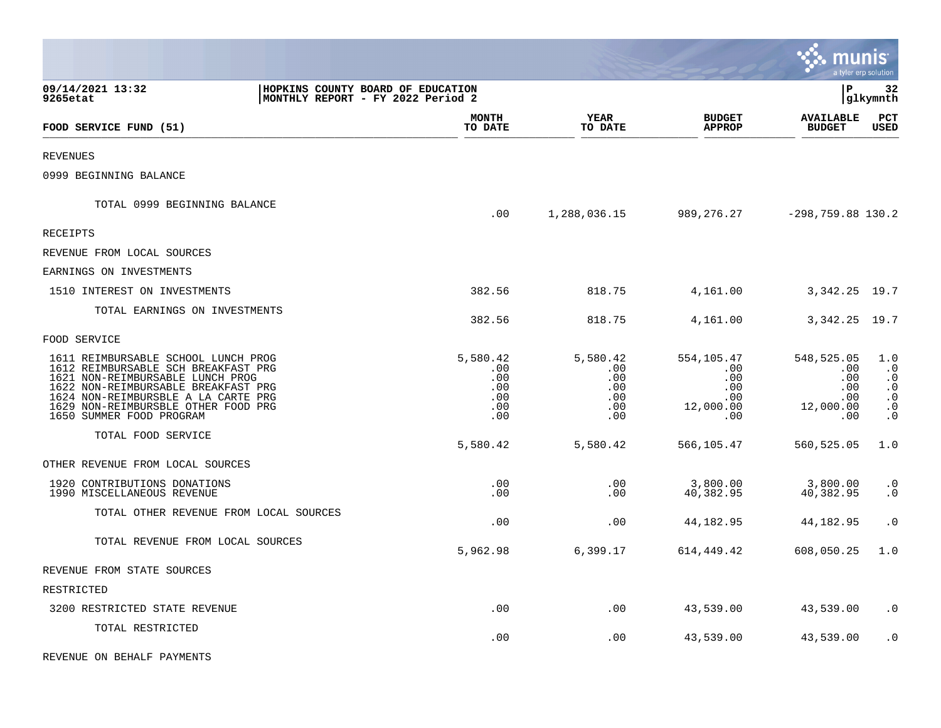|                                                                                                                                                                                                                                                                 |                                                                        |                                                    |                                                    |                                                            | munis                                                      | a tyler erp solution                                                              |
|-----------------------------------------------------------------------------------------------------------------------------------------------------------------------------------------------------------------------------------------------------------------|------------------------------------------------------------------------|----------------------------------------------------|----------------------------------------------------|------------------------------------------------------------|------------------------------------------------------------|-----------------------------------------------------------------------------------|
| 09/14/2021 13:32<br>9265etat                                                                                                                                                                                                                                    | HOPKINS COUNTY BOARD OF EDUCATION<br>MONTHLY REPORT - FY 2022 Period 2 |                                                    |                                                    |                                                            | l P                                                        | 32<br> glkymnth                                                                   |
| FOOD SERVICE FUND (51)                                                                                                                                                                                                                                          |                                                                        | <b>MONTH</b><br>TO DATE                            | <b>YEAR</b><br>TO DATE                             | <b>BUDGET</b><br><b>APPROP</b>                             | <b>AVAILABLE</b><br><b>BUDGET</b>                          | $_{\rm PCT}$<br><b>USED</b>                                                       |
| <b>REVENUES</b>                                                                                                                                                                                                                                                 |                                                                        |                                                    |                                                    |                                                            |                                                            |                                                                                   |
| 0999 BEGINNING BALANCE                                                                                                                                                                                                                                          |                                                                        |                                                    |                                                    |                                                            |                                                            |                                                                                   |
| TOTAL 0999 BEGINNING BALANCE                                                                                                                                                                                                                                    |                                                                        | .00                                                | 1,288,036.15                                       |                                                            | 989, 276. 27 - 298, 759. 88 130. 2                         |                                                                                   |
| RECEIPTS                                                                                                                                                                                                                                                        |                                                                        |                                                    |                                                    |                                                            |                                                            |                                                                                   |
| REVENUE FROM LOCAL SOURCES                                                                                                                                                                                                                                      |                                                                        |                                                    |                                                    |                                                            |                                                            |                                                                                   |
| EARNINGS ON INVESTMENTS                                                                                                                                                                                                                                         |                                                                        |                                                    |                                                    |                                                            |                                                            |                                                                                   |
| 1510 INTEREST ON INVESTMENTS                                                                                                                                                                                                                                    |                                                                        | 382.56                                             | 818.75                                             | 4,161.00                                                   | 3, 342. 25 19. 7                                           |                                                                                   |
| TOTAL EARNINGS ON INVESTMENTS                                                                                                                                                                                                                                   |                                                                        | 382.56                                             | 818.75                                             | 4,161.00                                                   | 3, 342. 25 19. 7                                           |                                                                                   |
| FOOD SERVICE                                                                                                                                                                                                                                                    |                                                                        |                                                    |                                                    |                                                            |                                                            |                                                                                   |
| 1611 REIMBURSABLE SCHOOL LUNCH PROG<br>1612 REIMBURSABLE SCH BREAKFAST PRG<br>1621 NON-REIMBURSABLE LUNCH PROG<br>1622 NON-REIMBURSABLE BREAKFAST PRG<br>1624 NON-REIMBURSBLE A LA CARTE PRG<br>1629 NON-REIMBURSBLE OTHER FOOD PRG<br>1650 SUMMER FOOD PROGRAM |                                                                        | 5,580.42<br>.00<br>.00<br>.00<br>.00<br>.00<br>.00 | 5,580.42<br>.00<br>.00<br>.00<br>.00<br>.00<br>.00 | 554,105.47<br>.00<br>.00<br>.00<br>.00<br>12,000.00<br>.00 | 548,525.05<br>.00<br>.00<br>.00<br>.00<br>12,000.00<br>.00 | 1.0<br>$\cdot$ 0<br>$\cdot$ 0<br>$\cdot$ 0<br>$\cdot$ 0<br>$\cdot$ 0<br>$\cdot$ 0 |
| TOTAL FOOD SERVICE                                                                                                                                                                                                                                              |                                                                        | 5,580.42                                           | 5,580.42                                           | 566,105.47                                                 | 560,525.05                                                 | 1.0                                                                               |
| OTHER REVENUE FROM LOCAL SOURCES                                                                                                                                                                                                                                |                                                                        |                                                    |                                                    |                                                            |                                                            |                                                                                   |
| 1920 CONTRIBUTIONS DONATIONS<br>1990 MISCELLANEOUS REVENUE                                                                                                                                                                                                      |                                                                        | .00<br>.00                                         | .00<br>.00                                         | 3,800.00<br>40,382.95                                      | 3,800.00<br>40,382.95                                      | $\cdot$ 0<br>$\cdot$ 0                                                            |
| TOTAL OTHER REVENUE FROM LOCAL SOURCES                                                                                                                                                                                                                          |                                                                        | .00                                                | .00                                                | 44,182.95                                                  | 44,182.95                                                  | $\cdot$ 0                                                                         |
| TOTAL REVENUE FROM LOCAL SOURCES                                                                                                                                                                                                                                |                                                                        | 5,962.98                                           | 6,399.17                                           | 614,449.42                                                 | 608,050.25                                                 | 1.0                                                                               |
| REVENUE FROM STATE SOURCES                                                                                                                                                                                                                                      |                                                                        |                                                    |                                                    |                                                            |                                                            |                                                                                   |
| RESTRICTED                                                                                                                                                                                                                                                      |                                                                        |                                                    |                                                    |                                                            |                                                            |                                                                                   |
| 3200 RESTRICTED STATE REVENUE                                                                                                                                                                                                                                   |                                                                        | .00                                                | .00                                                | 43,539.00                                                  | 43,539.00                                                  | $\cdot$ 0                                                                         |
| TOTAL RESTRICTED                                                                                                                                                                                                                                                |                                                                        | .00                                                | .00                                                | 43,539.00                                                  | 43,539.00                                                  | $\cdot$ 0                                                                         |
| REVENUE ON BEHALF PAYMENTS                                                                                                                                                                                                                                      |                                                                        |                                                    |                                                    |                                                            |                                                            |                                                                                   |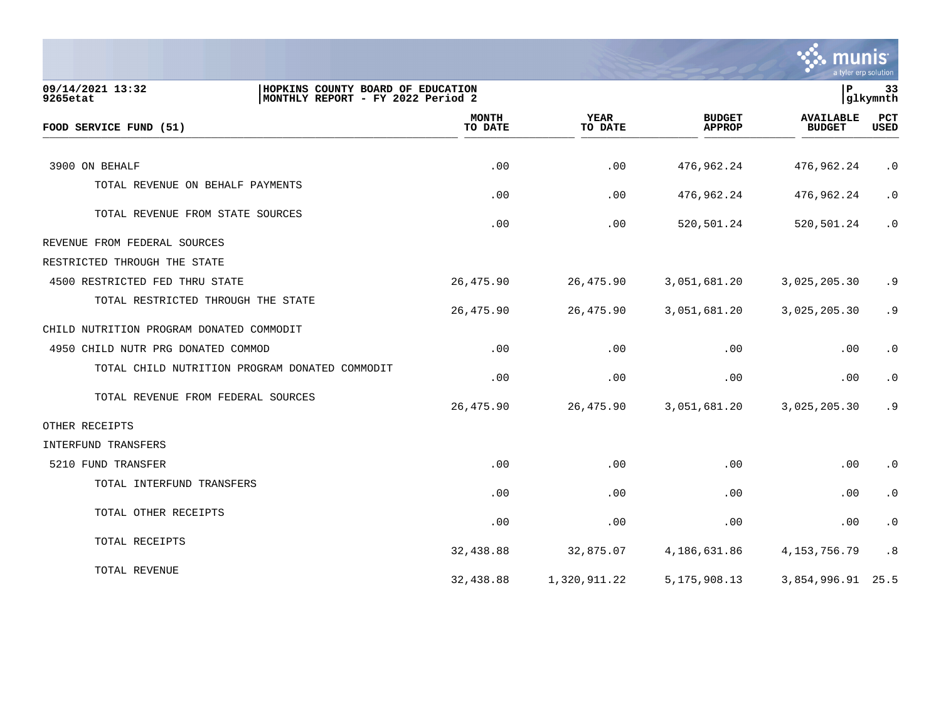

| HOPKINS COUNTY BOARD OF EDUCATION<br>09/14/2021 13:32<br>9265etat<br>MONTHLY REPORT - FY 2022 Period 2 |                         |                        |                                | ∣P                                | 33<br>glkymnth     |
|--------------------------------------------------------------------------------------------------------|-------------------------|------------------------|--------------------------------|-----------------------------------|--------------------|
| FOOD SERVICE FUND (51)                                                                                 | <b>MONTH</b><br>TO DATE | <b>YEAR</b><br>TO DATE | <b>BUDGET</b><br><b>APPROP</b> | <b>AVAILABLE</b><br><b>BUDGET</b> | <b>PCT</b><br>USED |
|                                                                                                        |                         |                        |                                |                                   |                    |
| 3900 ON BEHALF                                                                                         | .00                     | .00                    | 476,962.24                     | 476,962.24                        | $\cdot$ 0          |
| TOTAL REVENUE ON BEHALF PAYMENTS                                                                       | .00                     | .00                    | 476,962.24                     | 476,962.24                        | $\cdot$ 0          |
| TOTAL REVENUE FROM STATE SOURCES                                                                       | .00                     | .00                    | 520,501.24                     | 520,501.24                        | $\cdot$ 0          |
| REVENUE FROM FEDERAL SOURCES                                                                           |                         |                        |                                |                                   |                    |
| RESTRICTED THROUGH THE STATE                                                                           |                         |                        |                                |                                   |                    |
| 4500 RESTRICTED FED THRU STATE                                                                         | 26,475.90               | 26,475.90              | 3,051,681.20                   | 3,025,205.30                      | .9                 |
| TOTAL RESTRICTED THROUGH THE STATE                                                                     | 26,475.90               | 26,475.90              | 3,051,681.20                   | 3,025,205.30                      | .9                 |
| CHILD NUTRITION PROGRAM DONATED COMMODIT                                                               |                         |                        |                                |                                   |                    |
| 4950 CHILD NUTR PRG DONATED COMMOD                                                                     | .00                     | .00                    | .00                            | .00                               | $\cdot$ 0          |
| TOTAL CHILD NUTRITION PROGRAM DONATED COMMODIT                                                         | .00                     | .00                    | .00                            | .00                               | $\cdot$ 0          |
| TOTAL REVENUE FROM FEDERAL SOURCES                                                                     | 26,475.90               | 26,475.90              | 3,051,681.20                   | 3,025,205.30                      | .9                 |
| OTHER RECEIPTS                                                                                         |                         |                        |                                |                                   |                    |
| INTERFUND TRANSFERS                                                                                    |                         |                        |                                |                                   |                    |
| 5210 FUND TRANSFER                                                                                     | .00                     | .00                    | .00                            | .00                               | $\cdot$ 0          |
| TOTAL INTERFUND TRANSFERS                                                                              | .00                     | .00                    | .00                            | .00                               | $\cdot$ 0          |
| TOTAL OTHER RECEIPTS                                                                                   | .00                     | .00                    | .00                            | .00                               | $\cdot$ 0          |
| TOTAL RECEIPTS                                                                                         | 32,438.88               | 32,875.07              | 4,186,631.86                   | 4, 153, 756. 79                   | .8                 |
| TOTAL REVENUE                                                                                          | 32,438.88               | 1,320,911.22           | 5, 175, 908. 13                | 3,854,996.91                      | 25.5               |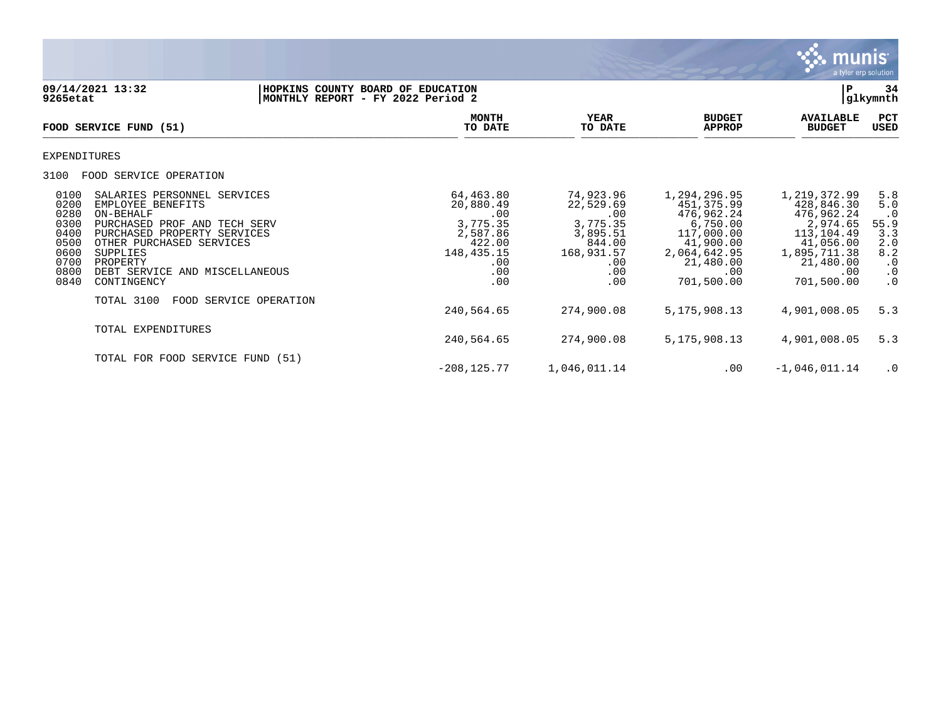

**09/14/2021 13:32 |HOPKINS COUNTY BOARD OF EDUCATION |P 34 MONTHLY REPORT - FY 2022 Period 2 MONTH YEAR BUDGET AVAILABLE PCT**<br>TO DATE TO DATE APPROP BUDGET USED FOOD SERVICE FUND (51)  $\overline{10 \text{ MHz}}$   $\overline{10 \text{ MHz}}$   $\overline{10 \text{ MHz}}$   $\overline{10 \text{ MHz}}$   $\overline{10 \text{ MHz}}$   $\overline{10 \text{ MHz}}$   $\overline{10 \text{ MHz}}$   $\overline{10 \text{ MHz}}$   $\overline{10 \text{ MHz}}$   $\overline{10 \text{ MHz}}$   $\overline{10 \text{ MHz}}$   $\overline{10 \text{ MHz}}$   $\overline{10 \text{ MHz}}$   $\overline{10 \text{ MHz}}$   $\overline{10 \text{ MHz}}$   $\overline{10 \text{ MHz$ EXPENDITURES 3100 FOOD SERVICE OPERATION 0100 SALARIES PERSONNEL SERVICES 64,463.80 74,923.96 1,294,296.95 1,219,372.99 5.8 0200 EMPLOYEE BENEFITS CONFERENCE EN EXERCISE AND RESERVENT SUBSERVENTIS CONFERENCE ENTERTY OF THE SUBSERVENTI<br>0. 0. 476,962.24 476,962.24 20,00 476,962.24 476,962.24 9 میں بال بن اللہ کا میں بن اللہ کی اللہ کی اللہ کی ال<br> 0280 ON-BEHALF .00 .00 476,962.24 476,962.24 .0 0300 PURCHASED PROF AND TECH SERV 3 3,775.35 35 3,775.35 3,775.35 3,775.35 3,775.35 3,375.35 3,375.35 3,375.35 3,375.35 3,375.35 3,375.35 3,375.35 3,375.35 3,376.65 55.9 0400 PURCHASED PROPERTY SERVICES (2,587.86 3,895.51 117,000.00 113,104.49 3.3<br>05.00 1117,000.00 11,956.00 2.00 41,990.00 41,900.00 41,056.00 2.0 0500 OTHER PURCHASED SERVICES (422.00 6844.00 41,900.00 41,056.00 2.00 41,056.00 41,056.00 41,056.00 41,056.00<br>2.8 4.2 4.1,900.00 5UPPLIES (4.85,711.38 8.2 0600 SUPPLIES 148,435.15 168,931.57 2,064,642.95 1,895,711.38 8.2 07 ـ 0700 PROPERTY .00 ـ 0700 PROPERTY .00 ـ 0700 PROPERTY .00 ـ 0700 PROPERTY 0800 DEBT SERVICE AND MISCELLANEOUS .00 .00 .00 .00 .0 0840 CONTINGENCY TOTAL 3100 FOOD SERVICE OPERATION 240,564.65 274,900.08 5,175,908.13 4,901,008.05 5.3 TOTAL EXPENDITURES 240,564.65 274,900.08 5,175,908.13 4,901,008.05 5.3 TOTAL FOR FOOD SERVICE FUND (51)  $-208,125.77$  1,046,011.14 .00  $-1,046,011.14$  .0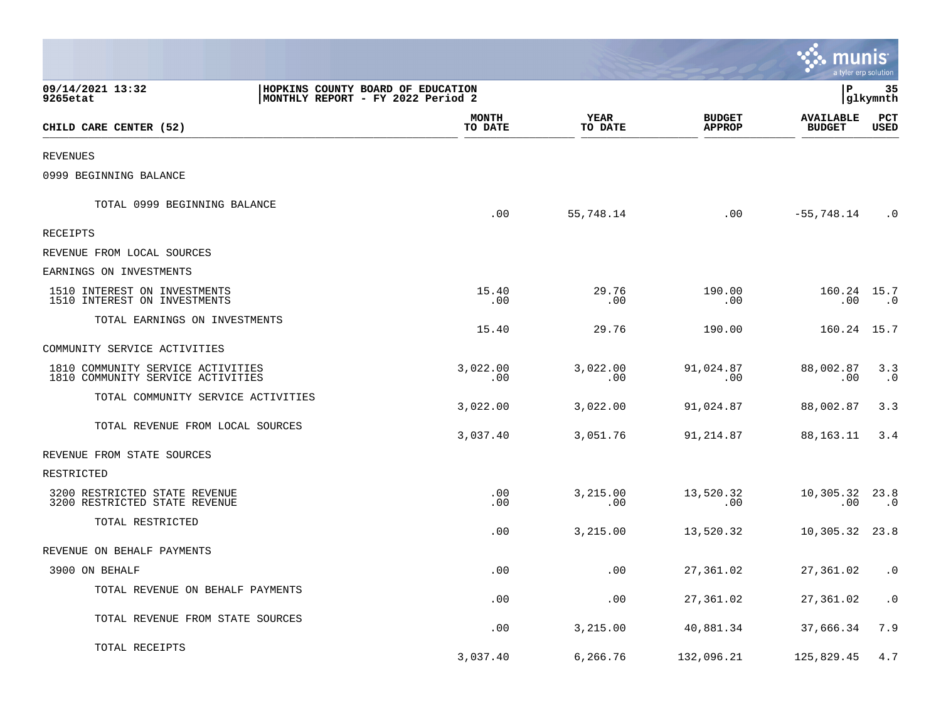|                                                                                                        |                         |                        |                                | mu<br>a tyler erp solution        |                        |
|--------------------------------------------------------------------------------------------------------|-------------------------|------------------------|--------------------------------|-----------------------------------|------------------------|
| 09/14/2021 13:32<br>HOPKINS COUNTY BOARD OF EDUCATION<br>MONTHLY REPORT - FY 2022 Period 2<br>9265etat |                         |                        |                                | P                                 | 35<br> glkymnth        |
| CHILD CARE CENTER (52)                                                                                 | <b>MONTH</b><br>TO DATE | <b>YEAR</b><br>TO DATE | <b>BUDGET</b><br><b>APPROP</b> | <b>AVAILABLE</b><br><b>BUDGET</b> | PCT<br>USED            |
| <b>REVENUES</b>                                                                                        |                         |                        |                                |                                   |                        |
| 0999 BEGINNING BALANCE                                                                                 |                         |                        |                                |                                   |                        |
| TOTAL 0999 BEGINNING BALANCE                                                                           | .00                     | 55,748.14              | .00                            | $-55,748.14$                      | $\cdot$ 0              |
| RECEIPTS                                                                                               |                         |                        |                                |                                   |                        |
| REVENUE FROM LOCAL SOURCES                                                                             |                         |                        |                                |                                   |                        |
| EARNINGS ON INVESTMENTS                                                                                |                         |                        |                                |                                   |                        |
| 1510 INTEREST ON INVESTMENTS<br>1510 INTEREST ON INVESTMENTS                                           | 15.40<br>.00            | 29.76<br>.00           | 190.00<br>.00                  | 160.24 15.7<br>$.00 \,$           | $\ldots$ 0             |
| TOTAL EARNINGS ON INVESTMENTS                                                                          | 15.40                   | 29.76                  | 190.00                         | 160.24 15.7                       |                        |
| COMMUNITY SERVICE ACTIVITIES                                                                           |                         |                        |                                |                                   |                        |
| 1810 COMMUNITY SERVICE ACTIVITIES<br>1810 COMMUNITY SERVICE ACTIVITIES                                 | 3,022.00<br>.00         | 3,022.00<br>.00        | 91,024.87<br>.00               | 88,002.87<br>.00                  | 3.3<br>$\cdot$ 0       |
| TOTAL COMMUNITY SERVICE ACTIVITIES                                                                     | 3,022.00                | 3,022.00               | 91,024.87                      | 88,002.87                         | 3.3                    |
| TOTAL REVENUE FROM LOCAL SOURCES                                                                       | 3,037.40                | 3,051.76               | 91,214.87                      | 88,163.11                         | 3.4                    |
| REVENUE FROM STATE SOURCES                                                                             |                         |                        |                                |                                   |                        |
| RESTRICTED                                                                                             |                         |                        |                                |                                   |                        |
| 3200 RESTRICTED STATE REVENUE<br>3200 RESTRICTED STATE REVENUE                                         | $.00 \,$<br>.00.        | 3,215.00<br>.00        | 13,520.32<br>$.00 \,$          | 10,305.32 23.8<br>.00             | $\cdot$ 0              |
| TOTAL RESTRICTED                                                                                       | .00                     | 3,215.00               | 13,520.32                      | 10,305.32 23.8                    |                        |
| REVENUE ON BEHALF PAYMENTS                                                                             |                         |                        |                                |                                   |                        |
| 3900 ON BEHALF                                                                                         | .00                     | .00                    | 27,361.02                      | 27, 361.02 .0                     |                        |
| TOTAL REVENUE ON BEHALF PAYMENTS                                                                       | .00                     | .00                    | 27,361.02                      | 27,361.02                         | $\boldsymbol{\cdot}$ 0 |
| TOTAL REVENUE FROM STATE SOURCES                                                                       | .00                     | 3,215.00               | 40,881.34                      | 37,666.34                         | 7.9                    |
| TOTAL RECEIPTS                                                                                         | 3,037.40                | 6,266.76               | 132,096.21                     | 125,829.45                        | 4.7                    |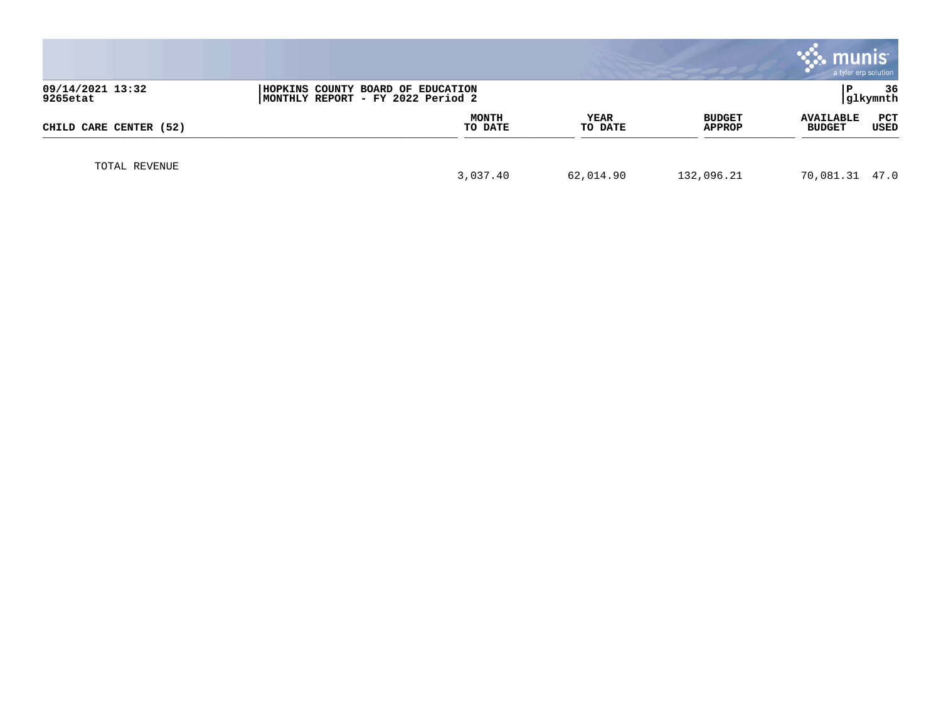|                                                                                                        |  |                         |                        |                         | munis<br>a tyler erp solution     |                 |
|--------------------------------------------------------------------------------------------------------|--|-------------------------|------------------------|-------------------------|-----------------------------------|-----------------|
| 09/14/2021 13:32<br>HOPKINS COUNTY BOARD OF EDUCATION<br>9265etat<br>MONTHLY REPORT - FY 2022 Period 2 |  |                         |                        |                         |                                   | 36<br> glkymnth |
| CHILD CARE CENTER (52)                                                                                 |  | <b>MONTH</b><br>TO DATE | <b>YEAR</b><br>TO DATE | <b>BUDGET</b><br>APPROP | <b>AVAILABLE</b><br><b>BUDGET</b> | PCT<br>USED     |
| TOTAL REVENUE                                                                                          |  | 3,037.40                | 62,014.90              | 132,096.21              | 70,081.31 47.0                    |                 |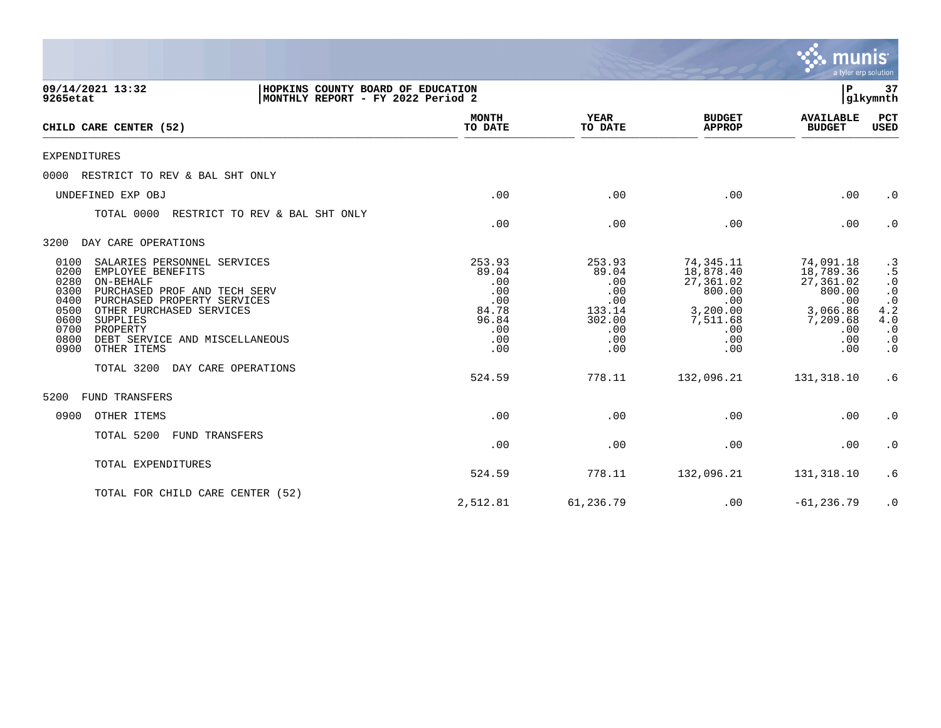|                                                                                                                                                                                                                                                                                                                   |                                                                             |                                                                               |                                                                                                   | <b>munis</b><br>a tyler erp solution                                                              |                                                                                                                                  |
|-------------------------------------------------------------------------------------------------------------------------------------------------------------------------------------------------------------------------------------------------------------------------------------------------------------------|-----------------------------------------------------------------------------|-------------------------------------------------------------------------------|---------------------------------------------------------------------------------------------------|---------------------------------------------------------------------------------------------------|----------------------------------------------------------------------------------------------------------------------------------|
| 09/14/2021 13:32<br>HOPKINS COUNTY BOARD OF EDUCATION<br>MONTHLY REPORT - FY 2022 Period 2<br>9265etat                                                                                                                                                                                                            |                                                                             |                                                                               |                                                                                                   | ${\bf P}$                                                                                         | 37<br>glkymnth                                                                                                                   |
| CHILD CARE CENTER (52)                                                                                                                                                                                                                                                                                            | <b>MONTH</b><br>TO DATE                                                     | <b>YEAR</b><br>TO DATE                                                        | <b>BUDGET</b><br><b>APPROP</b>                                                                    | <b>AVAILABLE</b><br><b>BUDGET</b>                                                                 | PCT<br>USED                                                                                                                      |
| <b>EXPENDITURES</b>                                                                                                                                                                                                                                                                                               |                                                                             |                                                                               |                                                                                                   |                                                                                                   |                                                                                                                                  |
| RESTRICT TO REV & BAL SHT ONLY<br>0000                                                                                                                                                                                                                                                                            |                                                                             |                                                                               |                                                                                                   |                                                                                                   |                                                                                                                                  |
| UNDEFINED EXP OBJ                                                                                                                                                                                                                                                                                                 | .00                                                                         | .00                                                                           | .00                                                                                               | .00                                                                                               | $\cdot$ 0                                                                                                                        |
| TOTAL 0000<br>RESTRICT TO REV & BAL SHT ONLY                                                                                                                                                                                                                                                                      | .00                                                                         | .00                                                                           | .00                                                                                               | .00                                                                                               | $\cdot$ 0                                                                                                                        |
| DAY CARE OPERATIONS<br>3200                                                                                                                                                                                                                                                                                       |                                                                             |                                                                               |                                                                                                   |                                                                                                   |                                                                                                                                  |
| 0100<br>SALARIES PERSONNEL SERVICES<br>0200<br>EMPLOYEE BENEFITS<br>0280<br>ON-BEHALF<br>0300<br>PURCHASED PROF AND TECH SERV<br>0400<br>PURCHASED PROPERTY SERVICES<br>0500<br>OTHER PURCHASED SERVICES<br>0600<br>SUPPLIES<br>0700<br>PROPERTY<br>0800<br>DEBT SERVICE AND MISCELLANEOUS<br>0900<br>OTHER ITEMS | 253.93<br>89.04<br>.00<br>.00<br>.00<br>84.78<br>96.84<br>.00<br>.00<br>.00 | 253.93<br>89.04<br>.00<br>.00<br>.00<br>133.14<br>302.00<br>.00<br>.00<br>.00 | 74,345.11<br>18,878.40<br>27,361.02<br>800.00<br>.00<br>3,200.00<br>7,511.68<br>.00<br>.00<br>.00 | 74,091.18<br>18,789.36<br>27,361.02<br>800.00<br>.00<br>3,066.86<br>7,209.68<br>.00<br>.00<br>.00 | $\begin{array}{r} .3 \\ .5 \\ .0 \\ .0 \\ .2 \\ .2 \\ .3 \end{array}$<br>4.0<br>$\cdot$ 0<br>$\cdot$ 0<br>$\boldsymbol{\cdot}$ 0 |
| TOTAL 3200<br>DAY CARE OPERATIONS                                                                                                                                                                                                                                                                                 | 524.59                                                                      | 778.11                                                                        | 132,096.21                                                                                        | 131,318.10                                                                                        | .6                                                                                                                               |
| FUND TRANSFERS<br>5200                                                                                                                                                                                                                                                                                            |                                                                             |                                                                               |                                                                                                   |                                                                                                   |                                                                                                                                  |
| 0900<br>OTHER ITEMS                                                                                                                                                                                                                                                                                               | .00                                                                         | .00                                                                           | .00                                                                                               | .00                                                                                               | $\cdot$ 0                                                                                                                        |
| TOTAL 5200<br><b>FUND TRANSFERS</b>                                                                                                                                                                                                                                                                               | .00                                                                         | .00                                                                           | .00                                                                                               | .00                                                                                               | $\cdot$ 0                                                                                                                        |
| TOTAL EXPENDITURES                                                                                                                                                                                                                                                                                                | 524.59                                                                      | 778.11                                                                        | 132,096.21                                                                                        | 131,318.10                                                                                        | .6                                                                                                                               |
| TOTAL FOR CHILD CARE CENTER (52)                                                                                                                                                                                                                                                                                  | 2,512.81                                                                    | 61,236.79                                                                     | .00                                                                                               | $-61, 236.79$                                                                                     | $\cdot$ 0                                                                                                                        |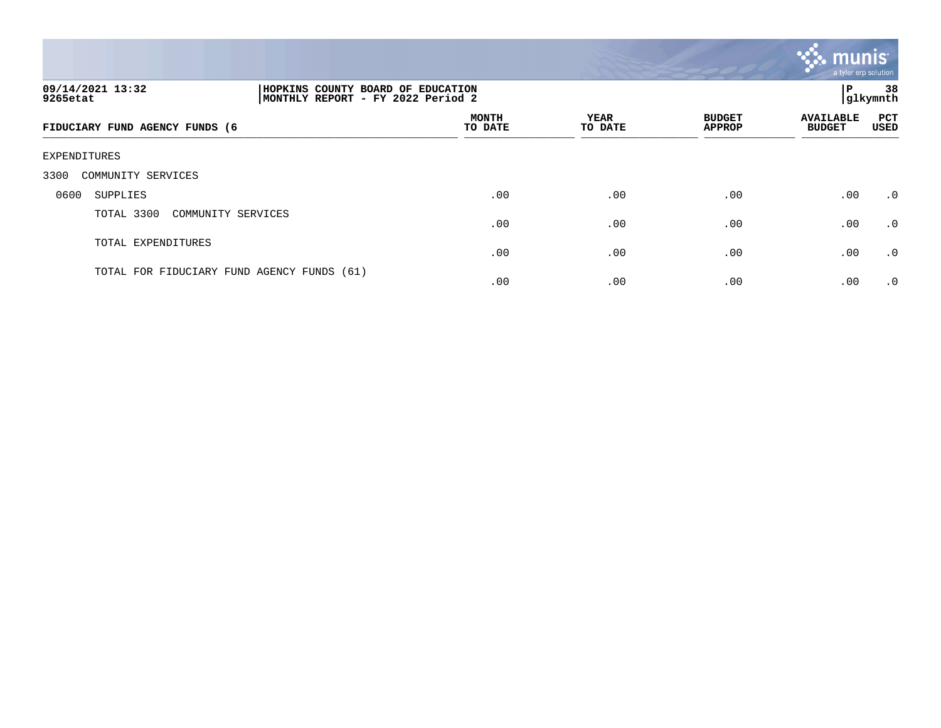

| 09/14/2021 13:32<br>9265etat               | HOPKINS COUNTY BOARD OF EDUCATION<br>MONTHLY REPORT - FY 2022 Period 2 |                         |                        |                                | ≀ P                               | 38<br> glkymnth    |
|--------------------------------------------|------------------------------------------------------------------------|-------------------------|------------------------|--------------------------------|-----------------------------------|--------------------|
| FIDUCIARY FUND AGENCY FUNDS (6             |                                                                        | <b>MONTH</b><br>TO DATE | <b>YEAR</b><br>TO DATE | <b>BUDGET</b><br><b>APPROP</b> | <b>AVAILABLE</b><br><b>BUDGET</b> | PCT<br><b>USED</b> |
| EXPENDITURES                               |                                                                        |                         |                        |                                |                                   |                    |
| 3300<br>COMMUNITY SERVICES                 |                                                                        |                         |                        |                                |                                   |                    |
| 0600<br>SUPPLIES                           |                                                                        | .00                     | .00                    | .00                            | .00                               | .0                 |
| TOTAL 3300<br>COMMUNITY SERVICES           |                                                                        | .00                     | .00                    | .00                            | .00                               | $\cdot$ 0          |
| TOTAL EXPENDITURES                         |                                                                        | .00                     | .00                    | .00                            | .00                               | $\cdot$ 0          |
| TOTAL FOR FIDUCIARY FUND AGENCY FUNDS (61) |                                                                        | .00                     | .00                    | .00                            | .00                               | $\cdot$ 0          |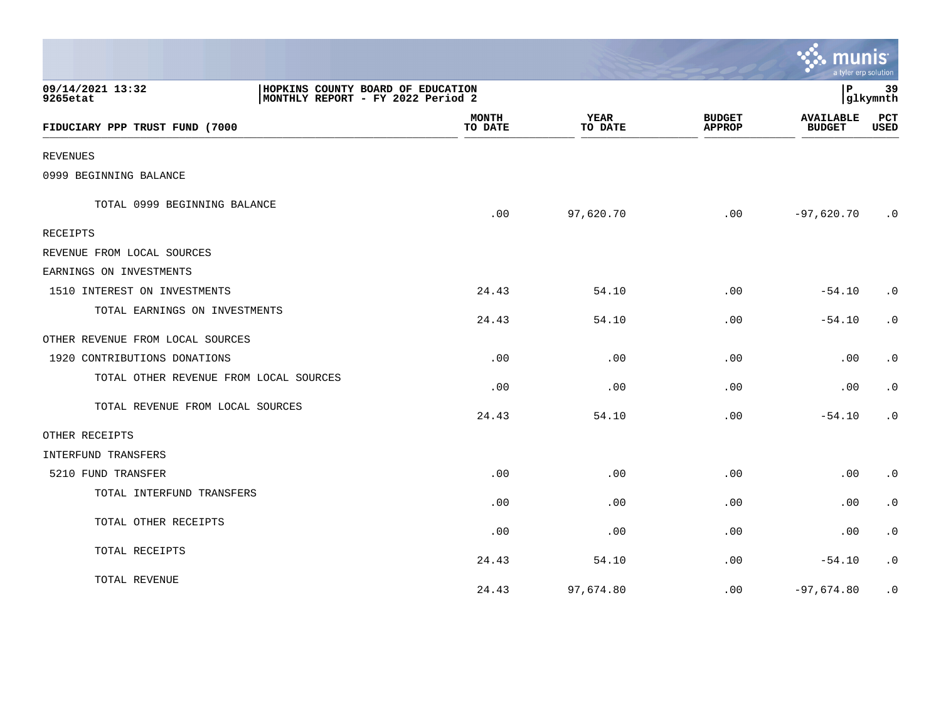|                                                                                                        |                         |                        |                                | munis<br>a tyler erp solution     |                        |
|--------------------------------------------------------------------------------------------------------|-------------------------|------------------------|--------------------------------|-----------------------------------|------------------------|
| 09/14/2021 13:32<br>HOPKINS COUNTY BOARD OF EDUCATION<br>9265etat<br>MONTHLY REPORT - FY 2022 Period 2 |                         |                        |                                | l P                               | 39<br> glkymnth        |
| FIDUCIARY PPP TRUST FUND (7000                                                                         | <b>MONTH</b><br>TO DATE | <b>YEAR</b><br>TO DATE | <b>BUDGET</b><br><b>APPROP</b> | <b>AVAILABLE</b><br><b>BUDGET</b> | PCT<br><b>USED</b>     |
| <b>REVENUES</b>                                                                                        |                         |                        |                                |                                   |                        |
| 0999 BEGINNING BALANCE                                                                                 |                         |                        |                                |                                   |                        |
| TOTAL 0999 BEGINNING BALANCE                                                                           | .00                     | 97,620.70              | .00                            | $-97,620.70$                      | $\cdot$ 0              |
| <b>RECEIPTS</b>                                                                                        |                         |                        |                                |                                   |                        |
| REVENUE FROM LOCAL SOURCES                                                                             |                         |                        |                                |                                   |                        |
| EARNINGS ON INVESTMENTS                                                                                |                         |                        |                                |                                   |                        |
| 1510 INTEREST ON INVESTMENTS                                                                           | 24.43                   | 54.10                  | .00                            | $-54.10$                          | $\cdot$ 0              |
| TOTAL EARNINGS ON INVESTMENTS                                                                          | 24.43                   | 54.10                  | .00                            | $-54.10$                          | $\cdot$ 0              |
| OTHER REVENUE FROM LOCAL SOURCES                                                                       |                         |                        |                                |                                   |                        |
| 1920 CONTRIBUTIONS DONATIONS                                                                           | .00                     | .00                    | .00                            | .00                               | $\boldsymbol{\cdot}$ 0 |
| TOTAL OTHER REVENUE FROM LOCAL SOURCES                                                                 | .00                     | .00                    | .00                            | .00                               | $\cdot$ 0              |
| TOTAL REVENUE FROM LOCAL SOURCES                                                                       | 24.43                   | 54.10                  | .00                            | $-54.10$                          | $\cdot$ 0              |
| OTHER RECEIPTS                                                                                         |                         |                        |                                |                                   |                        |
| INTERFUND TRANSFERS                                                                                    |                         |                        |                                |                                   |                        |
| 5210 FUND TRANSFER                                                                                     | .00                     | .00                    | .00                            | .00                               | $\cdot$ 0              |
| TOTAL INTERFUND TRANSFERS                                                                              | .00                     | .00                    | .00                            | .00                               | $\cdot$ 0              |
| TOTAL OTHER RECEIPTS                                                                                   | .00                     | .00                    | .00                            | .00                               | $\cdot$ 0              |
| TOTAL RECEIPTS                                                                                         | 24.43                   | 54.10                  | .00                            | $-54.10$                          | $\boldsymbol{\cdot}$ 0 |
| TOTAL REVENUE                                                                                          | 24.43                   | 97,674.80              | .00                            | $-97,674.80$                      | $\cdot$ 0              |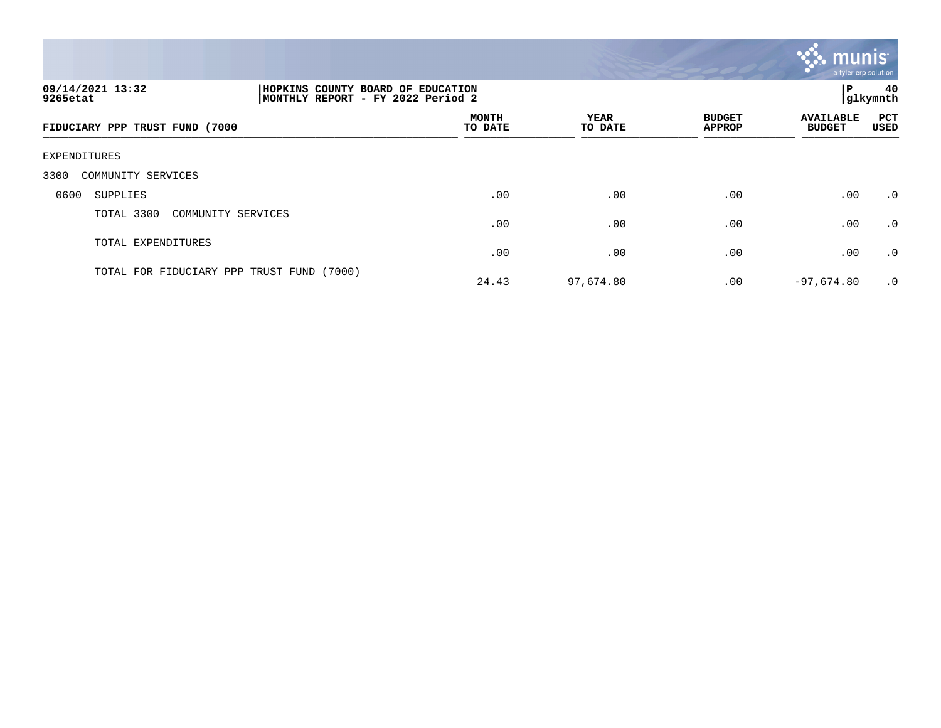

| 09/14/2021 13:32<br>9265etat              |                    | 40<br>HOPKINS COUNTY BOARD OF EDUCATION<br>ΙP<br>MONTHLY REPORT - FY 2022 Period 2<br> glkymnth |                 |                                |                                   |                    |  |
|-------------------------------------------|--------------------|-------------------------------------------------------------------------------------------------|-----------------|--------------------------------|-----------------------------------|--------------------|--|
| FIDUCIARY PPP TRUST FUND (7000            |                    | <b>MONTH</b><br>TO DATE                                                                         | YEAR<br>TO DATE | <b>BUDGET</b><br><b>APPROP</b> | <b>AVAILABLE</b><br><b>BUDGET</b> | <b>PCT</b><br>USED |  |
| EXPENDITURES                              |                    |                                                                                                 |                 |                                |                                   |                    |  |
| 3300<br>COMMUNITY SERVICES                |                    |                                                                                                 |                 |                                |                                   |                    |  |
| 0600<br>SUPPLIES                          |                    | .00                                                                                             | .00             | .00                            | .00                               | .0                 |  |
| TOTAL 3300                                | COMMUNITY SERVICES | .00                                                                                             | .00             | .00                            | .00                               | .0                 |  |
| TOTAL EXPENDITURES                        |                    | .00                                                                                             | .00             | .00                            | .00                               | .0                 |  |
| TOTAL FOR FIDUCIARY PPP TRUST FUND (7000) |                    | 24.43                                                                                           | 97,674.80       | $.00 \,$                       | $-97,674.80$                      | $\cdot$ 0          |  |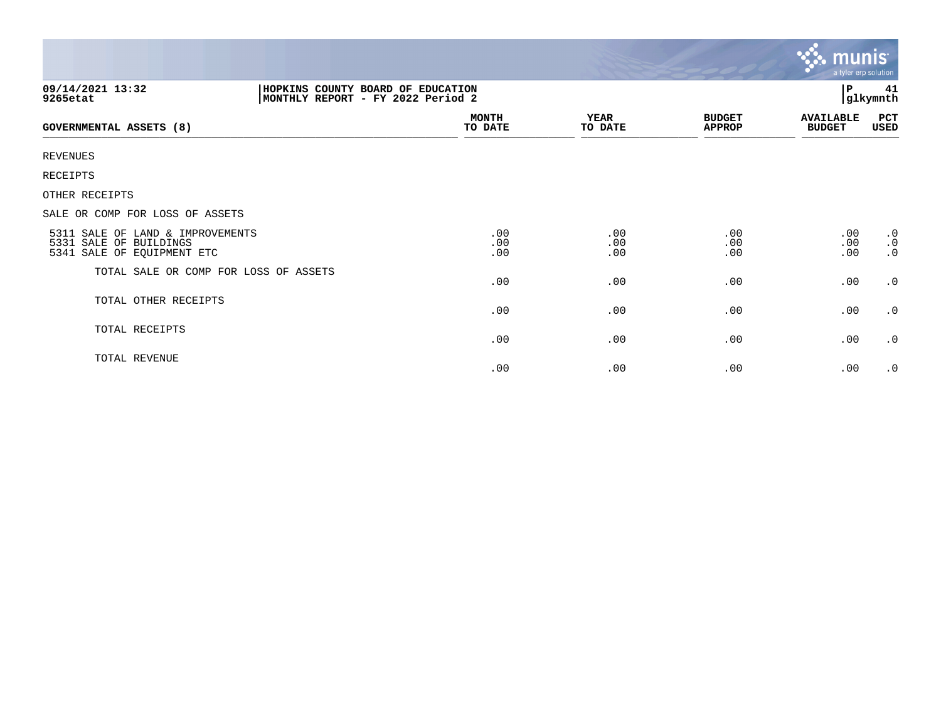|                                                                                          |                                                                        |                   |                                | <b>R. MUNIS</b><br>a tyler erp solution |                                     |
|------------------------------------------------------------------------------------------|------------------------------------------------------------------------|-------------------|--------------------------------|-----------------------------------------|-------------------------------------|
| 09/14/2021 13:32<br>9265etat                                                             | HOPKINS COUNTY BOARD OF EDUCATION<br>MONTHLY REPORT - FY 2022 Period 2 |                   |                                | Р<br>41<br>glkymnth                     |                                     |
| GOVERNMENTAL ASSETS (8)                                                                  | <b>MONTH</b><br>TO DATE                                                | YEAR<br>TO DATE   | <b>BUDGET</b><br><b>APPROP</b> | <b>AVAILABLE</b><br><b>BUDGET</b>       | PCT<br>USED                         |
| <b>REVENUES</b>                                                                          |                                                                        |                   |                                |                                         |                                     |
| RECEIPTS                                                                                 |                                                                        |                   |                                |                                         |                                     |
| OTHER RECEIPTS                                                                           |                                                                        |                   |                                |                                         |                                     |
| SALE OR COMP FOR LOSS OF ASSETS                                                          |                                                                        |                   |                                |                                         |                                     |
| 5311 SALE OF LAND & IMPROVEMENTS<br>5331 SALE OF BUILDINGS<br>5341 SALE OF EQUIPMENT ETC | .00<br>.00<br>.00                                                      | .00<br>.00<br>.00 | .00<br>.00<br>.00              | .00<br>.00<br>.00                       | $\cdot$ 0<br>$\cdot$ 0<br>$\cdot$ 0 |
| TOTAL SALE OR COMP FOR LOSS OF ASSETS                                                    | .00                                                                    | .00               | .00                            | .00                                     | $\cdot$ 0                           |
| TOTAL OTHER RECEIPTS                                                                     | .00                                                                    | .00               | .00                            | .00                                     | $\cdot$ 0                           |
| TOTAL RECEIPTS                                                                           | .00                                                                    | .00               | .00                            | .00                                     | $\cdot$ 0                           |
| TOTAL REVENUE                                                                            | .00                                                                    | .00               | .00                            | .00                                     | $\cdot$ 0                           |

and the contract of the contract of the contract of the contract of the contract of the contract of the contract of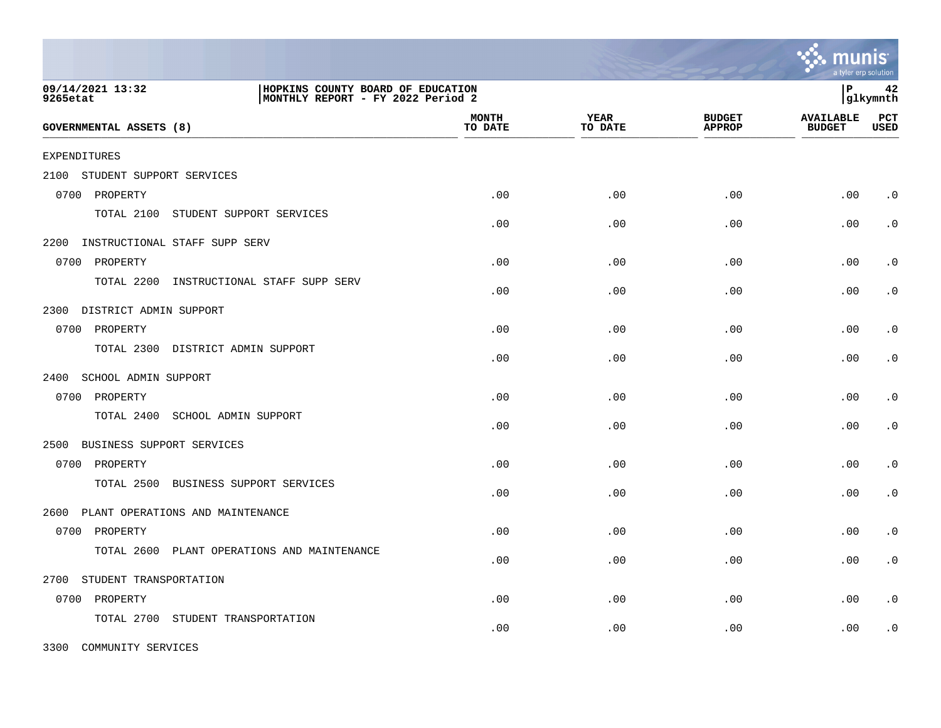|                                             |                                                                        |                         |                 |                                | a tyler erp solution              |                    |
|---------------------------------------------|------------------------------------------------------------------------|-------------------------|-----------------|--------------------------------|-----------------------------------|--------------------|
| 09/14/2021 13:32<br>9265etat                | HOPKINS COUNTY BOARD OF EDUCATION<br>MONTHLY REPORT - FY 2022 Period 2 |                         |                 |                                | l P                               | 42<br> glkymnth    |
| <b>GOVERNMENTAL ASSETS (8)</b>              |                                                                        | <b>MONTH</b><br>TO DATE | YEAR<br>TO DATE | <b>BUDGET</b><br><b>APPROP</b> | <b>AVAILABLE</b><br><b>BUDGET</b> | PCT<br><b>USED</b> |
| <b>EXPENDITURES</b>                         |                                                                        |                         |                 |                                |                                   |                    |
| STUDENT SUPPORT SERVICES<br>2100            |                                                                        |                         |                 |                                |                                   |                    |
| 0700 PROPERTY                               |                                                                        | .00                     | .00             | .00                            | .00                               | $\cdot$ 0          |
| TOTAL 2100<br>STUDENT SUPPORT SERVICES      |                                                                        | .00                     | .00             | .00                            | .00                               | $\cdot$ 0          |
| 2200 INSTRUCTIONAL STAFF SUPP SERV          |                                                                        |                         |                 |                                |                                   |                    |
| 0700 PROPERTY                               |                                                                        | .00                     | .00             | .00                            | .00                               | $\cdot$ 0          |
| TOTAL 2200                                  | INSTRUCTIONAL STAFF SUPP SERV                                          | .00                     | .00             | .00                            | .00                               | $\cdot$ 0          |
| DISTRICT ADMIN SUPPORT<br>2300              |                                                                        |                         |                 |                                |                                   |                    |
| 0700 PROPERTY                               |                                                                        | .00                     | .00             | .00                            | .00                               | $\cdot$ 0          |
| TOTAL 2300<br>DISTRICT ADMIN SUPPORT        |                                                                        | .00                     | .00             | .00                            | .00                               | $\cdot$ 0          |
| 2400<br>SCHOOL ADMIN SUPPORT                |                                                                        |                         |                 |                                |                                   |                    |
| 0700 PROPERTY                               |                                                                        | .00                     | .00             | .00                            | .00                               | $\cdot$ 0          |
| TOTAL 2400<br>SCHOOL ADMIN SUPPORT          |                                                                        | .00                     | .00             | .00                            | .00                               | $\cdot$ 0          |
| 2500<br>BUSINESS SUPPORT SERVICES           |                                                                        |                         |                 |                                |                                   |                    |
| 0700 PROPERTY                               |                                                                        | .00                     | .00             | .00                            | .00                               | $\cdot$ 0          |
| TOTAL 2500                                  | BUSINESS SUPPORT SERVICES                                              | .00                     | .00             | .00                            | .00                               | $\cdot$ 0          |
| 2600<br>PLANT OPERATIONS AND MAINTENANCE    |                                                                        |                         |                 |                                |                                   |                    |
| 0700 PROPERTY                               |                                                                        | .00                     | .00             | .00                            | .00                               | $\cdot$ 0          |
| TOTAL 2600 PLANT OPERATIONS AND MAINTENANCE |                                                                        | .00                     | .00             | .00                            | .00                               | $\cdot$ 0          |
| STUDENT TRANSPORTATION<br>2700              |                                                                        |                         |                 |                                |                                   |                    |
| 0700 PROPERTY                               |                                                                        | .00                     | .00             | .00                            | .00                               | $\cdot$ 0          |
| TOTAL 2700<br>STUDENT TRANSPORTATION        |                                                                        | .00                     | .00             | .00                            | .00                               | $\cdot$ 0          |

3300 COMMUNITY SERVICES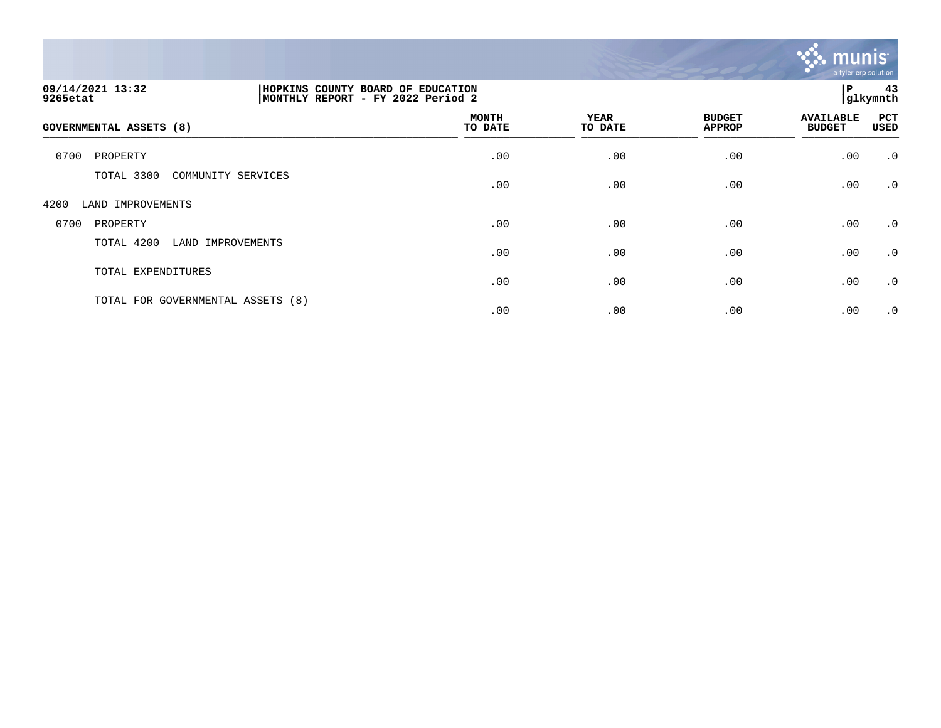

| 09/14/2021 13:32<br>9265etat      | HOPKINS COUNTY BOARD OF EDUCATION<br>MONTHLY REPORT - FY 2022 Period 2 |                        |                                | l P                               | 43<br>glkymnth     |
|-----------------------------------|------------------------------------------------------------------------|------------------------|--------------------------------|-----------------------------------|--------------------|
| <b>GOVERNMENTAL ASSETS (8)</b>    | <b>MONTH</b><br>TO DATE                                                | <b>YEAR</b><br>TO DATE | <b>BUDGET</b><br><b>APPROP</b> | <b>AVAILABLE</b><br><b>BUDGET</b> | PCT<br><b>USED</b> |
| 0700<br>PROPERTY                  | .00                                                                    | .00                    | .00                            | .00                               | $\cdot$ 0          |
| TOTAL 3300<br>COMMUNITY SERVICES  | .00                                                                    | .00                    | .00                            | .00                               | $\cdot$ 0          |
| 4200<br>LAND IMPROVEMENTS         |                                                                        |                        |                                |                                   |                    |
| 0700<br>PROPERTY                  | .00                                                                    | .00                    | .00                            | .00                               | $\cdot$ 0          |
| TOTAL 4200<br>LAND IMPROVEMENTS   | .00                                                                    | .00                    | .00                            | .00                               | $\cdot$ 0          |
| TOTAL EXPENDITURES                | .00                                                                    | .00                    | .00                            | .00                               | $\cdot$ 0          |
| TOTAL FOR GOVERNMENTAL ASSETS (8) | .00                                                                    | .00                    | .00                            | .00                               | $\cdot$ 0          |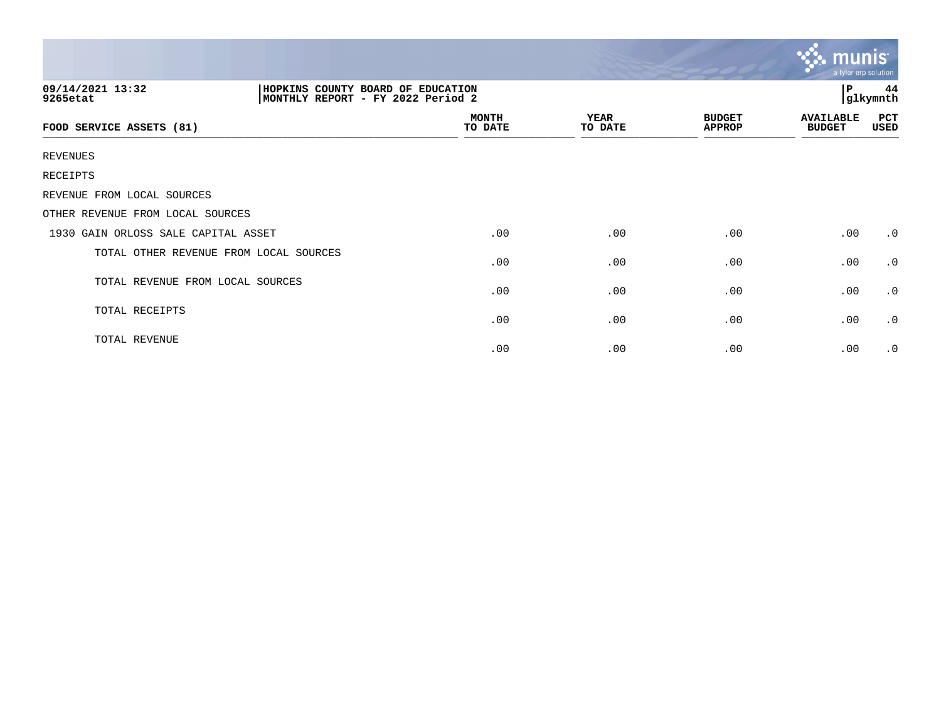|                                        |                                                                        |                        |                                | munis                             | a tyler erp solution |
|----------------------------------------|------------------------------------------------------------------------|------------------------|--------------------------------|-----------------------------------|----------------------|
| 09/14/2021 13:32<br>9265etat           | HOPKINS COUNTY BOARD OF EDUCATION<br>MONTHLY REPORT - FY 2022 Period 2 |                        |                                | $\mathbf{P}$                      | 44<br>glkymnth       |
| FOOD SERVICE ASSETS (81)               | <b>MONTH</b><br>TO DATE                                                | <b>YEAR</b><br>TO DATE | <b>BUDGET</b><br><b>APPROP</b> | <b>AVAILABLE</b><br><b>BUDGET</b> | PCT<br>USED          |
| <b>REVENUES</b>                        |                                                                        |                        |                                |                                   |                      |
| RECEIPTS                               |                                                                        |                        |                                |                                   |                      |
| REVENUE FROM LOCAL SOURCES             |                                                                        |                        |                                |                                   |                      |
| OTHER REVENUE FROM LOCAL SOURCES       |                                                                        |                        |                                |                                   |                      |
| 1930 GAIN ORLOSS SALE CAPITAL ASSET    | .00                                                                    | .00                    | .00                            | .00                               | $\cdot$ 0            |
| TOTAL OTHER REVENUE FROM LOCAL SOURCES | .00                                                                    | .00                    | .00                            | .00                               | $\cdot$ 0            |
| TOTAL REVENUE FROM LOCAL SOURCES       | .00                                                                    | .00                    | .00                            | .00                               | $\cdot$ 0            |
| TOTAL RECEIPTS                         | .00                                                                    | .00                    | .00                            | .00                               | $\cdot$ 0            |
| TOTAL REVENUE                          | .00                                                                    | .00                    | .00                            | .00                               | $\cdot$ 0            |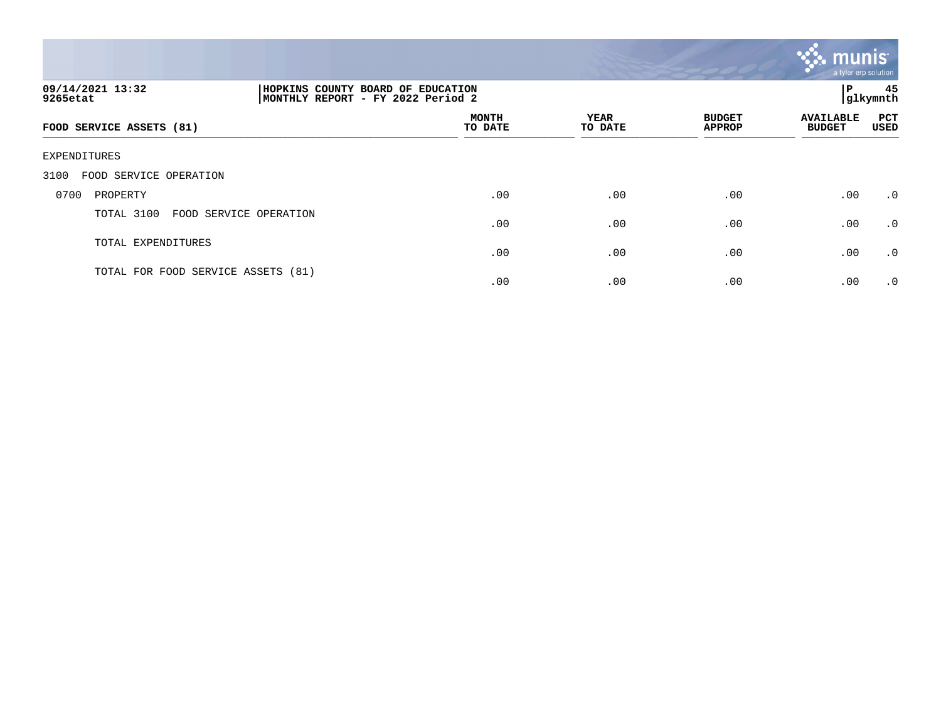

| 09/14/2021 13:32<br>9265etat       |                        | HOPKINS COUNTY BOARD OF EDUCATION<br> MONTHLY REPORT - FY 2022 Period 2 |                 |                                |                                   |                    |
|------------------------------------|------------------------|-------------------------------------------------------------------------|-----------------|--------------------------------|-----------------------------------|--------------------|
| FOOD SERVICE ASSETS (81)           |                        | <b>MONTH</b><br>TO DATE                                                 | YEAR<br>TO DATE | <b>BUDGET</b><br><b>APPROP</b> | <b>AVAILABLE</b><br><b>BUDGET</b> | PCT<br><b>USED</b> |
| EXPENDITURES                       |                        |                                                                         |                 |                                |                                   |                    |
| FOOD SERVICE OPERATION<br>3100     |                        |                                                                         |                 |                                |                                   |                    |
| 0700<br>PROPERTY                   |                        | .00                                                                     | .00             | .00                            | .00                               | $\cdot$ 0          |
| TOTAL 3100                         | FOOD SERVICE OPERATION | .00                                                                     | .00             | .00                            | .00                               | .0                 |
| TOTAL EXPENDITURES                 |                        | .00                                                                     | .00             | .00                            | .00                               | $\cdot$ 0          |
| TOTAL FOR FOOD SERVICE ASSETS (81) |                        | .00                                                                     | .00             | .00                            | .00                               | $\cdot$ 0          |